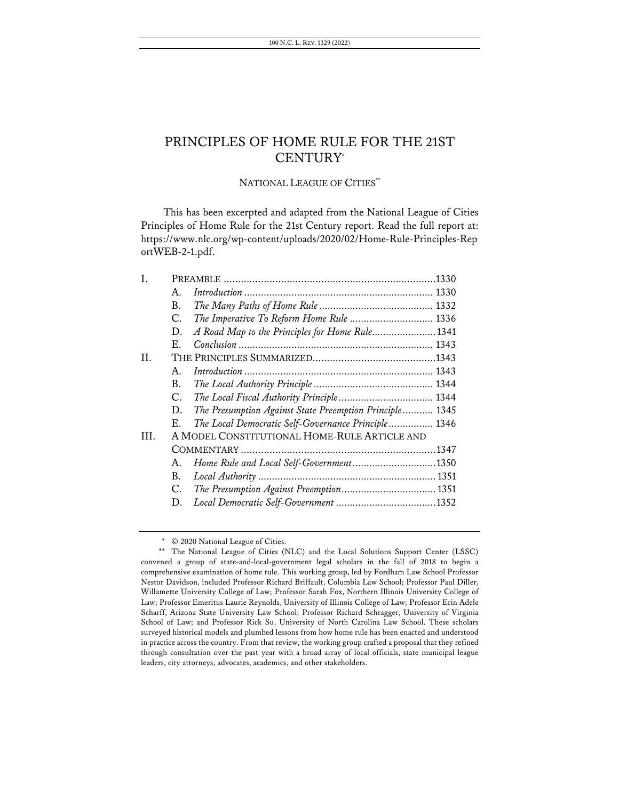## NATIONAL LEAGUE OF CITIES\*\*

This has been excerpted and adapted from the National League of Cities Principles of Home Rule for the 21st Century report. Read the full report at: https://www.nlc.org/wp-content/uploads/2020/02/Home-Rule-Principles-Rep ortWEB-2-1.pdf.

| I.   |                                              |                                                         |
|------|----------------------------------------------|---------------------------------------------------------|
|      | $A_{\cdot}$                                  |                                                         |
|      | В.                                           |                                                         |
|      | C.                                           | The Imperative To Reform Home Rule  1336                |
|      | D.                                           | A Road Map to the Principles for Home Rule1341          |
|      | Е.                                           |                                                         |
| II.  |                                              |                                                         |
|      | А.                                           |                                                         |
|      | В.                                           |                                                         |
|      | C.                                           | The Local Fiscal Authority Principle 1344               |
|      | D.                                           | The Presumption Against State Preemption Principle 1345 |
|      | Е.                                           | The Local Democratic Self-Governance Principle 1346     |
| III. | A MODEL CONSTITUTIONAL HOME-RULE ARTICLE AND |                                                         |
|      |                                              |                                                         |
|      | А.                                           | Home Rule and Local Self-Government1350                 |
|      | В.                                           |                                                         |
|      | C.                                           |                                                         |
|      | D.                                           |                                                         |

<sup>\*</sup> © 2020 National League of Cities.

<sup>\*\*</sup> The National League of Cities (NLC) and the Local Solutions Support Center (LSSC) convened a group of state-and-local-government legal scholars in the fall of 2018 to begin a comprehensive examination of home rule. This working group, led by Fordham Law School Professor Nestor Davidson, included Professor Richard Briffault, Columbia Law School; Professor Paul Diller, Willamette University College of Law; Professor Sarah Fox, Northern Illinois University College of Law; Professor Emeritus Laurie Reynolds, University of Illinois College of Law; Professor Erin Adele Scharff, Arizona State University Law School; Professor Richard Schragger, University of Virginia School of Law; and Professor Rick Su, University of North Carolina Law School. These scholars surveyed historical models and plumbed lessons from how home rule has been enacted and understood in practice across the country. From that review, the working group crafted a proposal that they refined through consultation over the past year with a broad array of local officials, state municipal league leaders, city attorneys, advocates, academics, and other stakeholders.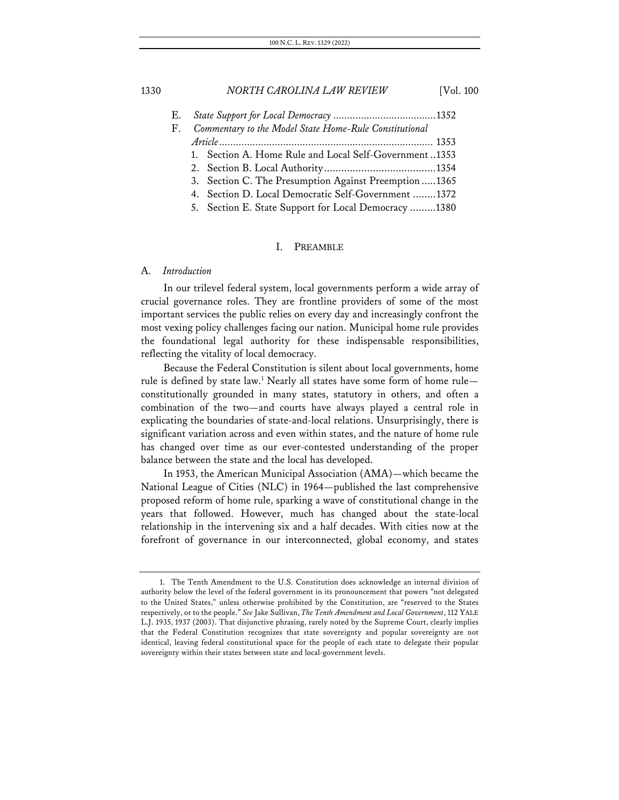E. *State Support for Local Democracy .....................................*1352 F. *Commentary to the Model State Home-Rule Constitutional Article.............................................................................* 1353 1. Section A. Home Rule and Local Self-Government..1353 2. Section B. Local Authority.......................................1354 3. Section C. The Presumption Against Preemption .....1365 4. Section D. Local Democratic Self-Government ........1372 5. Section E. State Support for Local Democracy .........1380

#### I. PREAMBLE

### A. *Introduction*

In our trilevel federal system, local governments perform a wide array of crucial governance roles. They are frontline providers of some of the most important services the public relies on every day and increasingly confront the most vexing policy challenges facing our nation. Municipal home rule provides the foundational legal authority for these indispensable responsibilities, reflecting the vitality of local democracy.

Because the Federal Constitution is silent about local governments, home rule is defined by state law.<sup>1</sup> Nearly all states have some form of home rule constitutionally grounded in many states, statutory in others, and often a combination of the two—and courts have always played a central role in explicating the boundaries of state-and-local relations. Unsurprisingly, there is significant variation across and even within states, and the nature of home rule has changed over time as our ever-contested understanding of the proper balance between the state and the local has developed.

In 1953, the American Municipal Association (AMA)—which became the National League of Cities (NLC) in 1964—published the last comprehensive proposed reform of home rule, sparking a wave of constitutional change in the years that followed. However, much has changed about the state-local relationship in the intervening six and a half decades. With cities now at the forefront of governance in our interconnected, global economy, and states

<sup>1.</sup> The Tenth Amendment to the U.S. Constitution does acknowledge an internal division of authority below the level of the federal government in its pronouncement that powers "not delegated to the United States," unless otherwise prohibited by the Constitution, are "reserved to the States respectively, or to the people." *See* Jake Sullivan, *The Tenth Amendment and Local Government*, 112 YALE L.J. 1935, 1937 (2003). That disjunctive phrasing, rarely noted by the Supreme Court, clearly implies that the Federal Constitution recognizes that state sovereignty and popular sovereignty are not identical, leaving federal constitutional space for the people of each state to delegate their popular sovereignty within their states between state and local-government levels.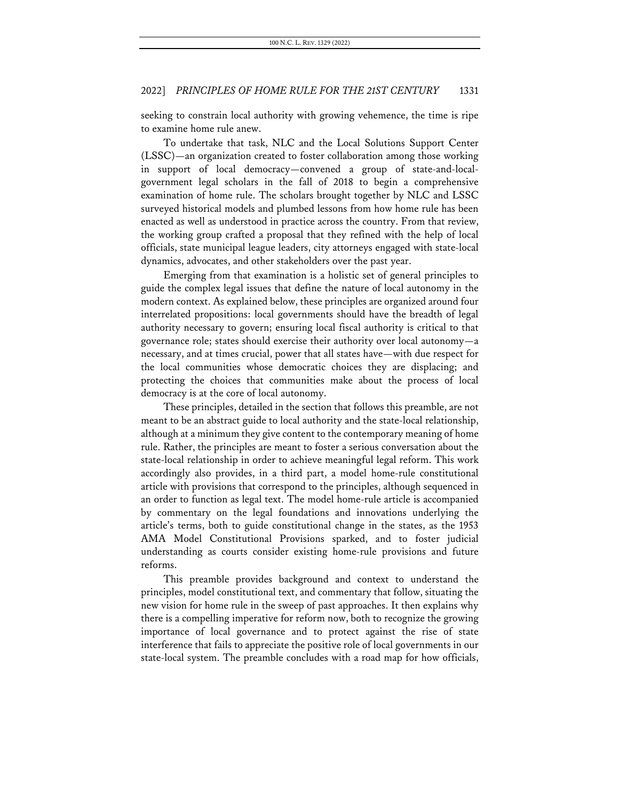seeking to constrain local authority with growing vehemence, the time is ripe to examine home rule anew.

To undertake that task, NLC and the Local Solutions Support Center (LSSC)—an organization created to foster collaboration among those working in support of local democracy—convened a group of state-and-localgovernment legal scholars in the fall of 2018 to begin a comprehensive examination of home rule. The scholars brought together by NLC and LSSC surveyed historical models and plumbed lessons from how home rule has been enacted as well as understood in practice across the country. From that review, the working group crafted a proposal that they refined with the help of local officials, state municipal league leaders, city attorneys engaged with state-local dynamics, advocates, and other stakeholders over the past year.

Emerging from that examination is a holistic set of general principles to guide the complex legal issues that define the nature of local autonomy in the modern context. As explained below, these principles are organized around four interrelated propositions: local governments should have the breadth of legal authority necessary to govern; ensuring local fiscal authority is critical to that governance role; states should exercise their authority over local autonomy—a necessary, and at times crucial, power that all states have—with due respect for the local communities whose democratic choices they are displacing; and protecting the choices that communities make about the process of local democracy is at the core of local autonomy.

These principles, detailed in the section that follows this preamble, are not meant to be an abstract guide to local authority and the state-local relationship, although at a minimum they give content to the contemporary meaning of home rule. Rather, the principles are meant to foster a serious conversation about the state-local relationship in order to achieve meaningful legal reform. This work accordingly also provides, in a third part, a model home-rule constitutional article with provisions that correspond to the principles, although sequenced in an order to function as legal text. The model home-rule article is accompanied by commentary on the legal foundations and innovations underlying the article's terms, both to guide constitutional change in the states, as the 1953 AMA Model Constitutional Provisions sparked, and to foster judicial understanding as courts consider existing home-rule provisions and future reforms.

This preamble provides background and context to understand the principles, model constitutional text, and commentary that follow, situating the new vision for home rule in the sweep of past approaches. It then explains why there is a compelling imperative for reform now, both to recognize the growing importance of local governance and to protect against the rise of state interference that fails to appreciate the positive role of local governments in our state-local system. The preamble concludes with a road map for how officials,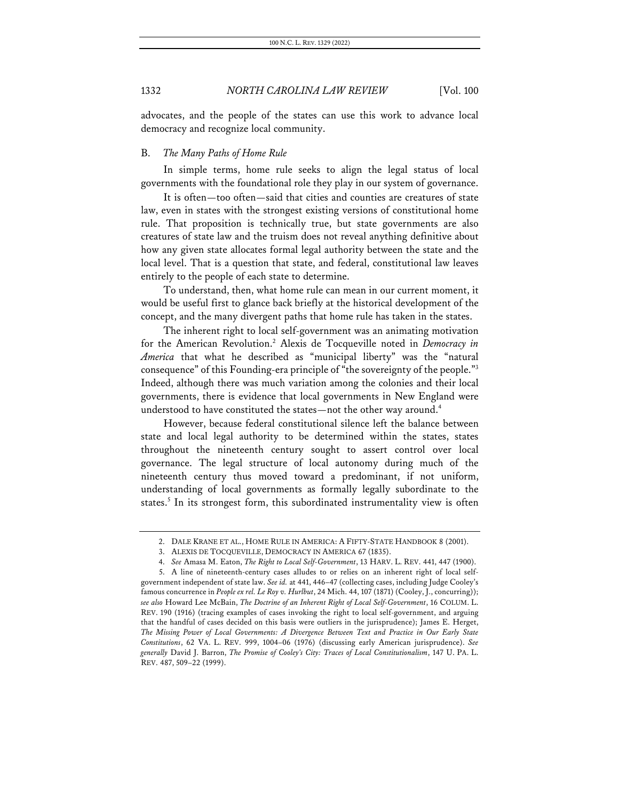advocates, and the people of the states can use this work to advance local democracy and recognize local community.

### B. *The Many Paths of Home Rule*

In simple terms, home rule seeks to align the legal status of local governments with the foundational role they play in our system of governance.

It is often—too often—said that cities and counties are creatures of state law, even in states with the strongest existing versions of constitutional home rule. That proposition is technically true, but state governments are also creatures of state law and the truism does not reveal anything definitive about how any given state allocates formal legal authority between the state and the local level. That is a question that state, and federal, constitutional law leaves entirely to the people of each state to determine.

To understand, then, what home rule can mean in our current moment, it would be useful first to glance back briefly at the historical development of the concept, and the many divergent paths that home rule has taken in the states.

The inherent right to local self-government was an animating motivation for the American Revolution.2 Alexis de Tocqueville noted in *Democracy in America* that what he described as "municipal liberty" was the "natural consequence" of this Founding-era principle of "the sovereignty of the people."3 Indeed, although there was much variation among the colonies and their local governments, there is evidence that local governments in New England were understood to have constituted the states—not the other way around.<sup>4</sup>

However, because federal constitutional silence left the balance between state and local legal authority to be determined within the states, states throughout the nineteenth century sought to assert control over local governance. The legal structure of local autonomy during much of the nineteenth century thus moved toward a predominant, if not uniform, understanding of local governments as formally legally subordinate to the states.<sup>5</sup> In its strongest form, this subordinated instrumentality view is often

<sup>2.</sup> DALE KRANE ET AL., HOME RULE IN AMERICA: A FIFTY-STATE HANDBOOK 8 (2001).

<sup>3.</sup> ALEXIS DE TOCQUEVILLE, DEMOCRACY IN AMERICA 67 (1835).

<sup>4.</sup> *See* Amasa M. Eaton, *The Right to Local Self-Government*, 13 HARV. L. REV. 441, 447 (1900).

<sup>5.</sup> A line of nineteenth-century cases alludes to or relies on an inherent right of local selfgovernment independent of state law. *See id.* at 441, 446–47 (collecting cases, including Judge Cooley's famous concurrence in *People ex rel. Le Roy v. Hurlbut*, 24 Mich. 44, 107 (1871) (Cooley, J., concurring)); *see also* Howard Lee McBain, *The Doctrine of an Inherent Right of Local Self-Government*, 16 COLUM. L. REV. 190 (1916) (tracing examples of cases invoking the right to local self-government, and arguing that the handful of cases decided on this basis were outliers in the jurisprudence); James E. Herget, *The Missing Power of Local Governments: A Divergence Between Text and Practice in Our Early State Constitutions*, 62 VA. L. REV. 999, 1004–06 (1976) (discussing early American jurisprudence). *See generally* David J. Barron, *The Promise of Cooley's City: Traces of Local Constitutionalism*, 147 U. PA. L. REV. 487, 509–22 (1999).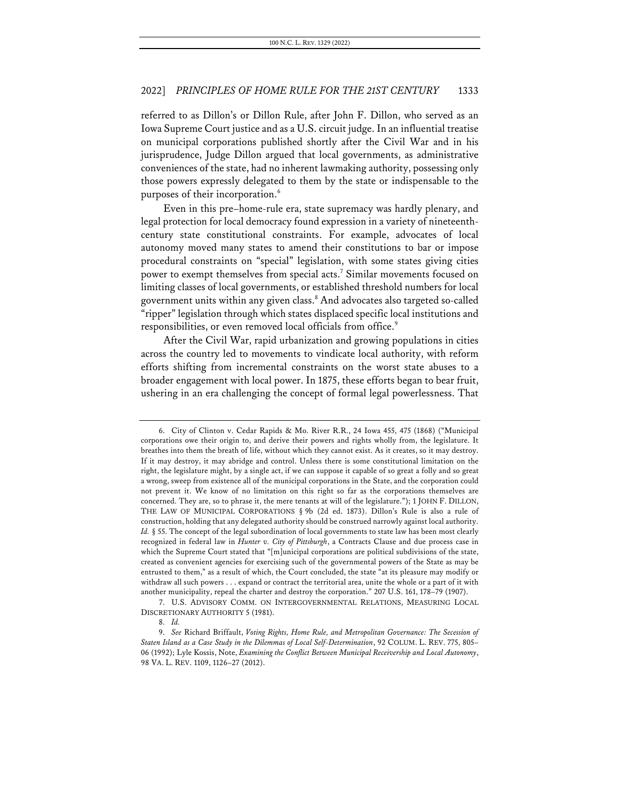referred to as Dillon's or Dillon Rule, after John F. Dillon, who served as an Iowa Supreme Court justice and as a U.S. circuit judge. In an influential treatise on municipal corporations published shortly after the Civil War and in his jurisprudence, Judge Dillon argued that local governments, as administrative conveniences of the state, had no inherent lawmaking authority, possessing only those powers expressly delegated to them by the state or indispensable to the purposes of their incorporation.<sup>6</sup>

Even in this pre–home-rule era, state supremacy was hardly plenary, and legal protection for local democracy found expression in a variety of nineteenthcentury state constitutional constraints. For example, advocates of local autonomy moved many states to amend their constitutions to bar or impose procedural constraints on "special" legislation, with some states giving cities power to exempt themselves from special acts.7 Similar movements focused on limiting classes of local governments, or established threshold numbers for local government units within any given class.8 And advocates also targeted so-called "ripper" legislation through which states displaced specific local institutions and responsibilities, or even removed local officials from office.<sup>9</sup>

After the Civil War, rapid urbanization and growing populations in cities across the country led to movements to vindicate local authority, with reform efforts shifting from incremental constraints on the worst state abuses to a broader engagement with local power. In 1875, these efforts began to bear fruit, ushering in an era challenging the concept of formal legal powerlessness. That

<sup>6.</sup> City of Clinton v. Cedar Rapids & Mo. River R.R., 24 Iowa 455, 475 (1868) ("Municipal corporations owe their origin to, and derive their powers and rights wholly from, the legislature. It breathes into them the breath of life, without which they cannot exist. As it creates, so it may destroy. If it may destroy, it may abridge and control. Unless there is some constitutional limitation on the right, the legislature might, by a single act, if we can suppose it capable of so great a folly and so great a wrong, sweep from existence all of the municipal corporations in the State, and the corporation could not prevent it. We know of no limitation on this right so far as the corporations themselves are concerned. They are, so to phrase it, the mere tenants at will of the legislature."); 1 JOHN F. DILLON, THE LAW OF MUNICIPAL CORPORATIONS § 9b (2d ed. 1873). Dillon's Rule is also a rule of construction, holding that any delegated authority should be construed narrowly against local authority. *Id.* § 55. The concept of the legal subordination of local governments to state law has been most clearly recognized in federal law in *Hunter v. City of Pittsburgh*, a Contracts Clause and due process case in which the Supreme Court stated that "[m]unicipal corporations are political subdivisions of the state, created as convenient agencies for exercising such of the governmental powers of the State as may be entrusted to them," as a result of which, the Court concluded, the state "at its pleasure may modify or withdraw all such powers . . . expand or contract the territorial area, unite the whole or a part of it with another municipality, repeal the charter and destroy the corporation." 207 U.S. 161, 178–79 (1907).

<sup>7.</sup> U.S. ADVISORY COMM. ON INTERGOVERNMENTAL RELATIONS, MEASURING LOCAL DISCRETIONARY AUTHORITY 5 (1981).

<sup>8.</sup> *Id.*

<sup>9.</sup> *See* Richard Briffault, *Voting Rights, Home Rule, and Metropolitan Governance: The Secession of Staten Island as a Case Study in the Dilemmas of Local Self-Determination*, 92 COLUM. L. REV. 775, 805– 06 (1992); Lyle Kossis, Note, *Examining the Conflict Between Municipal Receivership and Local Autonomy*, 98 VA. L. REV. 1109, 1126–27 (2012).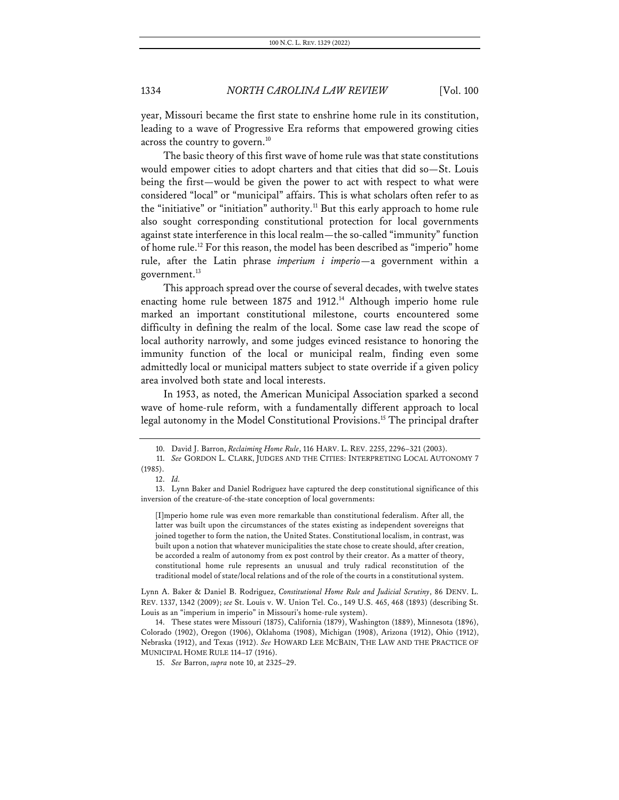year, Missouri became the first state to enshrine home rule in its constitution, leading to a wave of Progressive Era reforms that empowered growing cities across the country to govern.<sup>10</sup>

The basic theory of this first wave of home rule was that state constitutions would empower cities to adopt charters and that cities that did so—St. Louis being the first—would be given the power to act with respect to what were considered "local" or "municipal" affairs. This is what scholars often refer to as the "initiative" or "initiation" authority.<sup>11</sup> But this early approach to home rule also sought corresponding constitutional protection for local governments against state interference in this local realm—the so-called "immunity" function of home rule.12 For this reason, the model has been described as "imperio" home rule, after the Latin phrase *imperium i imperio*—a government within a government.<sup>13</sup>

This approach spread over the course of several decades, with twelve states enacting home rule between 1875 and 1912.<sup>14</sup> Although imperio home rule marked an important constitutional milestone, courts encountered some difficulty in defining the realm of the local. Some case law read the scope of local authority narrowly, and some judges evinced resistance to honoring the immunity function of the local or municipal realm, finding even some admittedly local or municipal matters subject to state override if a given policy area involved both state and local interests.

In 1953, as noted, the American Municipal Association sparked a second wave of home-rule reform, with a fundamentally different approach to local legal autonomy in the Model Constitutional Provisions.<sup>15</sup> The principal drafter

[I]mperio home rule was even more remarkable than constitutional federalism. After all, the latter was built upon the circumstances of the states existing as independent sovereigns that joined together to form the nation, the United States. Constitutional localism, in contrast, was built upon a notion that whatever municipalities the state chose to create should, after creation, be accorded a realm of autonomy from ex post control by their creator. As a matter of theory, constitutional home rule represents an unusual and truly radical reconstitution of the traditional model of state/local relations and of the role of the courts in a constitutional system.

Lynn A. Baker & Daniel B. Rodriguez, *Constitutional Home Rule and Judicial Scrutiny*, 86 DENV. L. REV. 1337, 1342 (2009); *see* St. Louis v. W. Union Tel. Co., 149 U.S. 465, 468 (1893) (describing St. Louis as an "imperium in imperio" in Missouri's home-rule system).

14. These states were Missouri (1875), California (1879), Washington (1889), Minnesota (1896), Colorado (1902), Oregon (1906), Oklahoma (1908), Michigan (1908), Arizona (1912), Ohio (1912), Nebraska (1912), and Texas (1912). *See* HOWARD LEE MCBAIN, THE LAW AND THE PRACTICE OF MUNICIPAL HOME RULE 114–17 (1916).

15. *See* Barron, *supra* note 10, at 2325–29.

<sup>10.</sup> David J. Barron, *Reclaiming Home Rule*, 116 HARV. L. REV. 2255, 2296–321 (2003).

<sup>11.</sup> *See* GORDON L. CLARK, JUDGES AND THE CITIES: INTERPRETING LOCAL AUTONOMY 7 (1985).

<sup>12.</sup> *Id.*

<sup>13.</sup> Lynn Baker and Daniel Rodriguez have captured the deep constitutional significance of this inversion of the creature-of-the-state conception of local governments: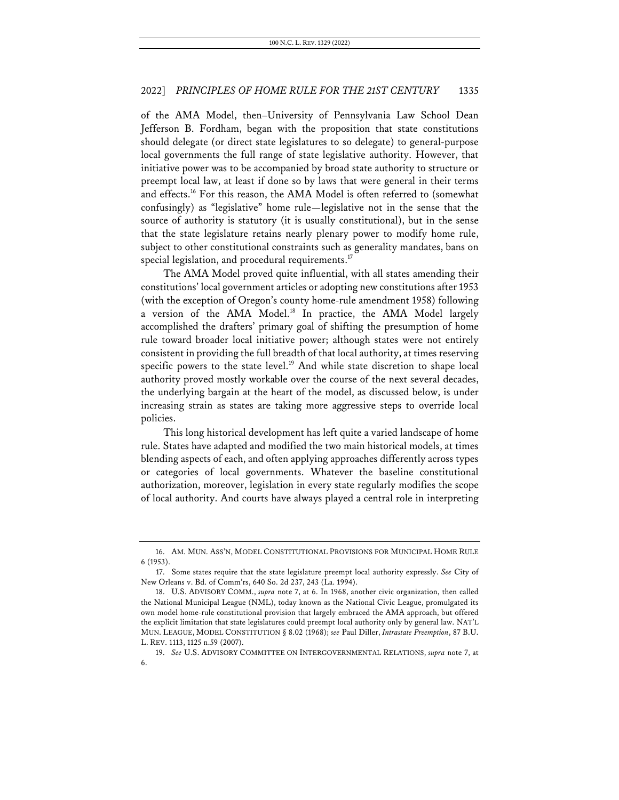of the AMA Model, then–University of Pennsylvania Law School Dean Jefferson B. Fordham, began with the proposition that state constitutions should delegate (or direct state legislatures to so delegate) to general-purpose local governments the full range of state legislative authority. However, that initiative power was to be accompanied by broad state authority to structure or preempt local law, at least if done so by laws that were general in their terms and effects.16 For this reason, the AMA Model is often referred to (somewhat confusingly) as "legislative" home rule—legislative not in the sense that the source of authority is statutory (it is usually constitutional), but in the sense that the state legislature retains nearly plenary power to modify home rule, subject to other constitutional constraints such as generality mandates, bans on special legislation, and procedural requirements.<sup>17</sup>

The AMA Model proved quite influential, with all states amending their constitutions' local government articles or adopting new constitutions after 1953 (with the exception of Oregon's county home-rule amendment 1958) following a version of the AMA Model.18 In practice, the AMA Model largely accomplished the drafters' primary goal of shifting the presumption of home rule toward broader local initiative power; although states were not entirely consistent in providing the full breadth of that local authority, at times reserving specific powers to the state level.<sup>19</sup> And while state discretion to shape local authority proved mostly workable over the course of the next several decades, the underlying bargain at the heart of the model, as discussed below, is under increasing strain as states are taking more aggressive steps to override local policies.

This long historical development has left quite a varied landscape of home rule. States have adapted and modified the two main historical models, at times blending aspects of each, and often applying approaches differently across types or categories of local governments. Whatever the baseline constitutional authorization, moreover, legislation in every state regularly modifies the scope of local authority. And courts have always played a central role in interpreting

<sup>16.</sup> AM. MUN. ASS'N, MODEL CONSTITUTIONAL PROVISIONS FOR MUNICIPAL HOME RULE 6 (1953).

<sup>17.</sup> Some states require that the state legislature preempt local authority expressly. *See* City of New Orleans v. Bd. of Comm'rs, 640 So. 2d 237, 243 (La. 1994).

<sup>18.</sup> U.S. ADVISORY COMM., *supra* note 7, at 6. In 1968, another civic organization, then called the National Municipal League (NML), today known as the National Civic League, promulgated its own model home-rule constitutional provision that largely embraced the AMA approach, but offered the explicit limitation that state legislatures could preempt local authority only by general law. NAT'L MUN. LEAGUE, MODEL CONSTITUTION § 8.02 (1968); *see* Paul Diller, *Intrastate Preemption*, 87 B.U. L. REV. 1113, 1125 n.59 (2007).

<sup>19.</sup> *See* U.S. ADVISORY COMMITTEE ON INTERGOVERNMENTAL RELATIONS, *supra* note 7, at 6.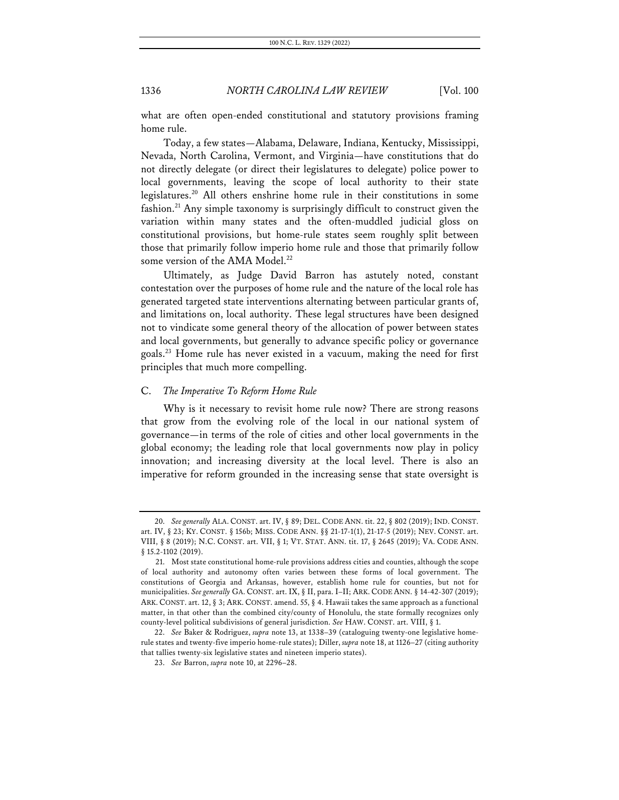what are often open-ended constitutional and statutory provisions framing home rule.

Today, a few states—Alabama, Delaware, Indiana, Kentucky, Mississippi, Nevada, North Carolina, Vermont, and Virginia—have constitutions that do not directly delegate (or direct their legislatures to delegate) police power to local governments, leaving the scope of local authority to their state legislatures.20 All others enshrine home rule in their constitutions in some fashion.<sup>21</sup> Any simple taxonomy is surprisingly difficult to construct given the variation within many states and the often-muddled judicial gloss on constitutional provisions, but home-rule states seem roughly split between those that primarily follow imperio home rule and those that primarily follow some version of the AMA Model.<sup>22</sup>

Ultimately, as Judge David Barron has astutely noted, constant contestation over the purposes of home rule and the nature of the local role has generated targeted state interventions alternating between particular grants of, and limitations on, local authority. These legal structures have been designed not to vindicate some general theory of the allocation of power between states and local governments, but generally to advance specific policy or governance goals.23 Home rule has never existed in a vacuum, making the need for first principles that much more compelling.

### C. *The Imperative To Reform Home Rule*

Why is it necessary to revisit home rule now? There are strong reasons that grow from the evolving role of the local in our national system of governance—in terms of the role of cities and other local governments in the global economy; the leading role that local governments now play in policy innovation; and increasing diversity at the local level. There is also an imperative for reform grounded in the increasing sense that state oversight is

<sup>20.</sup> *See generally* ALA. CONST. art. IV, § 89; DEL. CODE ANN. tit. 22, § 802 (2019); IND. CONST. art. IV, § 23; KY. CONST. § 156b; MISS. CODE ANN. §§ 21-17-1(1), 21-17-5 (2019); NEV. CONST. art. VIII, § 8 (2019); N.C. CONST. art. VII, § 1; VT. STAT. ANN. tit. 17, § 2645 (2019); VA. CODE ANN. § 15.2-1102 (2019).

<sup>21.</sup> Most state constitutional home-rule provisions address cities and counties, although the scope of local authority and autonomy often varies between these forms of local government. The constitutions of Georgia and Arkansas, however, establish home rule for counties, but not for municipalities. *See generally* GA.CONST. art. IX, § II, para. I–II; ARK.CODE ANN. § 14-42-307 (2019); ARK.CONST. art. 12, § 3; ARK.CONST. amend. 55, § 4. Hawaii takes the same approach as a functional matter, in that other than the combined city/county of Honolulu, the state formally recognizes only county-level political subdivisions of general jurisdiction. *See* HAW. CONST. art. VIII, § 1.

<sup>22.</sup> *See* Baker & Rodriguez, *supra* note 13, at 1338–39 (cataloguing twenty-one legislative homerule states and twenty-five imperio home-rule states); Diller, *supra* note 18, at 1126–27 (citing authority that tallies twenty-six legislative states and nineteen imperio states).

<sup>23.</sup> *See* Barron, *supra* note 10, at 2296–28.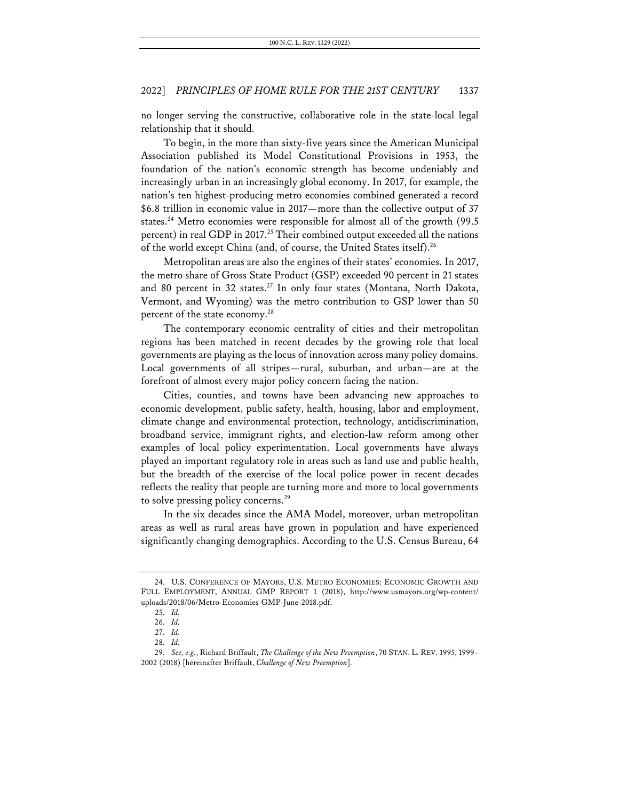no longer serving the constructive, collaborative role in the state-local legal relationship that it should.

To begin, in the more than sixty-five years since the American Municipal Association published its Model Constitutional Provisions in 1953, the foundation of the nation's economic strength has become undeniably and increasingly urban in an increasingly global economy. In 2017, for example, the nation's ten highest-producing metro economies combined generated a record \$6.8 trillion in economic value in 2017—more than the collective output of 37 states.<sup>24</sup> Metro economies were responsible for almost all of the growth (99.5) percent) in real GDP in 2017.<sup>25</sup> Their combined output exceeded all the nations of the world except China (and, of course, the United States itself).26

Metropolitan areas are also the engines of their states' economies. In 2017, the metro share of Gross State Product (GSP) exceeded 90 percent in 21 states and 80 percent in 32 states.<sup>27</sup> In only four states (Montana, North Dakota, Vermont, and Wyoming) was the metro contribution to GSP lower than 50 percent of the state economy.<sup>28</sup>

The contemporary economic centrality of cities and their metropolitan regions has been matched in recent decades by the growing role that local governments are playing as the locus of innovation across many policy domains. Local governments of all stripes—rural, suburban, and urban—are at the forefront of almost every major policy concern facing the nation.

Cities, counties, and towns have been advancing new approaches to economic development, public safety, health, housing, labor and employment, climate change and environmental protection, technology, antidiscrimination, broadband service, immigrant rights, and election-law reform among other examples of local policy experimentation. Local governments have always played an important regulatory role in areas such as land use and public health, but the breadth of the exercise of the local police power in recent decades reflects the reality that people are turning more and more to local governments to solve pressing policy concerns.<sup>29</sup>

In the six decades since the AMA Model, moreover, urban metropolitan areas as well as rural areas have grown in population and have experienced significantly changing demographics. According to the U.S. Census Bureau, 64

<sup>24.</sup> U.S. CONFERENCE OF MAYORS, U.S. METRO ECONOMIES: ECONOMIC GROWTH AND FULL EMPLOYMENT, ANNUAL GMP REPORT 1 (2018), http://www.usmayors.org/wp-content/ uploads/2018/06/Metro-Economies-GMP-June-2018.pdf.

<sup>25.</sup> *Id.*

<sup>26.</sup> *Id.*

<sup>27.</sup> *Id.* 28. *Id.*

<sup>29.</sup> *See, e.g.*, Richard Briffault, *The Challenge of the New Preemption*, 70 STAN. L. REV. 1995, 1999– 2002 (2018) [hereinafter Briffault, *Challenge of New Preemption*].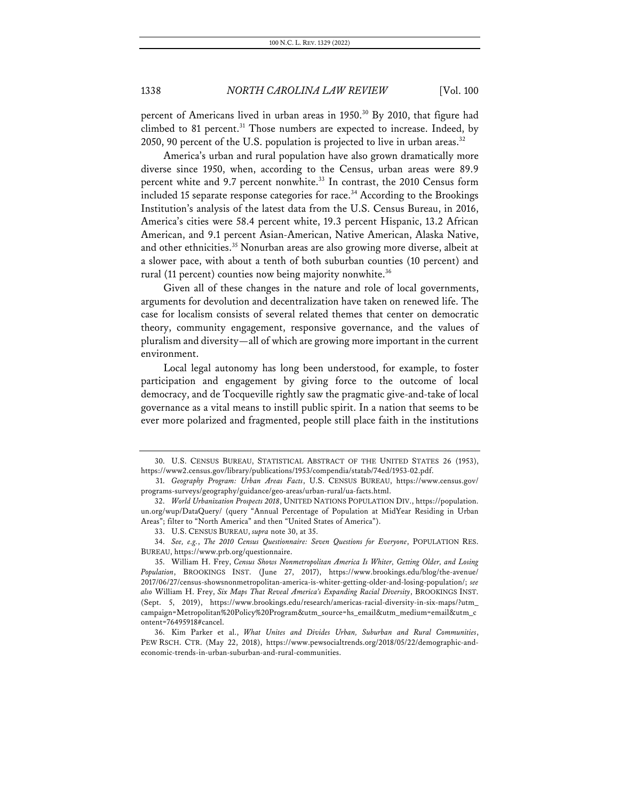percent of Americans lived in urban areas in 1950.<sup>30</sup> By 2010, that figure had climbed to 81 percent.<sup>31</sup> Those numbers are expected to increase. Indeed, by 2050, 90 percent of the U.S. population is projected to live in urban areas.<sup>32</sup>

America's urban and rural population have also grown dramatically more diverse since 1950, when, according to the Census, urban areas were 89.9 percent white and 9.7 percent nonwhite.<sup>33</sup> In contrast, the 2010 Census form included 15 separate response categories for race.<sup>34</sup> According to the Brookings Institution's analysis of the latest data from the U.S. Census Bureau, in 2016, America's cities were 58.4 percent white, 19.3 percent Hispanic, 13.2 African American, and 9.1 percent Asian-American, Native American, Alaska Native, and other ethnicities.<sup>35</sup> Nonurban areas are also growing more diverse, albeit at a slower pace, with about a tenth of both suburban counties (10 percent) and rural (11 percent) counties now being majority nonwhite.<sup>36</sup>

Given all of these changes in the nature and role of local governments, arguments for devolution and decentralization have taken on renewed life. The case for localism consists of several related themes that center on democratic theory, community engagement, responsive governance, and the values of pluralism and diversity—all of which are growing more important in the current environment.

Local legal autonomy has long been understood, for example, to foster participation and engagement by giving force to the outcome of local democracy, and de Tocqueville rightly saw the pragmatic give-and-take of local governance as a vital means to instill public spirit. In a nation that seems to be ever more polarized and fragmented, people still place faith in the institutions

<sup>30.</sup> U.S. CENSUS BUREAU, STATISTICAL ABSTRACT OF THE UNITED STATES 26 (1953), https://www2.census.gov/library/publications/1953/compendia/statab/74ed/1953-02.pdf.

<sup>31.</sup> *Geography Program: Urban Areas Facts*, U.S. CENSUS BUREAU, https://www.census.gov/ programs-surveys/geography/guidance/geo-areas/urban-rural/ua-facts.html.

<sup>32.</sup> *World Urbanization Prospects 2018*, UNITED NATIONS POPULATION DIV., https://population. un.org/wup/DataQuery/ (query "Annual Percentage of Population at MidYear Residing in Urban Areas"; filter to "North America" and then "United States of America").

<sup>33.</sup> U.S. CENSUS BUREAU, *supra* note 30, at 35.

<sup>34.</sup> *See, e.g.*, *The 2010 Census Questionnaire: Seven Questions for Everyone*, POPULATION RES. BUREAU, https://www.prb.org/questionnaire.

<sup>35.</sup> William H. Frey, *Census Shows Nonmetropolitan America Is Whiter, Getting Older, and Losing Population*, BROOKINGS INST. (June 27, 2017), https://www.brookings.edu/blog/the-avenue/ 2017/06/27/census-showsnonmetropolitan-america-is-whiter-getting-older-and-losing-population/; *see also* William H. Frey, *Six Maps That Reveal America's Expanding Racial Diversity*, BROOKINGS INST. (Sept. 5, 2019), https://www.brookings.edu/research/americas-racial-diversity-in-six-maps/?utm\_ campaign=Metropolitan%20Policy%20Program&utm\_source=hs\_email&utm\_medium=email&utm\_c ontent=76495918#cancel.

<sup>36.</sup> Kim Parker et al., *What Unites and Divides Urban, Suburban and Rural Communities*, PEW RSCH. CTR. (May 22, 2018), https://www.pewsocialtrends.org/2018/05/22/demographic-andeconomic-trends-in-urban-suburban-and-rural-communities.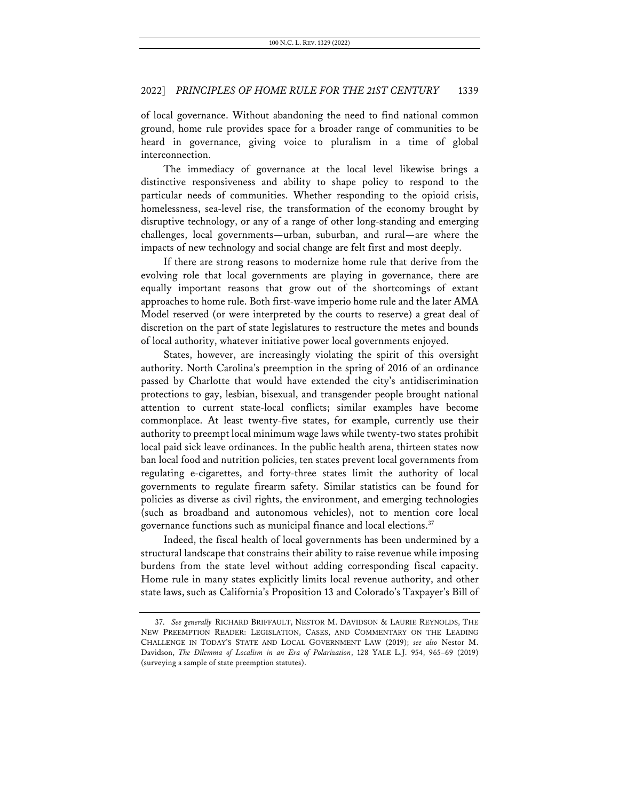of local governance. Without abandoning the need to find national common ground, home rule provides space for a broader range of communities to be heard in governance, giving voice to pluralism in a time of global interconnection.

The immediacy of governance at the local level likewise brings a distinctive responsiveness and ability to shape policy to respond to the particular needs of communities. Whether responding to the opioid crisis, homelessness, sea-level rise, the transformation of the economy brought by disruptive technology, or any of a range of other long-standing and emerging challenges, local governments—urban, suburban, and rural—are where the impacts of new technology and social change are felt first and most deeply.

If there are strong reasons to modernize home rule that derive from the evolving role that local governments are playing in governance, there are equally important reasons that grow out of the shortcomings of extant approaches to home rule. Both first-wave imperio home rule and the later AMA Model reserved (or were interpreted by the courts to reserve) a great deal of discretion on the part of state legislatures to restructure the metes and bounds of local authority, whatever initiative power local governments enjoyed.

States, however, are increasingly violating the spirit of this oversight authority. North Carolina's preemption in the spring of 2016 of an ordinance passed by Charlotte that would have extended the city's antidiscrimination protections to gay, lesbian, bisexual, and transgender people brought national attention to current state-local conflicts; similar examples have become commonplace. At least twenty-five states, for example, currently use their authority to preempt local minimum wage laws while twenty-two states prohibit local paid sick leave ordinances. In the public health arena, thirteen states now ban local food and nutrition policies, ten states prevent local governments from regulating e-cigarettes, and forty-three states limit the authority of local governments to regulate firearm safety. Similar statistics can be found for policies as diverse as civil rights, the environment, and emerging technologies (such as broadband and autonomous vehicles), not to mention core local governance functions such as municipal finance and local elections.<sup>37</sup>

Indeed, the fiscal health of local governments has been undermined by a structural landscape that constrains their ability to raise revenue while imposing burdens from the state level without adding corresponding fiscal capacity. Home rule in many states explicitly limits local revenue authority, and other state laws, such as California's Proposition 13 and Colorado's Taxpayer's Bill of

<sup>37.</sup> *See generally* RICHARD BRIFFAULT, NESTOR M. DAVIDSON & LAURIE REYNOLDS, THE NEW PREEMPTION READER: LEGISLATION, CASES, AND COMMENTARY ON THE LEADING CHALLENGE IN TODAY'S STATE AND LOCAL GOVERNMENT LAW (2019); *see also* Nestor M. Davidson, *The Dilemma of Localism in an Era of Polarization*, 128 YALE L.J. 954, 965–69 (2019) (surveying a sample of state preemption statutes).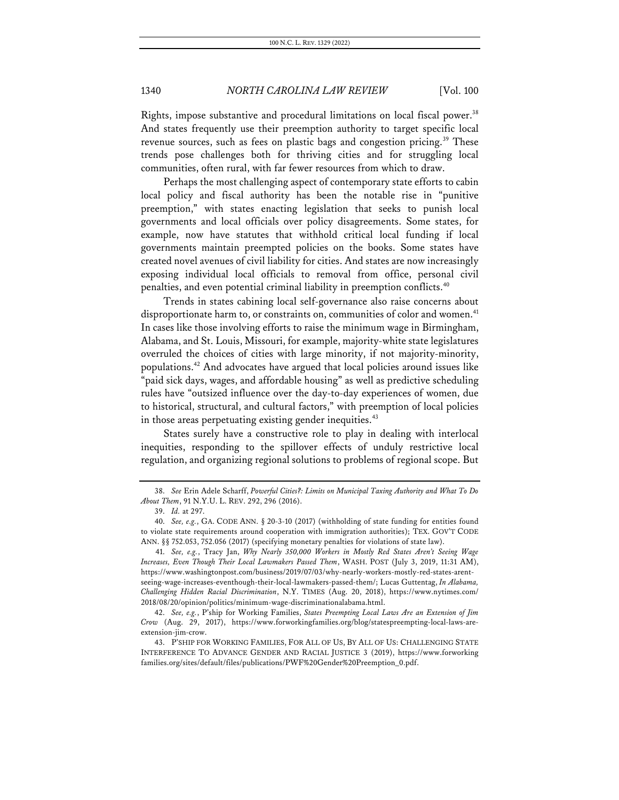Rights, impose substantive and procedural limitations on local fiscal power.<sup>38</sup> And states frequently use their preemption authority to target specific local revenue sources, such as fees on plastic bags and congestion pricing.<sup>39</sup> These trends pose challenges both for thriving cities and for struggling local communities, often rural, with far fewer resources from which to draw.

Perhaps the most challenging aspect of contemporary state efforts to cabin local policy and fiscal authority has been the notable rise in "punitive preemption," with states enacting legislation that seeks to punish local governments and local officials over policy disagreements. Some states, for example, now have statutes that withhold critical local funding if local governments maintain preempted policies on the books. Some states have created novel avenues of civil liability for cities. And states are now increasingly exposing individual local officials to removal from office, personal civil penalties, and even potential criminal liability in preemption conflicts.<sup>40</sup>

Trends in states cabining local self-governance also raise concerns about disproportionate harm to, or constraints on, communities of color and women.<sup>41</sup> In cases like those involving efforts to raise the minimum wage in Birmingham, Alabama, and St. Louis, Missouri, for example, majority-white state legislatures overruled the choices of cities with large minority, if not majority-minority, populations.42 And advocates have argued that local policies around issues like "paid sick days, wages, and affordable housing" as well as predictive scheduling rules have "outsized influence over the day-to-day experiences of women, due to historical, structural, and cultural factors," with preemption of local policies in those areas perpetuating existing gender inequities.<sup>43</sup>

States surely have a constructive role to play in dealing with interlocal inequities, responding to the spillover effects of unduly restrictive local regulation, and organizing regional solutions to problems of regional scope. But

<sup>38.</sup> *See* Erin Adele Scharff, *Powerful Cities?: Limits on Municipal Taxing Authority and What To Do About Them*, 91 N.Y.U. L. REV. 292, 296 (2016).

<sup>39.</sup> *Id.* at 297.

<sup>40.</sup> *See, e.g.*, GA. CODE ANN. § 20-3-10 (2017) (withholding of state funding for entities found to violate state requirements around cooperation with immigration authorities); TEX. GOV'T CODE ANN. §§ 752.053, 752.056 (2017) (specifying monetary penalties for violations of state law).

<sup>41.</sup> *See, e.g.*, Tracy Jan, *Why Nearly 350,000 Workers in Mostly Red States Aren't Seeing Wage Increases, Even Though Their Local Lawmakers Passed Them*, WASH. POST (July 3, 2019, 11:31 AM), https://www.washingtonpost.com/business/2019/07/03/why-nearly-workers-mostly-red-states-arentseeing-wage-increases-eventhough-their-local-lawmakers-passed-them/; Lucas Guttentag, *In Alabama, Challenging Hidden Racial Discrimination*, N.Y. TIMES (Aug. 20, 2018), https://www.nytimes.com/ 2018/08/20/opinion/politics/minimum-wage-discriminationalabama.html.

<sup>42.</sup> *See, e.g.*, P'ship for Working Families, *States Preempting Local Laws Are an Extension of Jim Crow* (Aug. 29, 2017), https://www.forworkingfamilies.org/blog/statespreempting-local-laws-areextension-jim-crow.

<sup>43.</sup> P'SHIP FOR WORKING FAMILIES, FOR ALL OF US, BY ALL OF US: CHALLENGING STATE INTERFERENCE TO ADVANCE GENDER AND RACIAL JUSTICE 3 (2019), https://www.forworking families.org/sites/default/files/publications/PWF%20Gender%20Preemption\_0.pdf.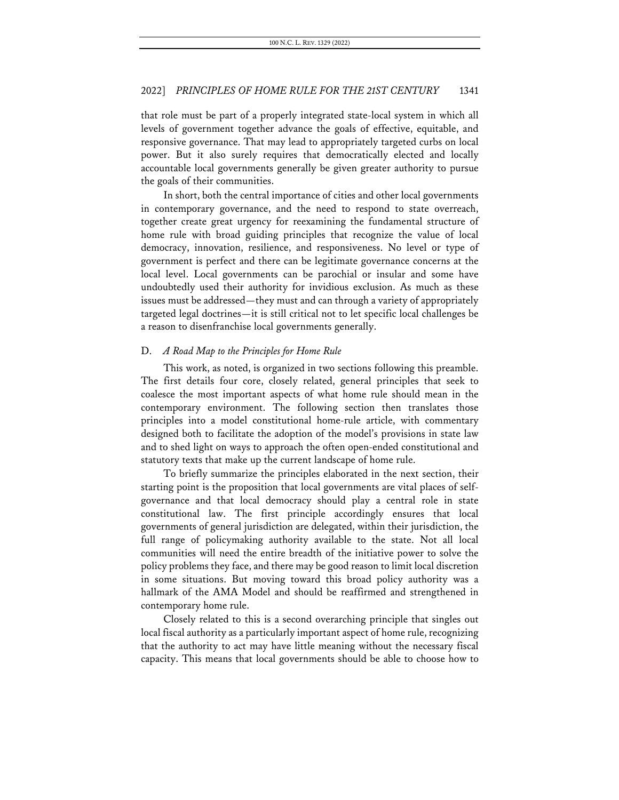that role must be part of a properly integrated state-local system in which all levels of government together advance the goals of effective, equitable, and responsive governance. That may lead to appropriately targeted curbs on local power. But it also surely requires that democratically elected and locally accountable local governments generally be given greater authority to pursue the goals of their communities.

In short, both the central importance of cities and other local governments in contemporary governance, and the need to respond to state overreach, together create great urgency for reexamining the fundamental structure of home rule with broad guiding principles that recognize the value of local democracy, innovation, resilience, and responsiveness. No level or type of government is perfect and there can be legitimate governance concerns at the local level. Local governments can be parochial or insular and some have undoubtedly used their authority for invidious exclusion. As much as these issues must be addressed—they must and can through a variety of appropriately targeted legal doctrines—it is still critical not to let specific local challenges be a reason to disenfranchise local governments generally.

### D. *A Road Map to the Principles for Home Rule*

This work, as noted, is organized in two sections following this preamble. The first details four core, closely related, general principles that seek to coalesce the most important aspects of what home rule should mean in the contemporary environment. The following section then translates those principles into a model constitutional home-rule article, with commentary designed both to facilitate the adoption of the model's provisions in state law and to shed light on ways to approach the often open-ended constitutional and statutory texts that make up the current landscape of home rule.

To briefly summarize the principles elaborated in the next section, their starting point is the proposition that local governments are vital places of selfgovernance and that local democracy should play a central role in state constitutional law. The first principle accordingly ensures that local governments of general jurisdiction are delegated, within their jurisdiction, the full range of policymaking authority available to the state. Not all local communities will need the entire breadth of the initiative power to solve the policy problems they face, and there may be good reason to limit local discretion in some situations. But moving toward this broad policy authority was a hallmark of the AMA Model and should be reaffirmed and strengthened in contemporary home rule.

Closely related to this is a second overarching principle that singles out local fiscal authority as a particularly important aspect of home rule, recognizing that the authority to act may have little meaning without the necessary fiscal capacity. This means that local governments should be able to choose how to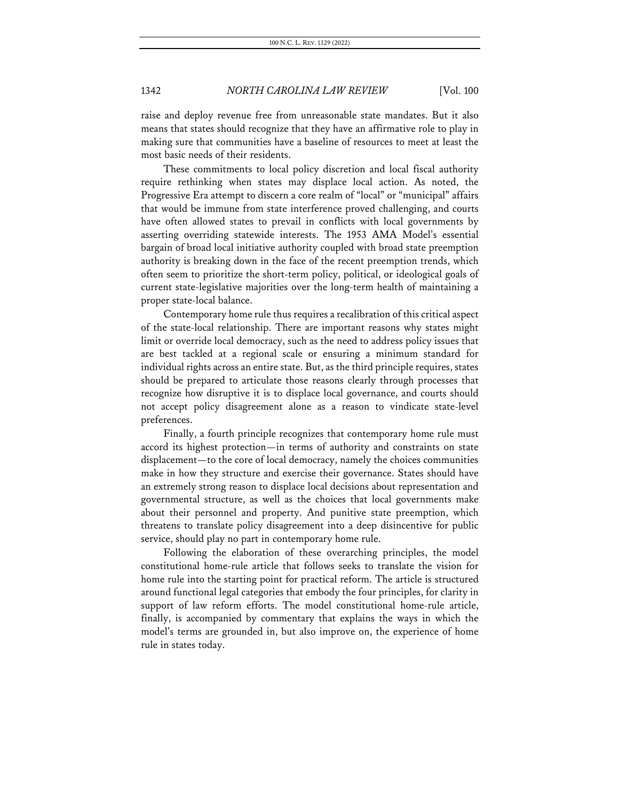raise and deploy revenue free from unreasonable state mandates. But it also means that states should recognize that they have an affirmative role to play in making sure that communities have a baseline of resources to meet at least the most basic needs of their residents.

These commitments to local policy discretion and local fiscal authority require rethinking when states may displace local action. As noted, the Progressive Era attempt to discern a core realm of "local" or "municipal" affairs that would be immune from state interference proved challenging, and courts have often allowed states to prevail in conflicts with local governments by asserting overriding statewide interests. The 1953 AMA Model's essential bargain of broad local initiative authority coupled with broad state preemption authority is breaking down in the face of the recent preemption trends, which often seem to prioritize the short-term policy, political, or ideological goals of current state-legislative majorities over the long-term health of maintaining a proper state-local balance.

Contemporary home rule thus requires a recalibration of this critical aspect of the state-local relationship. There are important reasons why states might limit or override local democracy, such as the need to address policy issues that are best tackled at a regional scale or ensuring a minimum standard for individual rights across an entire state. But, as the third principle requires, states should be prepared to articulate those reasons clearly through processes that recognize how disruptive it is to displace local governance, and courts should not accept policy disagreement alone as a reason to vindicate state-level preferences.

Finally, a fourth principle recognizes that contemporary home rule must accord its highest protection—in terms of authority and constraints on state displacement—to the core of local democracy, namely the choices communities make in how they structure and exercise their governance. States should have an extremely strong reason to displace local decisions about representation and governmental structure, as well as the choices that local governments make about their personnel and property. And punitive state preemption, which threatens to translate policy disagreement into a deep disincentive for public service, should play no part in contemporary home rule.

Following the elaboration of these overarching principles, the model constitutional home-rule article that follows seeks to translate the vision for home rule into the starting point for practical reform. The article is structured around functional legal categories that embody the four principles, for clarity in support of law reform efforts. The model constitutional home-rule article, finally, is accompanied by commentary that explains the ways in which the model's terms are grounded in, but also improve on, the experience of home rule in states today.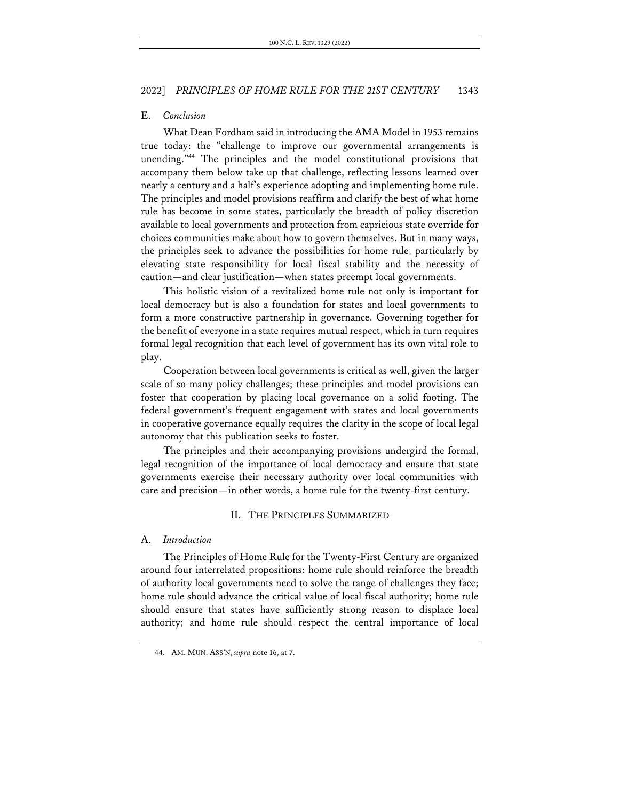### E. *Conclusion*

What Dean Fordham said in introducing the AMA Model in 1953 remains true today: the "challenge to improve our governmental arrangements is unending."44 The principles and the model constitutional provisions that accompany them below take up that challenge, reflecting lessons learned over nearly a century and a half's experience adopting and implementing home rule. The principles and model provisions reaffirm and clarify the best of what home rule has become in some states, particularly the breadth of policy discretion available to local governments and protection from capricious state override for choices communities make about how to govern themselves. But in many ways, the principles seek to advance the possibilities for home rule, particularly by elevating state responsibility for local fiscal stability and the necessity of caution—and clear justification—when states preempt local governments.

This holistic vision of a revitalized home rule not only is important for local democracy but is also a foundation for states and local governments to form a more constructive partnership in governance. Governing together for the benefit of everyone in a state requires mutual respect, which in turn requires formal legal recognition that each level of government has its own vital role to play.

Cooperation between local governments is critical as well, given the larger scale of so many policy challenges; these principles and model provisions can foster that cooperation by placing local governance on a solid footing. The federal government's frequent engagement with states and local governments in cooperative governance equally requires the clarity in the scope of local legal autonomy that this publication seeks to foster.

The principles and their accompanying provisions undergird the formal, legal recognition of the importance of local democracy and ensure that state governments exercise their necessary authority over local communities with care and precision—in other words, a home rule for the twenty-first century.

### II. THE PRINCIPLES SUMMARIZED

### A. *Introduction*

The Principles of Home Rule for the Twenty-First Century are organized around four interrelated propositions: home rule should reinforce the breadth of authority local governments need to solve the range of challenges they face; home rule should advance the critical value of local fiscal authority; home rule should ensure that states have sufficiently strong reason to displace local authority; and home rule should respect the central importance of local

<sup>44.</sup> AM. MUN. ASS'N, *supra* note 16, at 7.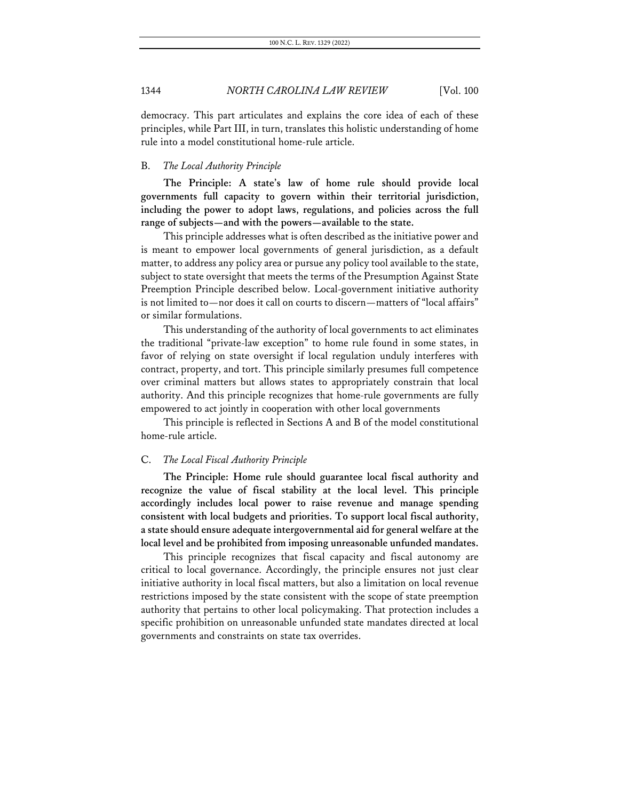democracy. This part articulates and explains the core idea of each of these principles, while Part III, in turn, translates this holistic understanding of home rule into a model constitutional home-rule article.

### B. *The Local Authority Principle*

**The Principle: A state's law of home rule should provide local governments full capacity to govern within their territorial jurisdiction, including the power to adopt laws, regulations, and policies across the full range of subjects—and with the powers—available to the state.**

This principle addresses what is often described as the initiative power and is meant to empower local governments of general jurisdiction, as a default matter, to address any policy area or pursue any policy tool available to the state, subject to state oversight that meets the terms of the Presumption Against State Preemption Principle described below. Local-government initiative authority is not limited to—nor does it call on courts to discern—matters of "local affairs" or similar formulations.

This understanding of the authority of local governments to act eliminates the traditional "private-law exception" to home rule found in some states, in favor of relying on state oversight if local regulation unduly interferes with contract, property, and tort. This principle similarly presumes full competence over criminal matters but allows states to appropriately constrain that local authority. And this principle recognizes that home-rule governments are fully empowered to act jointly in cooperation with other local governments

This principle is reflected in Sections A and B of the model constitutional home-rule article.

### C. *The Local Fiscal Authority Principle*

**The Principle: Home rule should guarantee local fiscal authority and recognize the value of fiscal stability at the local level. This principle accordingly includes local power to raise revenue and manage spending consistent with local budgets and priorities. To support local fiscal authority, a state should ensure adequate intergovernmental aid for general welfare at the local level and be prohibited from imposing unreasonable unfunded mandates.**

This principle recognizes that fiscal capacity and fiscal autonomy are critical to local governance. Accordingly, the principle ensures not just clear initiative authority in local fiscal matters, but also a limitation on local revenue restrictions imposed by the state consistent with the scope of state preemption authority that pertains to other local policymaking. That protection includes a specific prohibition on unreasonable unfunded state mandates directed at local governments and constraints on state tax overrides.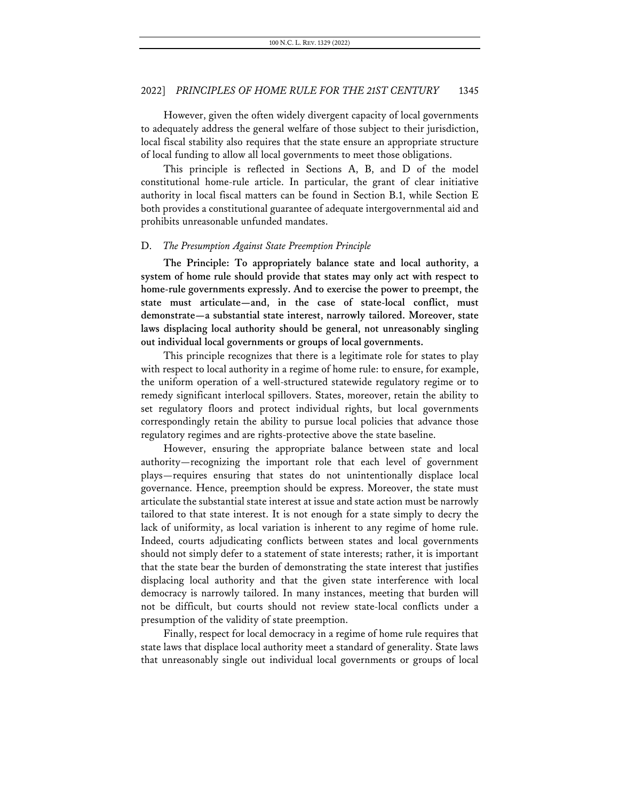However, given the often widely divergent capacity of local governments to adequately address the general welfare of those subject to their jurisdiction, local fiscal stability also requires that the state ensure an appropriate structure of local funding to allow all local governments to meet those obligations.

This principle is reflected in Sections A, B, and D of the model constitutional home-rule article. In particular, the grant of clear initiative authority in local fiscal matters can be found in Section B.1, while Section E both provides a constitutional guarantee of adequate intergovernmental aid and prohibits unreasonable unfunded mandates.

#### D. *The Presumption Against State Preemption Principle*

**The Principle: To appropriately balance state and local authority, a system of home rule should provide that states may only act with respect to home-rule governments expressly. And to exercise the power to preempt, the state must articulate—and, in the case of state-local conflict, must demonstrate—a substantial state interest, narrowly tailored. Moreover, state laws displacing local authority should be general, not unreasonably singling out individual local governments or groups of local governments.**

This principle recognizes that there is a legitimate role for states to play with respect to local authority in a regime of home rule: to ensure, for example, the uniform operation of a well-structured statewide regulatory regime or to remedy significant interlocal spillovers. States, moreover, retain the ability to set regulatory floors and protect individual rights, but local governments correspondingly retain the ability to pursue local policies that advance those regulatory regimes and are rights-protective above the state baseline.

However, ensuring the appropriate balance between state and local authority—recognizing the important role that each level of government plays—requires ensuring that states do not unintentionally displace local governance. Hence, preemption should be express. Moreover, the state must articulate the substantial state interest at issue and state action must be narrowly tailored to that state interest. It is not enough for a state simply to decry the lack of uniformity, as local variation is inherent to any regime of home rule. Indeed, courts adjudicating conflicts between states and local governments should not simply defer to a statement of state interests; rather, it is important that the state bear the burden of demonstrating the state interest that justifies displacing local authority and that the given state interference with local democracy is narrowly tailored. In many instances, meeting that burden will not be difficult, but courts should not review state-local conflicts under a presumption of the validity of state preemption.

Finally, respect for local democracy in a regime of home rule requires that state laws that displace local authority meet a standard of generality. State laws that unreasonably single out individual local governments or groups of local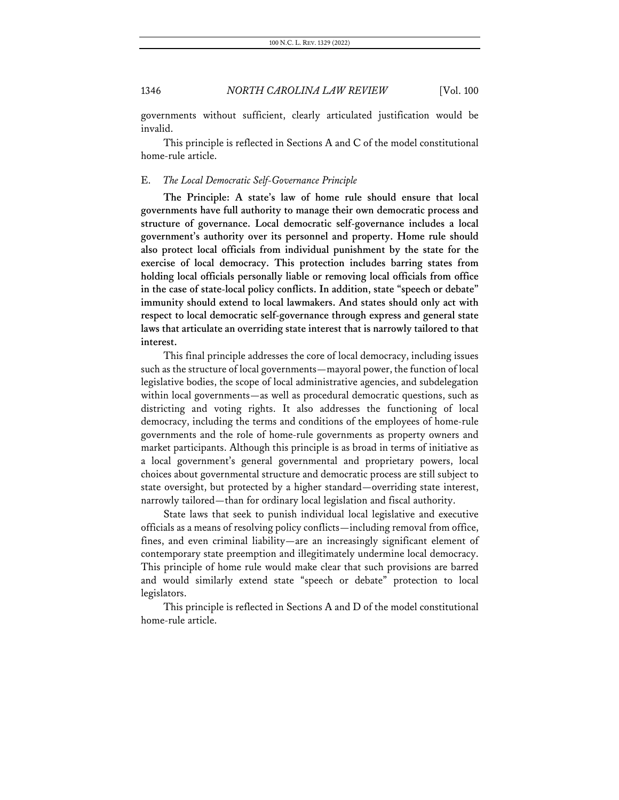governments without sufficient, clearly articulated justification would be invalid.

This principle is reflected in Sections A and C of the model constitutional home-rule article.

### E. *The Local Democratic Self-Governance Principle*

**The Principle: A state's law of home rule should ensure that local governments have full authority to manage their own democratic process and structure of governance. Local democratic self-governance includes a local government's authority over its personnel and property. Home rule should also protect local officials from individual punishment by the state for the exercise of local democracy. This protection includes barring states from holding local officials personally liable or removing local officials from office in the case of state-local policy conflicts. In addition, state "speech or debate" immunity should extend to local lawmakers. And states should only act with respect to local democratic self-governance through express and general state laws that articulate an overriding state interest that is narrowly tailored to that interest.**

This final principle addresses the core of local democracy, including issues such as the structure of local governments—mayoral power, the function of local legislative bodies, the scope of local administrative agencies, and subdelegation within local governments—as well as procedural democratic questions, such as districting and voting rights. It also addresses the functioning of local democracy, including the terms and conditions of the employees of home-rule governments and the role of home-rule governments as property owners and market participants. Although this principle is as broad in terms of initiative as a local government's general governmental and proprietary powers, local choices about governmental structure and democratic process are still subject to state oversight, but protected by a higher standard—overriding state interest, narrowly tailored—than for ordinary local legislation and fiscal authority.

State laws that seek to punish individual local legislative and executive officials as a means of resolving policy conflicts—including removal from office, fines, and even criminal liability—are an increasingly significant element of contemporary state preemption and illegitimately undermine local democracy. This principle of home rule would make clear that such provisions are barred and would similarly extend state "speech or debate" protection to local legislators.

This principle is reflected in Sections A and D of the model constitutional home-rule article.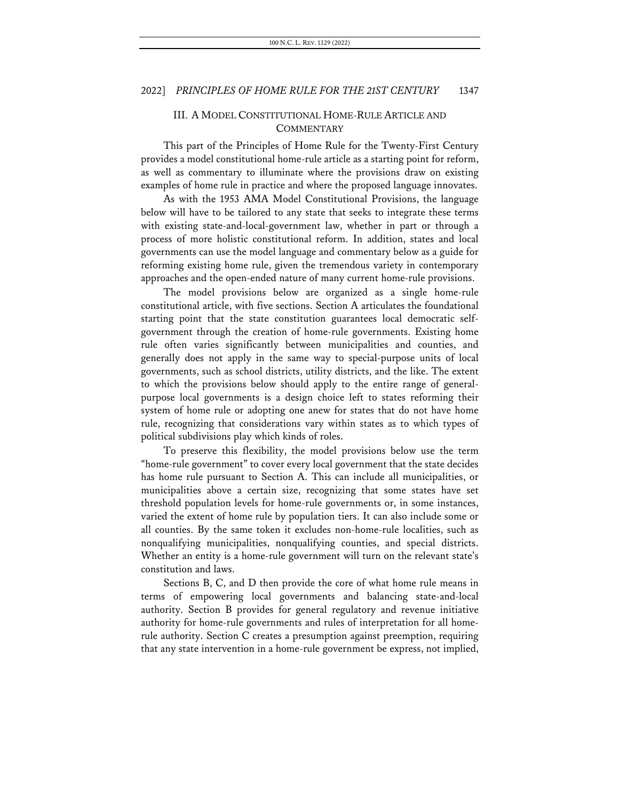## III. A MODEL CONSTITUTIONAL HOME-RULE ARTICLE AND **COMMENTARY**

This part of the Principles of Home Rule for the Twenty-First Century provides a model constitutional home-rule article as a starting point for reform, as well as commentary to illuminate where the provisions draw on existing examples of home rule in practice and where the proposed language innovates.

As with the 1953 AMA Model Constitutional Provisions, the language below will have to be tailored to any state that seeks to integrate these terms with existing state-and-local-government law, whether in part or through a process of more holistic constitutional reform. In addition, states and local governments can use the model language and commentary below as a guide for reforming existing home rule, given the tremendous variety in contemporary approaches and the open-ended nature of many current home-rule provisions.

The model provisions below are organized as a single home-rule constitutional article, with five sections. Section A articulates the foundational starting point that the state constitution guarantees local democratic selfgovernment through the creation of home-rule governments. Existing home rule often varies significantly between municipalities and counties, and generally does not apply in the same way to special-purpose units of local governments, such as school districts, utility districts, and the like. The extent to which the provisions below should apply to the entire range of generalpurpose local governments is a design choice left to states reforming their system of home rule or adopting one anew for states that do not have home rule, recognizing that considerations vary within states as to which types of political subdivisions play which kinds of roles.

To preserve this flexibility, the model provisions below use the term "home-rule government" to cover every local government that the state decides has home rule pursuant to Section A. This can include all municipalities, or municipalities above a certain size, recognizing that some states have set threshold population levels for home-rule governments or, in some instances, varied the extent of home rule by population tiers. It can also include some or all counties. By the same token it excludes non-home-rule localities, such as nonqualifying municipalities, nonqualifying counties, and special districts. Whether an entity is a home-rule government will turn on the relevant state's constitution and laws.

Sections B, C, and D then provide the core of what home rule means in terms of empowering local governments and balancing state-and-local authority. Section B provides for general regulatory and revenue initiative authority for home-rule governments and rules of interpretation for all homerule authority. Section C creates a presumption against preemption, requiring that any state intervention in a home-rule government be express, not implied,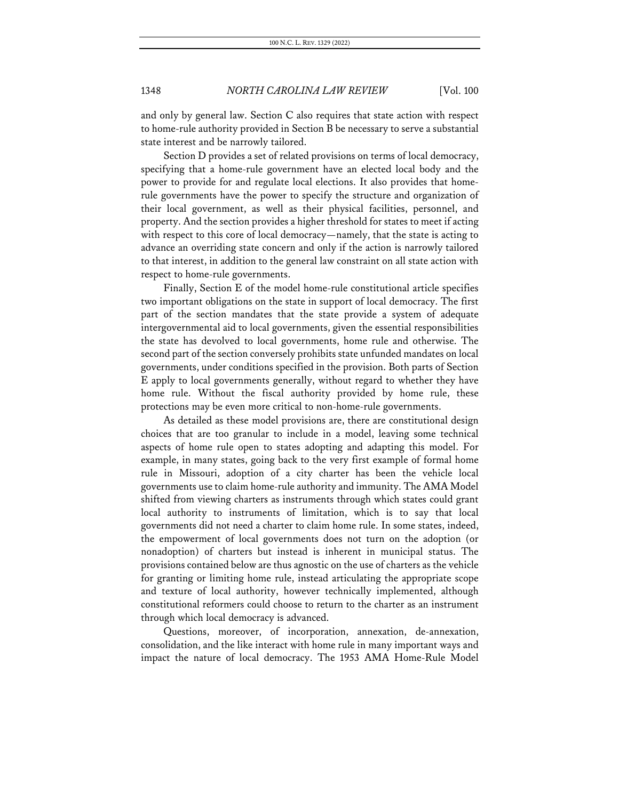and only by general law. Section C also requires that state action with respect to home-rule authority provided in Section B be necessary to serve a substantial state interest and be narrowly tailored.

Section D provides a set of related provisions on terms of local democracy, specifying that a home-rule government have an elected local body and the power to provide for and regulate local elections. It also provides that homerule governments have the power to specify the structure and organization of their local government, as well as their physical facilities, personnel, and property. And the section provides a higher threshold for states to meet if acting with respect to this core of local democracy—namely, that the state is acting to advance an overriding state concern and only if the action is narrowly tailored to that interest, in addition to the general law constraint on all state action with respect to home-rule governments.

Finally, Section E of the model home-rule constitutional article specifies two important obligations on the state in support of local democracy. The first part of the section mandates that the state provide a system of adequate intergovernmental aid to local governments, given the essential responsibilities the state has devolved to local governments, home rule and otherwise. The second part of the section conversely prohibits state unfunded mandates on local governments, under conditions specified in the provision. Both parts of Section E apply to local governments generally, without regard to whether they have home rule. Without the fiscal authority provided by home rule, these protections may be even more critical to non-home-rule governments.

As detailed as these model provisions are, there are constitutional design choices that are too granular to include in a model, leaving some technical aspects of home rule open to states adopting and adapting this model. For example, in many states, going back to the very first example of formal home rule in Missouri, adoption of a city charter has been the vehicle local governments use to claim home-rule authority and immunity. The AMA Model shifted from viewing charters as instruments through which states could grant local authority to instruments of limitation, which is to say that local governments did not need a charter to claim home rule. In some states, indeed, the empowerment of local governments does not turn on the adoption (or nonadoption) of charters but instead is inherent in municipal status. The provisions contained below are thus agnostic on the use of charters as the vehicle for granting or limiting home rule, instead articulating the appropriate scope and texture of local authority, however technically implemented, although constitutional reformers could choose to return to the charter as an instrument through which local democracy is advanced.

Questions, moreover, of incorporation, annexation, de-annexation, consolidation, and the like interact with home rule in many important ways and impact the nature of local democracy. The 1953 AMA Home-Rule Model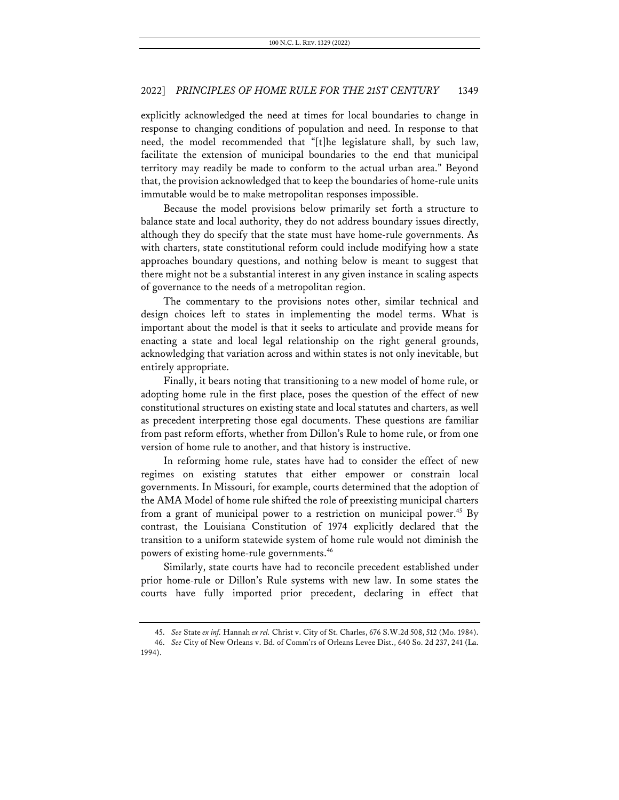explicitly acknowledged the need at times for local boundaries to change in response to changing conditions of population and need. In response to that need, the model recommended that "[t]he legislature shall, by such law, facilitate the extension of municipal boundaries to the end that municipal territory may readily be made to conform to the actual urban area." Beyond that, the provision acknowledged that to keep the boundaries of home-rule units immutable would be to make metropolitan responses impossible.

Because the model provisions below primarily set forth a structure to balance state and local authority, they do not address boundary issues directly, although they do specify that the state must have home-rule governments. As with charters, state constitutional reform could include modifying how a state approaches boundary questions, and nothing below is meant to suggest that there might not be a substantial interest in any given instance in scaling aspects of governance to the needs of a metropolitan region.

The commentary to the provisions notes other, similar technical and design choices left to states in implementing the model terms. What is important about the model is that it seeks to articulate and provide means for enacting a state and local legal relationship on the right general grounds, acknowledging that variation across and within states is not only inevitable, but entirely appropriate.

Finally, it bears noting that transitioning to a new model of home rule, or adopting home rule in the first place, poses the question of the effect of new constitutional structures on existing state and local statutes and charters, as well as precedent interpreting those egal documents. These questions are familiar from past reform efforts, whether from Dillon's Rule to home rule, or from one version of home rule to another, and that history is instructive.

In reforming home rule, states have had to consider the effect of new regimes on existing statutes that either empower or constrain local governments. In Missouri, for example, courts determined that the adoption of the AMA Model of home rule shifted the role of preexisting municipal charters from a grant of municipal power to a restriction on municipal power.<sup>45</sup> By contrast, the Louisiana Constitution of 1974 explicitly declared that the transition to a uniform statewide system of home rule would not diminish the powers of existing home-rule governments.46

Similarly, state courts have had to reconcile precedent established under prior home-rule or Dillon's Rule systems with new law. In some states the courts have fully imported prior precedent, declaring in effect that

<sup>45.</sup> *See* State *ex inf.* Hannah *ex rel.* Christ v. City of St. Charles, 676 S.W.2d 508, 512 (Mo. 1984).

<sup>46.</sup> *See* City of New Orleans v. Bd. of Comm'rs of Orleans Levee Dist., 640 So. 2d 237, 241 (La. 1994).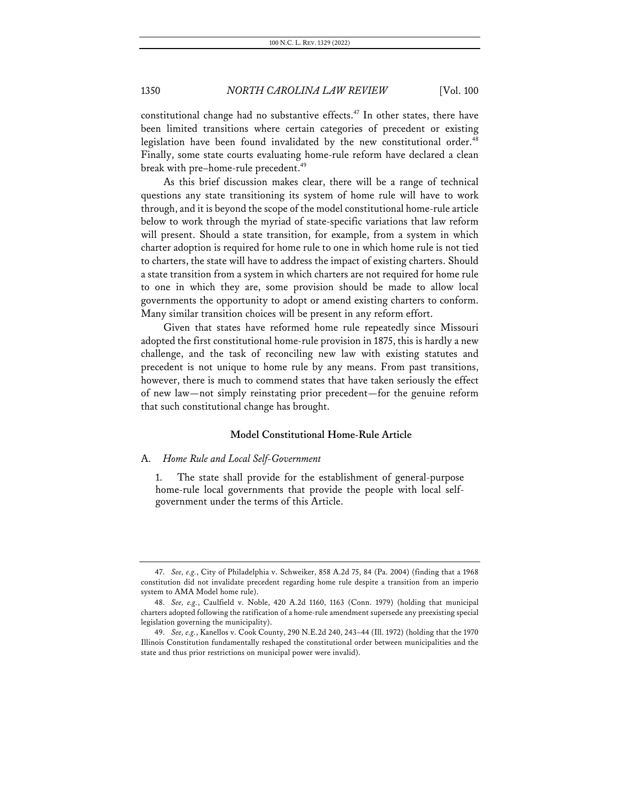constitutional change had no substantive effects.<sup>47</sup> In other states, there have been limited transitions where certain categories of precedent or existing legislation have been found invalidated by the new constitutional order.<sup>48</sup> Finally, some state courts evaluating home-rule reform have declared a clean break with pre–home-rule precedent.<sup>49</sup>

As this brief discussion makes clear, there will be a range of technical questions any state transitioning its system of home rule will have to work through, and it is beyond the scope of the model constitutional home-rule article below to work through the myriad of state-specific variations that law reform will present. Should a state transition, for example, from a system in which charter adoption is required for home rule to one in which home rule is not tied to charters, the state will have to address the impact of existing charters. Should a state transition from a system in which charters are not required for home rule to one in which they are, some provision should be made to allow local governments the opportunity to adopt or amend existing charters to conform. Many similar transition choices will be present in any reform effort.

Given that states have reformed home rule repeatedly since Missouri adopted the first constitutional home-rule provision in 1875, this is hardly a new challenge, and the task of reconciling new law with existing statutes and precedent is not unique to home rule by any means. From past transitions, however, there is much to commend states that have taken seriously the effect of new law—not simply reinstating prior precedent—for the genuine reform that such constitutional change has brought.

### **Model Constitutional Home-Rule Article**

### A. *Home Rule and Local Self-Government*

1. The state shall provide for the establishment of general-purpose home-rule local governments that provide the people with local selfgovernment under the terms of this Article.

<sup>47.</sup> *See, e.g.*, City of Philadelphia v. Schweiker, 858 A.2d 75, 84 (Pa. 2004) (finding that a 1968 constitution did not invalidate precedent regarding home rule despite a transition from an imperio system to AMA Model home rule).

<sup>48.</sup> *See, e.g.*, Caulfield v. Noble, 420 A.2d 1160, 1163 (Conn. 1979) (holding that municipal charters adopted following the ratification of a home-rule amendment supersede any preexisting special legislation governing the municipality).

<sup>49.</sup> *See, e.g.*, Kanellos v. Cook County, 290 N.E.2d 240, 243–44 (Ill. 1972) (holding that the 1970 Illinois Constitution fundamentally reshaped the constitutional order between municipalities and the state and thus prior restrictions on municipal power were invalid).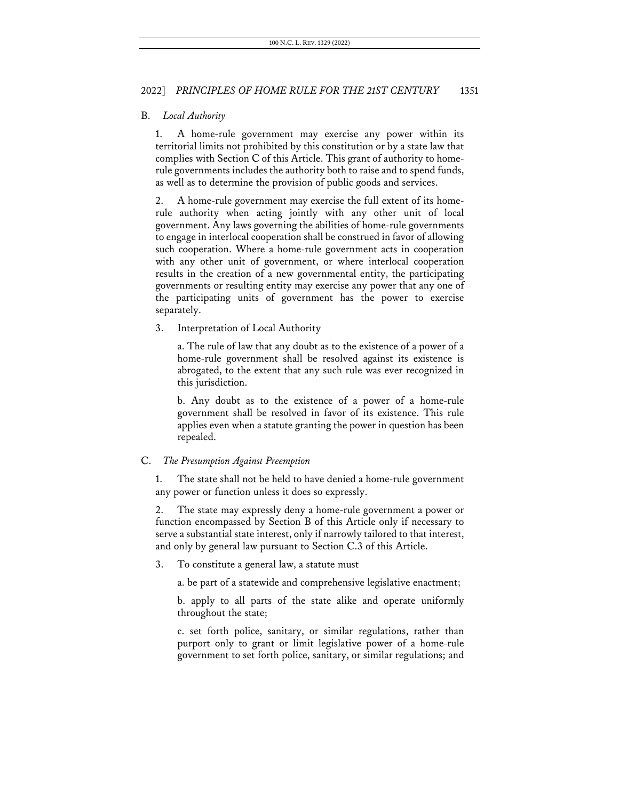### B. *Local Authority*

1. A home-rule government may exercise any power within its territorial limits not prohibited by this constitution or by a state law that complies with Section C of this Article. This grant of authority to homerule governments includes the authority both to raise and to spend funds, as well as to determine the provision of public goods and services.

2. A home-rule government may exercise the full extent of its homerule authority when acting jointly with any other unit of local government. Any laws governing the abilities of home-rule governments to engage in interlocal cooperation shall be construed in favor of allowing such cooperation. Where a home-rule government acts in cooperation with any other unit of government, or where interlocal cooperation results in the creation of a new governmental entity, the participating governments or resulting entity may exercise any power that any one of the participating units of government has the power to exercise separately.

3. Interpretation of Local Authority

a. The rule of law that any doubt as to the existence of a power of a home-rule government shall be resolved against its existence is abrogated, to the extent that any such rule was ever recognized in this jurisdiction.

b. Any doubt as to the existence of a power of a home-rule government shall be resolved in favor of its existence. This rule applies even when a statute granting the power in question has been repealed.

## C. *The Presumption Against Preemption*

The state shall not be held to have denied a home-rule government any power or function unless it does so expressly.

2. The state may expressly deny a home-rule government a power or function encompassed by Section B of this Article only if necessary to serve a substantial state interest, only if narrowly tailored to that interest, and only by general law pursuant to Section C.3 of this Article.

3. To constitute a general law, a statute must

a. be part of a statewide and comprehensive legislative enactment;

b. apply to all parts of the state alike and operate uniformly throughout the state;

c. set forth police, sanitary, or similar regulations, rather than purport only to grant or limit legislative power of a home-rule government to set forth police, sanitary, or similar regulations; and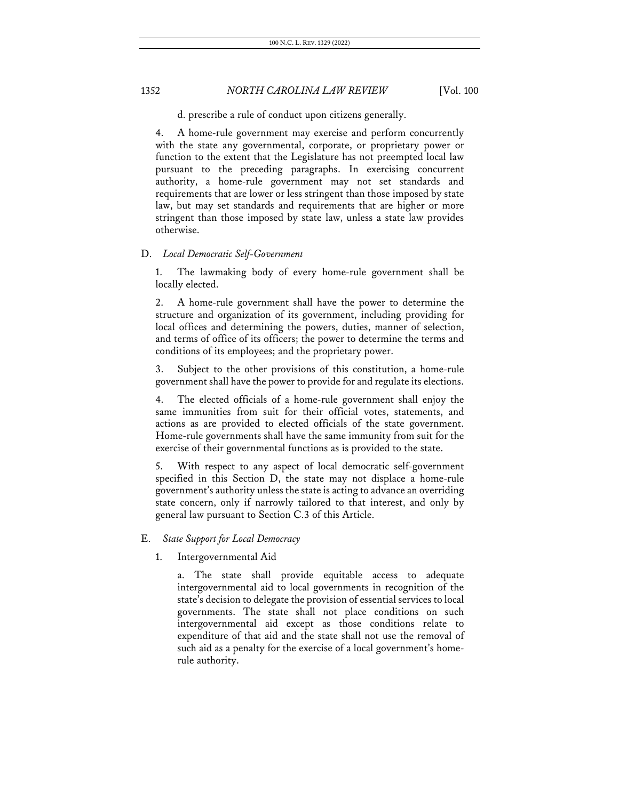d. prescribe a rule of conduct upon citizens generally.

4. A home-rule government may exercise and perform concurrently with the state any governmental, corporate, or proprietary power or function to the extent that the Legislature has not preempted local law pursuant to the preceding paragraphs. In exercising concurrent authority, a home-rule government may not set standards and requirements that are lower or less stringent than those imposed by state law, but may set standards and requirements that are higher or more stringent than those imposed by state law, unless a state law provides otherwise.

#### D. *Local Democratic Self-Government*

1. The lawmaking body of every home-rule government shall be locally elected.

2. A home-rule government shall have the power to determine the structure and organization of its government, including providing for local offices and determining the powers, duties, manner of selection, and terms of office of its officers; the power to determine the terms and conditions of its employees; and the proprietary power.

3. Subject to the other provisions of this constitution, a home-rule government shall have the power to provide for and regulate its elections.

4. The elected officials of a home-rule government shall enjoy the same immunities from suit for their official votes, statements, and actions as are provided to elected officials of the state government. Home-rule governments shall have the same immunity from suit for the exercise of their governmental functions as is provided to the state.

5. With respect to any aspect of local democratic self-government specified in this Section D, the state may not displace a home-rule government's authority unless the state is acting to advance an overriding state concern, only if narrowly tailored to that interest, and only by general law pursuant to Section C.3 of this Article.

### E. *State Support for Local Democracy*

### 1. Intergovernmental Aid

a. The state shall provide equitable access to adequate intergovernmental aid to local governments in recognition of the state's decision to delegate the provision of essential services to local governments. The state shall not place conditions on such intergovernmental aid except as those conditions relate to expenditure of that aid and the state shall not use the removal of such aid as a penalty for the exercise of a local government's homerule authority.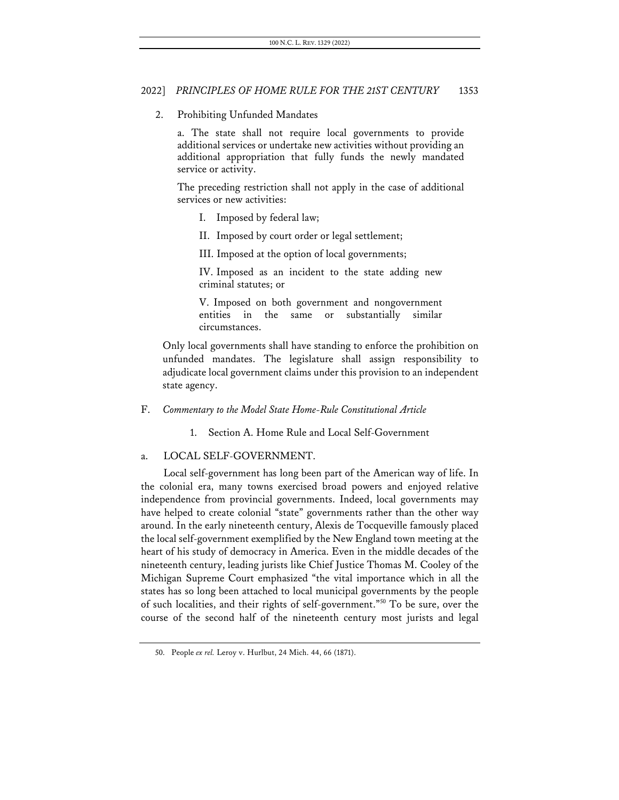### 2. Prohibiting Unfunded Mandates

a. The state shall not require local governments to provide additional services or undertake new activities without providing an additional appropriation that fully funds the newly mandated service or activity.

The preceding restriction shall not apply in the case of additional services or new activities:

- I. Imposed by federal law;
- II. Imposed by court order or legal settlement;

III. Imposed at the option of local governments;

IV. Imposed as an incident to the state adding new criminal statutes; or

V. Imposed on both government and nongovernment entities in the same or substantially similar circumstances.

Only local governments shall have standing to enforce the prohibition on unfunded mandates. The legislature shall assign responsibility to adjudicate local government claims under this provision to an independent state agency.

F. *Commentary to the Model State Home-Rule Constitutional Article*

1. Section A. Home Rule and Local Self-Government

### a. LOCAL SELF-GOVERNMENT.

Local self-government has long been part of the American way of life. In the colonial era, many towns exercised broad powers and enjoyed relative independence from provincial governments. Indeed, local governments may have helped to create colonial "state" governments rather than the other way around. In the early nineteenth century, Alexis de Tocqueville famously placed the local self-government exemplified by the New England town meeting at the heart of his study of democracy in America. Even in the middle decades of the nineteenth century, leading jurists like Chief Justice Thomas M. Cooley of the Michigan Supreme Court emphasized "the vital importance which in all the states has so long been attached to local municipal governments by the people of such localities, and their rights of self-government."50 To be sure, over the course of the second half of the nineteenth century most jurists and legal

<sup>50.</sup> People *ex rel.* Leroy v. Hurlbut, 24 Mich. 44, 66 (1871).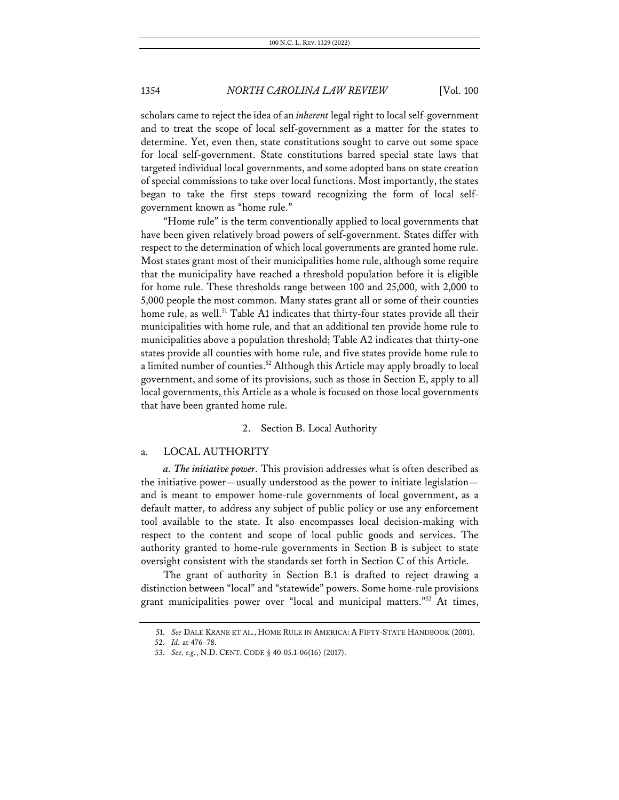scholars came to reject the idea of an *inherent* legal right to local self-government and to treat the scope of local self-government as a matter for the states to determine. Yet, even then, state constitutions sought to carve out some space for local self-government. State constitutions barred special state laws that targeted individual local governments, and some adopted bans on state creation of special commissions to take over local functions. Most importantly, the states began to take the first steps toward recognizing the form of local selfgovernment known as "home rule."

"Home rule" is the term conventionally applied to local governments that have been given relatively broad powers of self-government. States differ with respect to the determination of which local governments are granted home rule. Most states grant most of their municipalities home rule, although some require that the municipality have reached a threshold population before it is eligible for home rule. These thresholds range between 100 and 25,000, with 2,000 to 5,000 people the most common. Many states grant all or some of their counties home rule, as well.<sup>51</sup> Table A1 indicates that thirty-four states provide all their municipalities with home rule, and that an additional ten provide home rule to municipalities above a population threshold; Table A2 indicates that thirty-one states provide all counties with home rule, and five states provide home rule to a limited number of counties.<sup>52</sup> Although this Article may apply broadly to local government, and some of its provisions, such as those in Section E, apply to all local governments, this Article as a whole is focused on those local governments that have been granted home rule.

### 2. Section B. Local Authority

### a. LOCAL AUTHORITY

*a. The initiative power.* This provision addresses what is often described as the initiative power—usually understood as the power to initiate legislation and is meant to empower home-rule governments of local government, as a default matter, to address any subject of public policy or use any enforcement tool available to the state. It also encompasses local decision-making with respect to the content and scope of local public goods and services. The authority granted to home-rule governments in Section B is subject to state oversight consistent with the standards set forth in Section C of this Article.

The grant of authority in Section B.1 is drafted to reject drawing a distinction between "local" and "statewide" powers. Some home-rule provisions grant municipalities power over "local and municipal matters."53 At times,

<sup>51.</sup> *See* DALE KRANE ET AL., HOME RULE IN AMERICA: A FIFTY-STATE HANDBOOK (2001).

<sup>52.</sup> *Id.* at 476–78.

<sup>53.</sup> *See, e.g.*, N.D. CENT. CODE § 40-05.1-06(16) (2017).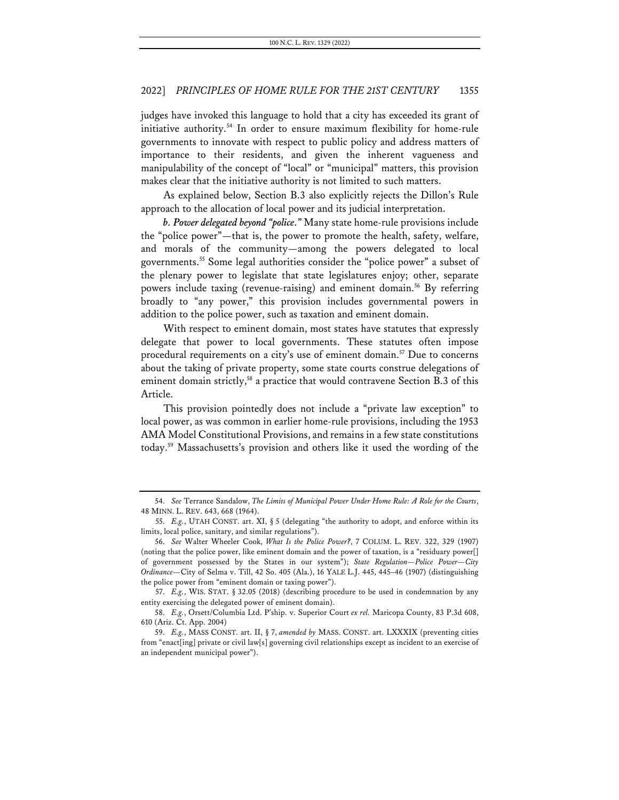judges have invoked this language to hold that a city has exceeded its grant of initiative authority.<sup>54</sup> In order to ensure maximum flexibility for home-rule governments to innovate with respect to public policy and address matters of importance to their residents, and given the inherent vagueness and manipulability of the concept of "local" or "municipal" matters, this provision makes clear that the initiative authority is not limited to such matters.

As explained below, Section B.3 also explicitly rejects the Dillon's Rule approach to the allocation of local power and its judicial interpretation.

*b. Power delegated beyond "police."* Many state home-rule provisions include the "police power"—that is, the power to promote the health, safety, welfare, and morals of the community—among the powers delegated to local governments.55 Some legal authorities consider the "police power" a subset of the plenary power to legislate that state legislatures enjoy; other, separate powers include taxing (revenue-raising) and eminent domain.<sup>56</sup> By referring broadly to "any power," this provision includes governmental powers in addition to the police power, such as taxation and eminent domain.

With respect to eminent domain, most states have statutes that expressly delegate that power to local governments. These statutes often impose procedural requirements on a city's use of eminent domain.<sup>57</sup> Due to concerns about the taking of private property, some state courts construe delegations of eminent domain strictly,<sup>58</sup> a practice that would contravene Section B.3 of this Article.

This provision pointedly does not include a "private law exception" to local power, as was common in earlier home-rule provisions, including the 1953 AMA Model Constitutional Provisions, and remains in a few state constitutions today.59 Massachusetts's provision and others like it used the wording of the

<sup>54.</sup> *See* Terrance Sandalow, *The Limits of Municipal Power Under Home Rule: A Role for the Courts*, 48 MINN. L. REV. 643, 668 (1964).

<sup>55.</sup> *E.g.*, UTAH CONST. art. XI, § 5 (delegating "the authority to adopt, and enforce within its limits, local police, sanitary, and similar regulations").

<sup>56.</sup> *See* Walter Wheeler Cook, *What Is the Police Power?*, 7 COLUM. L. REV. 322, 329 (1907) (noting that the police power, like eminent domain and the power of taxation, is a "residuary power[] of government possessed by the States in our system"); *State Regulation—Police Power—City Ordinance—*City of Selma v. Till, 42 So. 405 (Ala.), 16 YALE L.J. 445, 445–46 (1907) (distinguishing the police power from "eminent domain or taxing power").

<sup>57.</sup> *E.g.*, WIS. STAT. § 32.05 (2018) (describing procedure to be used in condemnation by any entity exercising the delegated power of eminent domain).

<sup>58.</sup> *E.g.*, Orsett/Columbia Ltd. P'ship. v. Superior Court *ex rel.* Maricopa County, 83 P.3d 608, 610 (Ariz. Ct. App. 2004)

<sup>59.</sup> *E.g.*, MASS CONST. art. II, § 7, *amended by* MASS. CONST. art. LXXXIX (preventing cities from "enact[ing] private or civil law[s] governing civil relationships except as incident to an exercise of an independent municipal power").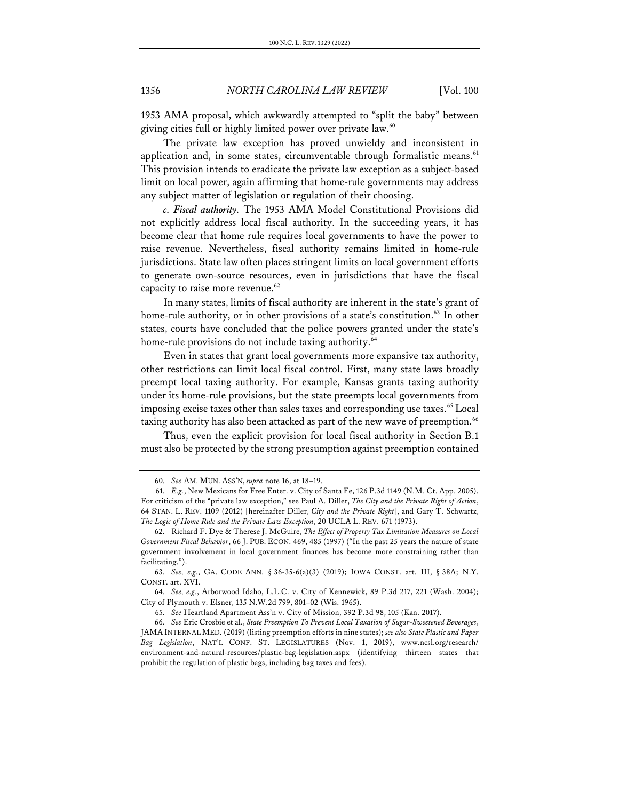1953 AMA proposal, which awkwardly attempted to "split the baby" between giving cities full or highly limited power over private law.<sup>60</sup>

The private law exception has proved unwieldy and inconsistent in application and, in some states, circumventable through formalistic means.<sup>61</sup> This provision intends to eradicate the private law exception as a subject-based limit on local power, again affirming that home-rule governments may address any subject matter of legislation or regulation of their choosing.

*c. Fiscal authority.* The 1953 AMA Model Constitutional Provisions did not explicitly address local fiscal authority. In the succeeding years, it has become clear that home rule requires local governments to have the power to raise revenue. Nevertheless, fiscal authority remains limited in home-rule jurisdictions. State law often places stringent limits on local government efforts to generate own-source resources, even in jurisdictions that have the fiscal capacity to raise more revenue.<sup>62</sup>

In many states, limits of fiscal authority are inherent in the state's grant of home-rule authority, or in other provisions of a state's constitution.<sup>63</sup> In other states, courts have concluded that the police powers granted under the state's home-rule provisions do not include taxing authority.<sup>64</sup>

Even in states that grant local governments more expansive tax authority, other restrictions can limit local fiscal control. First, many state laws broadly preempt local taxing authority. For example, Kansas grants taxing authority under its home-rule provisions, but the state preempts local governments from imposing excise taxes other than sales taxes and corresponding use taxes.<sup>65</sup> Local taxing authority has also been attacked as part of the new wave of preemption.<sup>66</sup>

Thus, even the explicit provision for local fiscal authority in Section B.1 must also be protected by the strong presumption against preemption contained

<sup>60.</sup> *See* AM. MUN. ASS'N, *supra* note 16, at 18–19.

<sup>61.</sup> *E.g.*, New Mexicans for Free Enter. v. City of Santa Fe, 126 P.3d 1149 (N.M. Ct. App. 2005). For criticism of the "private law exception," see Paul A. Diller, *The City and the Private Right of Action*, 64 STAN. L. REV. 1109 (2012) [hereinafter Diller, *City and the Private Right*], and Gary T. Schwartz, *The Logic of Home Rule and the Private Law Exception*, 20 UCLA L. REV. 671 (1973).

<sup>62.</sup> Richard F. Dye & Therese J. McGuire, *The Effect of Property Tax Limitation Measures on Local Government Fiscal Behavior*, 66 J. PUB. ECON. 469, 485 (1997) ("In the past 25 years the nature of state government involvement in local government finances has become more constraining rather than facilitating.").

<sup>63.</sup> *See, e.g.*, GA. CODE ANN. § 36-35-6(a)(3) (2019); IOWA CONST. art. III, § 38A; N.Y. CONST. art. XVI.

<sup>64.</sup> *See, e.g.*, Arborwood Idaho, L.L.C. v. City of Kennewick, 89 P.3d 217, 221 (Wash. 2004); City of Plymouth v. Elsner, 135 N.W.2d 799, 801–02 (Wis. 1965).

<sup>65.</sup> *See* Heartland Apartment Ass'n v. City of Mission, 392 P.3d 98, 105 (Kan. 2017).

<sup>66.</sup> *See* Eric Crosbie et al., *State Preemption To Prevent Local Taxation of Sugar-Sweetened Beverages*, JAMA INTERNAL MED. (2019) (listing preemption efforts in nine states); *see also State Plastic and Paper Bag Legislation*, NAT'L CONF. ST. LEGISLATURES (Nov. 1, 2019), www.ncsl.org/research/ environment-and-natural-resources/plastic-bag-legislation.aspx (identifying thirteen states that prohibit the regulation of plastic bags, including bag taxes and fees).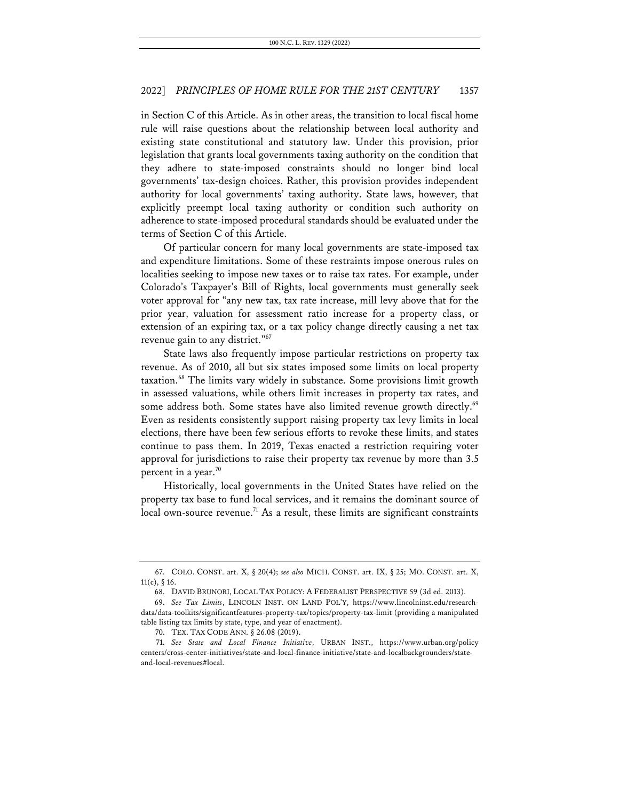in Section C of this Article. As in other areas, the transition to local fiscal home rule will raise questions about the relationship between local authority and existing state constitutional and statutory law. Under this provision, prior legislation that grants local governments taxing authority on the condition that they adhere to state-imposed constraints should no longer bind local governments' tax-design choices. Rather, this provision provides independent authority for local governments' taxing authority. State laws, however, that explicitly preempt local taxing authority or condition such authority on adherence to state-imposed procedural standards should be evaluated under the terms of Section C of this Article.

Of particular concern for many local governments are state-imposed tax and expenditure limitations. Some of these restraints impose onerous rules on localities seeking to impose new taxes or to raise tax rates. For example, under Colorado's Taxpayer's Bill of Rights, local governments must generally seek voter approval for "any new tax, tax rate increase, mill levy above that for the prior year, valuation for assessment ratio increase for a property class, or extension of an expiring tax, or a tax policy change directly causing a net tax revenue gain to any district."<sup>67</sup>

State laws also frequently impose particular restrictions on property tax revenue. As of 2010, all but six states imposed some limits on local property taxation.68 The limits vary widely in substance. Some provisions limit growth in assessed valuations, while others limit increases in property tax rates, and some address both. Some states have also limited revenue growth directly.<sup>69</sup> Even as residents consistently support raising property tax levy limits in local elections, there have been few serious efforts to revoke these limits, and states continue to pass them. In 2019, Texas enacted a restriction requiring voter approval for jurisdictions to raise their property tax revenue by more than 3.5 percent in a year. $70$ 

Historically, local governments in the United States have relied on the property tax base to fund local services, and it remains the dominant source of local own-source revenue.<sup>71</sup> As a result, these limits are significant constraints

<sup>67.</sup> COLO. CONST. art. X, § 20(4); *see also* MICH. CONST. art. IX, § 25; MO. CONST. art. X, 11(c), § 16.

<sup>68.</sup> DAVID BRUNORI, LOCAL TAX POLICY: A FEDERALIST PERSPECTIVE 59 (3d ed. 2013).

<sup>69.</sup> *See Tax Limits*, LINCOLN INST. ON LAND POL'Y, https://www.lincolninst.edu/researchdata/data-toolkits/significantfeatures-property-tax/topics/property-tax-limit (providing a manipulated table listing tax limits by state, type, and year of enactment).

<sup>70.</sup> TEX. TAX CODE ANN. § 26.08 (2019).

<sup>71.</sup> *See State and Local Finance Initiative*, URBAN INST., https://www.urban.org/policy centers/cross-center-initiatives/state-and-local-finance-initiative/state-and-localbackgrounders/stateand-local-revenues#local.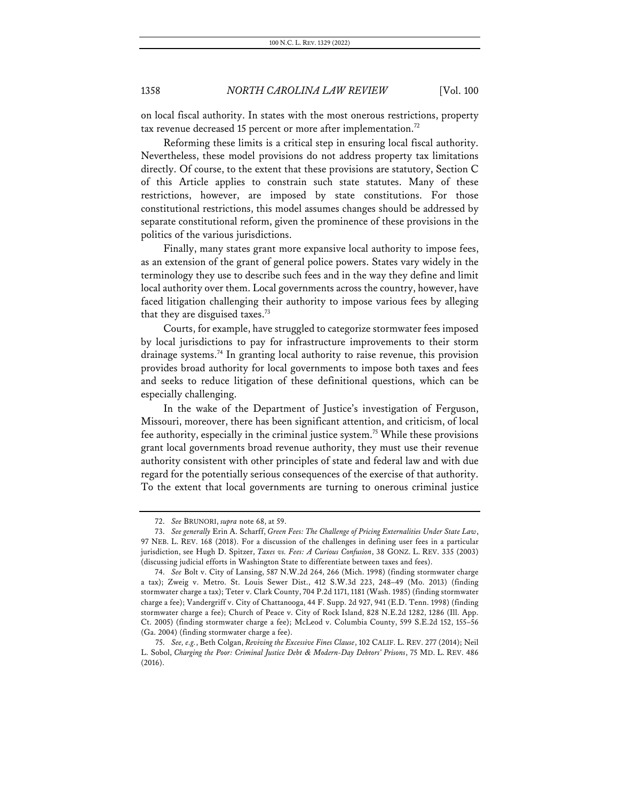on local fiscal authority. In states with the most onerous restrictions, property tax revenue decreased 15 percent or more after implementation.<sup>72</sup>

Reforming these limits is a critical step in ensuring local fiscal authority. Nevertheless, these model provisions do not address property tax limitations directly. Of course, to the extent that these provisions are statutory, Section C of this Article applies to constrain such state statutes. Many of these restrictions, however, are imposed by state constitutions. For those constitutional restrictions, this model assumes changes should be addressed by separate constitutional reform, given the prominence of these provisions in the politics of the various jurisdictions.

Finally, many states grant more expansive local authority to impose fees, as an extension of the grant of general police powers. States vary widely in the terminology they use to describe such fees and in the way they define and limit local authority over them. Local governments across the country, however, have faced litigation challenging their authority to impose various fees by alleging that they are disguised taxes. $73$ 

Courts, for example, have struggled to categorize stormwater fees imposed by local jurisdictions to pay for infrastructure improvements to their storm drainage systems.<sup>74</sup> In granting local authority to raise revenue, this provision provides broad authority for local governments to impose both taxes and fees and seeks to reduce litigation of these definitional questions, which can be especially challenging.

In the wake of the Department of Justice's investigation of Ferguson, Missouri, moreover, there has been significant attention, and criticism, of local fee authority, especially in the criminal justice system.75 While these provisions grant local governments broad revenue authority, they must use their revenue authority consistent with other principles of state and federal law and with due regard for the potentially serious consequences of the exercise of that authority. To the extent that local governments are turning to onerous criminal justice

<sup>72.</sup> *See* BRUNORI, *supra* note 68, at 59.

<sup>73.</sup> *See generally* Erin A. Scharff, *Green Fees: The Challenge of Pricing Externalities Under State Law*, 97 NEB. L. REV. 168 (2018). For a discussion of the challenges in defining user fees in a particular jurisdiction, see Hugh D. Spitzer, *Taxes vs. Fees: A Curious Confusion*, 38 GONZ. L. REV. 335 (2003) (discussing judicial efforts in Washington State to differentiate between taxes and fees).

<sup>74.</sup> *See* Bolt v. City of Lansing, 587 N.W.2d 264, 266 (Mich. 1998) (finding stormwater charge a tax); Zweig v. Metro. St. Louis Sewer Dist., 412 S.W.3d 223, 248–49 (Mo. 2013) (finding stormwater charge a tax); Teter v. Clark County, 704 P.2d 1171, 1181 (Wash. 1985) (finding stormwater charge a fee); Vandergriff v. City of Chattanooga, 44 F. Supp. 2d 927, 941 (E.D. Tenn. 1998) (finding stormwater charge a fee); Church of Peace v. City of Rock Island, 828 N.E.2d 1282, 1286 (Ill. App. Ct. 2005) (finding stormwater charge a fee); McLeod v. Columbia County, 599 S.E.2d 152, 155–56 (Ga. 2004) (finding stormwater charge a fee).

<sup>75.</sup> *See, e.g.*, Beth Colgan, *Reviving the Excessive Fines Clause*, 102 CALIF. L. REV. 277 (2014); Neil L. Sobol, *Charging the Poor: Criminal Justice Debt & Modern-Day Debtors' Prisons*, 75 MD. L. REV. 486 (2016).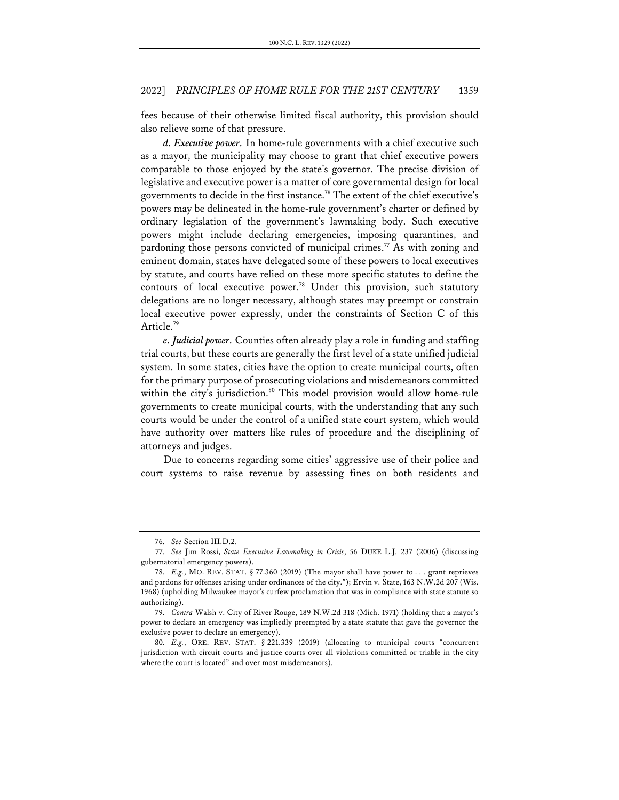fees because of their otherwise limited fiscal authority, this provision should also relieve some of that pressure.

*d. Executive power.* In home-rule governments with a chief executive such as a mayor, the municipality may choose to grant that chief executive powers comparable to those enjoyed by the state's governor. The precise division of legislative and executive power is a matter of core governmental design for local governments to decide in the first instance.76 The extent of the chief executive's powers may be delineated in the home-rule government's charter or defined by ordinary legislation of the government's lawmaking body. Such executive powers might include declaring emergencies, imposing quarantines, and pardoning those persons convicted of municipal crimes.<sup>77</sup> As with zoning and eminent domain, states have delegated some of these powers to local executives by statute, and courts have relied on these more specific statutes to define the contours of local executive power.<sup>78</sup> Under this provision, such statutory delegations are no longer necessary, although states may preempt or constrain local executive power expressly, under the constraints of Section C of this Article.<sup>79</sup>

*e. Judicial power.* Counties often already play a role in funding and staffing trial courts, but these courts are generally the first level of a state unified judicial system. In some states, cities have the option to create municipal courts, often for the primary purpose of prosecuting violations and misdemeanors committed within the city's jurisdiction.<sup>80</sup> This model provision would allow home-rule governments to create municipal courts, with the understanding that any such courts would be under the control of a unified state court system, which would have authority over matters like rules of procedure and the disciplining of attorneys and judges.

Due to concerns regarding some cities' aggressive use of their police and court systems to raise revenue by assessing fines on both residents and

<sup>76.</sup> *See* Section III.D.2.

<sup>77.</sup> *See* Jim Rossi, *State Executive Lawmaking in Crisis*, 56 DUKE L.J. 237 (2006) (discussing gubernatorial emergency powers).

<sup>78.</sup> *E.g.*, MO. REV. STAT. § 77.360 (2019) (The mayor shall have power to . . . grant reprieves and pardons for offenses arising under ordinances of the city."); Ervin v. State, 163 N.W.2d 207 (Wis. 1968) (upholding Milwaukee mayor's curfew proclamation that was in compliance with state statute so authorizing).

<sup>79.</sup> *Contra* Walsh v. City of River Rouge, 189 N.W.2d 318 (Mich. 1971) (holding that a mayor's power to declare an emergency was impliedly preempted by a state statute that gave the governor the exclusive power to declare an emergency).

<sup>80.</sup> *E.g.*, ORE. REV. STAT. § 221.339 (2019) (allocating to municipal courts "concurrent jurisdiction with circuit courts and justice courts over all violations committed or triable in the city where the court is located" and over most misdemeanors).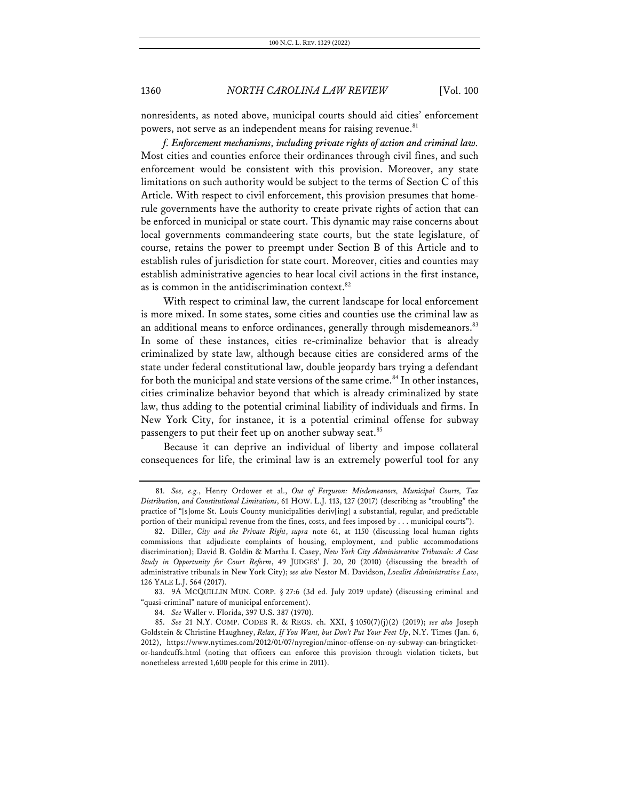nonresidents, as noted above, municipal courts should aid cities' enforcement powers, not serve as an independent means for raising revenue.<sup>81</sup>

*f. Enforcement mechanisms, including private rights of action and criminal law.* Most cities and counties enforce their ordinances through civil fines, and such enforcement would be consistent with this provision. Moreover, any state limitations on such authority would be subject to the terms of Section C of this Article. With respect to civil enforcement, this provision presumes that homerule governments have the authority to create private rights of action that can be enforced in municipal or state court. This dynamic may raise concerns about local governments commandeering state courts, but the state legislature, of course, retains the power to preempt under Section B of this Article and to establish rules of jurisdiction for state court. Moreover, cities and counties may establish administrative agencies to hear local civil actions in the first instance, as is common in the antidiscrimination context. $82$ 

With respect to criminal law, the current landscape for local enforcement is more mixed. In some states, some cities and counties use the criminal law as an additional means to enforce ordinances, generally through misdemeanors.<sup>83</sup> In some of these instances, cities re-criminalize behavior that is already criminalized by state law, although because cities are considered arms of the state under federal constitutional law, double jeopardy bars trying a defendant for both the municipal and state versions of the same crime.<sup>84</sup> In other instances, cities criminalize behavior beyond that which is already criminalized by state law, thus adding to the potential criminal liability of individuals and firms. In New York City, for instance, it is a potential criminal offense for subway passengers to put their feet up on another subway seat.<sup>85</sup>

Because it can deprive an individual of liberty and impose collateral consequences for life, the criminal law is an extremely powerful tool for any

83. 9A MCQUILLIN MUN. CORP. § 27:6 (3d ed. July 2019 update) (discussing criminal and "quasi-criminal" nature of municipal enforcement).

<sup>81.</sup> *See, e.g.*, Henry Ordower et al., *Out of Ferguson: Misdemeanors, Municipal Courts, Tax Distribution, and Constitutional Limitations*, 61 HOW. L.J. 113, 127 (2017) (describing as "troubling" the practice of "[s]ome St. Louis County municipalities deriv[ing] a substantial, regular, and predictable portion of their municipal revenue from the fines, costs, and fees imposed by . . . municipal courts").

<sup>82.</sup> Diller, *City and the Private Right*, *supra* note 61, at 1150 (discussing local human rights commissions that adjudicate complaints of housing, employment, and public accommodations discrimination); David B. Goldin & Martha I. Casey, *New York City Administrative Tribunals: A Case Study in Opportunity for Court Reform*, 49 JUDGES' J. 20, 20 (2010) (discussing the breadth of administrative tribunals in New York City); *see also* Nestor M. Davidson, *Localist Administrative Law*, 126 YALE L.J. 564 (2017).

<sup>84.</sup> *See* Waller v. Florida, 397 U.S. 387 (1970).

<sup>85.</sup> *See* 21 N.Y. COMP. CODES R. & REGS. ch. XXI, § 1050(7)(j)(2) (2019); *see also* Joseph Goldstein & Christine Haughney, *Relax, If You Want, but Don't Put Your Feet Up*, N.Y. Times (Jan. 6, 2012), https://www.nytimes.com/2012/01/07/nyregion/minor-offense-on-ny-subway-can-bringticketor-handcuffs.html (noting that officers can enforce this provision through violation tickets, but nonetheless arrested 1,600 people for this crime in 2011).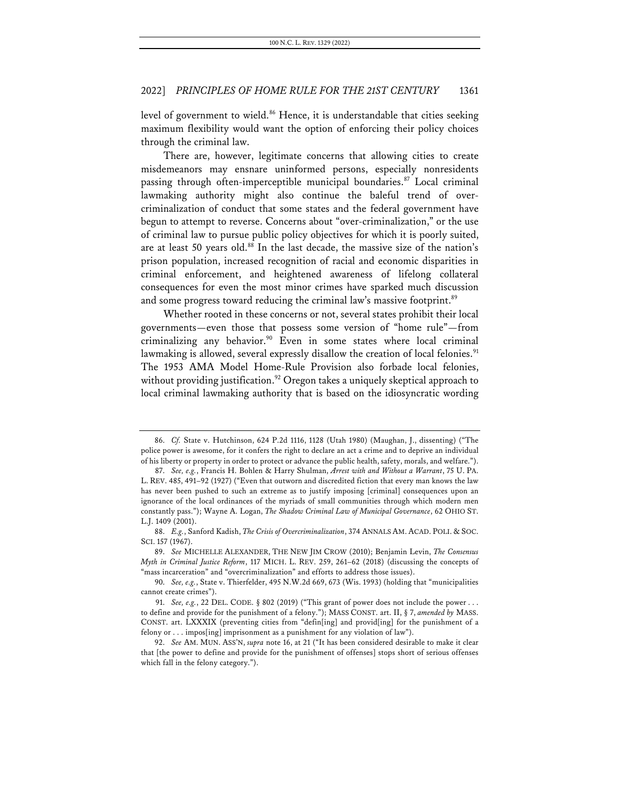level of government to wield.<sup>86</sup> Hence, it is understandable that cities seeking maximum flexibility would want the option of enforcing their policy choices through the criminal law.

There are, however, legitimate concerns that allowing cities to create misdemeanors may ensnare uninformed persons, especially nonresidents passing through often-imperceptible municipal boundaries.<sup>87</sup> Local criminal lawmaking authority might also continue the baleful trend of overcriminalization of conduct that some states and the federal government have begun to attempt to reverse. Concerns about "over-criminalization," or the use of criminal law to pursue public policy objectives for which it is poorly suited, are at least 50 years old.<sup>88</sup> In the last decade, the massive size of the nation's prison population, increased recognition of racial and economic disparities in criminal enforcement, and heightened awareness of lifelong collateral consequences for even the most minor crimes have sparked much discussion and some progress toward reducing the criminal law's massive footprint.<sup>89</sup>

Whether rooted in these concerns or not, several states prohibit their local governments—even those that possess some version of "home rule"—from criminalizing any behavior.<sup>90</sup> Even in some states where local criminal lawmaking is allowed, several expressly disallow the creation of local felonies. $91$ The 1953 AMA Model Home-Rule Provision also forbade local felonies, without providing justification.<sup>92</sup> Oregon takes a uniquely skeptical approach to local criminal lawmaking authority that is based on the idiosyncratic wording

<sup>86.</sup> *Cf.* State v. Hutchinson, 624 P.2d 1116, 1128 (Utah 1980) (Maughan, J., dissenting) ("The police power is awesome, for it confers the right to declare an act a crime and to deprive an individual of his liberty or property in order to protect or advance the public health, safety, morals, and welfare.").

<sup>87.</sup> *See, e.g.*, Francis H. Bohlen & Harry Shulman, *Arrest with and Without a Warrant*, 75 U. PA. L. REV. 485, 491–92 (1927) ("Even that outworn and discredited fiction that every man knows the law has never been pushed to such an extreme as to justify imposing [criminal] consequences upon an ignorance of the local ordinances of the myriads of small communities through which modern men constantly pass."); Wayne A. Logan, *The Shadow Criminal Law of Municipal Governance*, 62 OHIO ST. L.J. 1409 (2001).

<sup>88.</sup> *E.g.*, Sanford Kadish, *The Crisis of Overcriminalization*, 374 ANNALS AM. ACAD. POLI. & SOC. SCI. 157 (1967).

<sup>89.</sup> *See* MICHELLE ALEXANDER, THE NEW JIM CROW (2010); Benjamin Levin, *The Consensus Myth in Criminal Justice Reform*, 117 MICH. L. REV. 259, 261–62 (2018) (discussing the concepts of "mass incarceration" and "overcriminalization" and efforts to address those issues).

<sup>90.</sup> *See, e.g.*, State v. Thierfelder, 495 N.W.2d 669, 673 (Wis. 1993) (holding that "municipalities cannot create crimes").

<sup>91.</sup> *See, e.g.*, 22 DEL. CODE. § 802 (2019) ("This grant of power does not include the power . . . to define and provide for the punishment of a felony."); MASS CONST. art. II, § 7, *amended by* MASS. CONST. art. LXXXIX (preventing cities from "defin[ing] and provid[ing] for the punishment of a felony or . . . impos[ing] imprisonment as a punishment for any violation of law").

<sup>92.</sup> *See* AM. MUN. ASS'N, *supra* note 16, at 21 ("It has been considered desirable to make it clear that [the power to define and provide for the punishment of offenses] stops short of serious offenses which fall in the felony category.").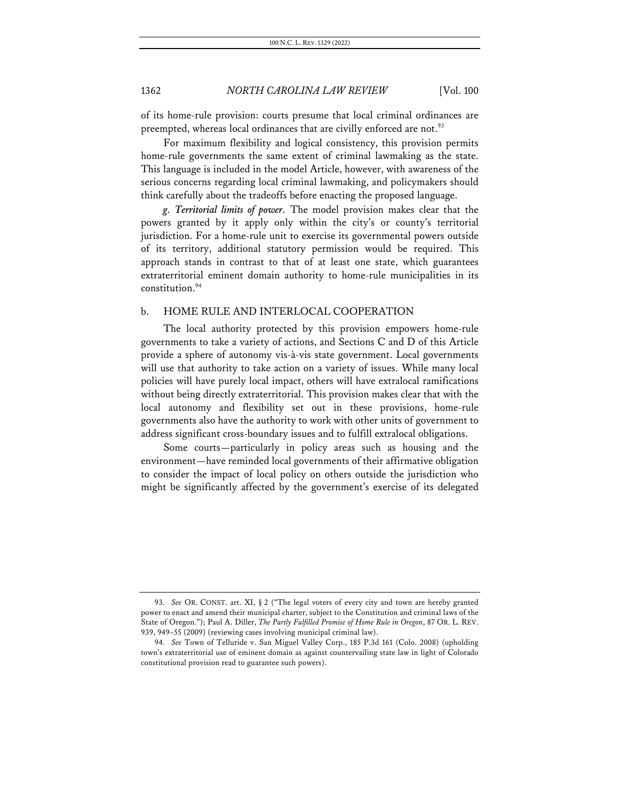of its home-rule provision: courts presume that local criminal ordinances are preempted, whereas local ordinances that are civilly enforced are not.<sup>93</sup>

For maximum flexibility and logical consistency, this provision permits home-rule governments the same extent of criminal lawmaking as the state. This language is included in the model Article, however, with awareness of the serious concerns regarding local criminal lawmaking, and policymakers should think carefully about the tradeoffs before enacting the proposed language.

*g. Territorial limits of power.* The model provision makes clear that the powers granted by it apply only within the city's or county's territorial jurisdiction. For a home-rule unit to exercise its governmental powers outside of its territory, additional statutory permission would be required. This approach stands in contrast to that of at least one state, which guarantees extraterritorial eminent domain authority to home-rule municipalities in its constitution.94

### b. HOME RULE AND INTERLOCAL COOPERATION

The local authority protected by this provision empowers home-rule governments to take a variety of actions, and Sections C and D of this Article provide a sphere of autonomy vis-à-vis state government. Local governments will use that authority to take action on a variety of issues. While many local policies will have purely local impact, others will have extralocal ramifications without being directly extraterritorial. This provision makes clear that with the local autonomy and flexibility set out in these provisions, home-rule governments also have the authority to work with other units of government to address significant cross-boundary issues and to fulfill extralocal obligations.

Some courts—particularly in policy areas such as housing and the environment—have reminded local governments of their affirmative obligation to consider the impact of local policy on others outside the jurisdiction who might be significantly affected by the government's exercise of its delegated

<sup>93.</sup> *See* OR. CONST. art. XI, § 2 ("The legal voters of every city and town are hereby granted power to enact and amend their municipal charter, subject to the Constitution and criminal laws of the State of Oregon."); Paul A. Diller, *The Partly Fulfilled Promise of Home Rule in Oregon*, 87 OR. L. REV. 939, 949–55 (2009) (reviewing cases involving municipal criminal law).

<sup>94.</sup> *See* Town of Telluride v. San Miguel Valley Corp., 185 P.3d 161 (Colo. 2008) (upholding town's extraterritorial use of eminent domain as against countervailing state law in light of Colorado constitutional provision read to guarantee such powers).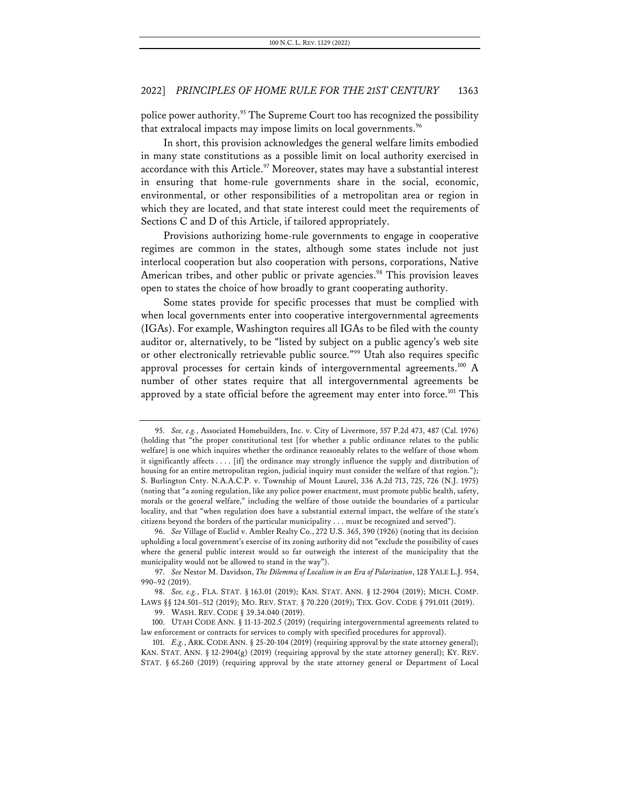police power authority.<sup>95</sup> The Supreme Court too has recognized the possibility that extralocal impacts may impose limits on local governments.<sup>96</sup>

In short, this provision acknowledges the general welfare limits embodied in many state constitutions as a possible limit on local authority exercised in accordance with this Article.<sup>97</sup> Moreover, states may have a substantial interest in ensuring that home-rule governments share in the social, economic, environmental, or other responsibilities of a metropolitan area or region in which they are located, and that state interest could meet the requirements of Sections C and D of this Article, if tailored appropriately.

Provisions authorizing home-rule governments to engage in cooperative regimes are common in the states, although some states include not just interlocal cooperation but also cooperation with persons, corporations, Native American tribes, and other public or private agencies.<sup>98</sup> This provision leaves open to states the choice of how broadly to grant cooperating authority.

Some states provide for specific processes that must be complied with when local governments enter into cooperative intergovernmental agreements (IGAs). For example, Washington requires all IGAs to be filed with the county auditor or, alternatively, to be "listed by subject on a public agency's web site or other electronically retrievable public source."99 Utah also requires specific approval processes for certain kinds of intergovernmental agreements.<sup>100</sup> A number of other states require that all intergovernmental agreements be approved by a state official before the agreement may enter into force.<sup>101</sup> This

<sup>95.</sup> *See, e.g.*, Associated Homebuilders, Inc. v. City of Livermore, 557 P.2d 473, 487 (Cal. 1976) (holding that "the proper constitutional test [for whether a public ordinance relates to the public welfare] is one which inquires whether the ordinance reasonably relates to the welfare of those whom it significantly affects . . . . [if] the ordinance may strongly influence the supply and distribution of housing for an entire metropolitan region, judicial inquiry must consider the welfare of that region."); S. Burlington Cnty. N.A.A.C.P. v. Township of Mount Laurel, 336 A.2d 713, 725, 726 (N.J. 1975) (noting that "a zoning regulation, like any police power enactment, must promote public health, safety, morals or the general welfare," including the welfare of those outside the boundaries of a particular locality, and that "when regulation does have a substantial external impact, the welfare of the state's citizens beyond the borders of the particular municipality . . . must be recognized and served").

<sup>96.</sup> *See* Village of Euclid v. Ambler Realty Co., 272 U.S. 365, 390 (1926) (noting that its decision upholding a local government's exercise of its zoning authority did not "exclude the possibility of cases where the general public interest would so far outweigh the interest of the municipality that the municipality would not be allowed to stand in the way").

<sup>97.</sup> *See* Nestor M. Davidson, *The Dilemma of Localism in an Era of Polarization*, 128 YALE L.J. 954, 990–92 (2019).

<sup>98.</sup> *See, e.g.*, FLA. STAT. § 163.01 (2019); KAN. STAT. ANN. § 12-2904 (2019); MICH. COMP. LAWS §§ 124.501–512 (2019); MO. REV. STAT. § 70.220 (2019); TEX. GOV. CODE § 791.011 (2019).

<sup>99.</sup> WASH. REV. CODE § 39.34.040 (2019).

<sup>100.</sup> UTAH CODE ANN. § 11-13-202.5 (2019) (requiring intergovernmental agreements related to law enforcement or contracts for services to comply with specified procedures for approval).

<sup>101.</sup> *E.g.*, ARK. CODE ANN. § 25-20-104 (2019) (requiring approval by the state attorney general); KAN. STAT. ANN.  $\S 12-2904(g)$  (2019) (requiring approval by the state attorney general); KY. REV. STAT. § 65.260 (2019) (requiring approval by the state attorney general or Department of Local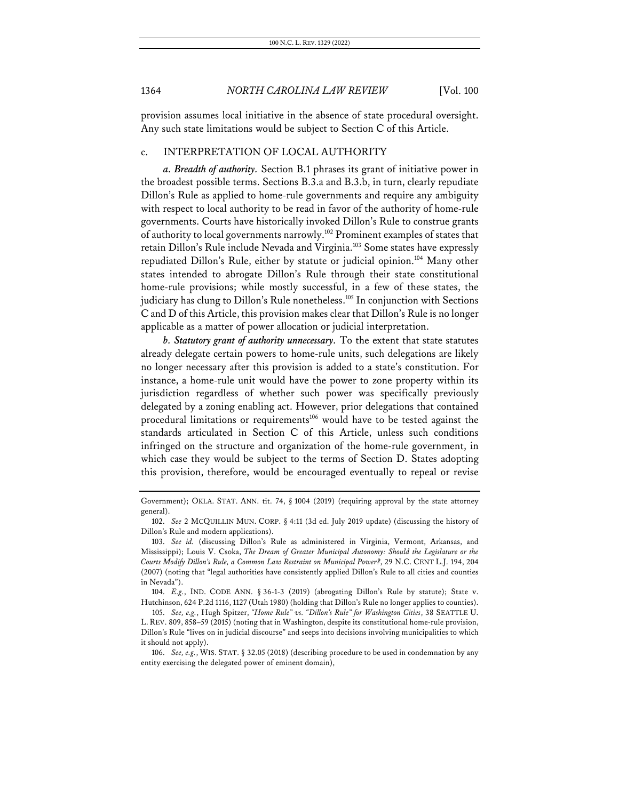provision assumes local initiative in the absence of state procedural oversight. Any such state limitations would be subject to Section C of this Article.

### c. INTERPRETATION OF LOCAL AUTHORITY

*a. Breadth of authority.* Section B.1 phrases its grant of initiative power in the broadest possible terms. Sections B.3.a and B.3.b, in turn, clearly repudiate Dillon's Rule as applied to home-rule governments and require any ambiguity with respect to local authority to be read in favor of the authority of home-rule governments. Courts have historically invoked Dillon's Rule to construe grants of authority to local governments narrowly.102 Prominent examples of states that retain Dillon's Rule include Nevada and Virginia.<sup>103</sup> Some states have expressly repudiated Dillon's Rule, either by statute or judicial opinion.<sup>104</sup> Many other states intended to abrogate Dillon's Rule through their state constitutional home-rule provisions; while mostly successful, in a few of these states, the judiciary has clung to Dillon's Rule nonetheless.<sup>105</sup> In conjunction with Sections C and D of this Article, this provision makes clear that Dillon's Rule is no longer applicable as a matter of power allocation or judicial interpretation.

*b. Statutory grant of authority unnecessary.* To the extent that state statutes already delegate certain powers to home-rule units, such delegations are likely no longer necessary after this provision is added to a state's constitution. For instance, a home-rule unit would have the power to zone property within its jurisdiction regardless of whether such power was specifically previously delegated by a zoning enabling act. However, prior delegations that contained procedural limitations or requirements<sup>106</sup> would have to be tested against the standards articulated in Section C of this Article, unless such conditions infringed on the structure and organization of the home-rule government, in which case they would be subject to the terms of Section D. States adopting this provision, therefore, would be encouraged eventually to repeal or revise

Government); OKLA. STAT. ANN. tit. 74, § 1004 (2019) (requiring approval by the state attorney general).

<sup>102.</sup> *See* 2 MCQUILLIN MUN. CORP. § 4:11 (3d ed. July 2019 update) (discussing the history of Dillon's Rule and modern applications).

<sup>103.</sup> *See id.* (discussing Dillon's Rule as administered in Virginia, Vermont, Arkansas, and Mississippi); Louis V. Csoka, *The Dream of Greater Municipal Autonomy: Should the Legislature or the Courts Modify Dillon's Rule, a Common Law Restraint on Municipal Power?*, 29 N.C. CENT L.J. 194, 204 (2007) (noting that "legal authorities have consistently applied Dillon's Rule to all cities and counties in Nevada").

<sup>104.</sup> *E.g.*, IND. CODE ANN. § 36-1-3 (2019) (abrogating Dillon's Rule by statute); State v. Hutchinson, 624 P.2d 1116, 1127 (Utah 1980) (holding that Dillon's Rule no longer applies to counties).

<sup>105.</sup> *See, e.g.*, Hugh Spitzer, *"Home Rule" vs. "Dillon's Rule" for Washington Cities*, 38 SEATTLE U. L. REV. 809, 858–59 (2015) (noting that in Washington, despite its constitutional home-rule provision, Dillon's Rule "lives on in judicial discourse" and seeps into decisions involving municipalities to which it should not apply).

<sup>106.</sup> *See, e.g.*, WIS. STAT. § 32.05 (2018) (describing procedure to be used in condemnation by any entity exercising the delegated power of eminent domain),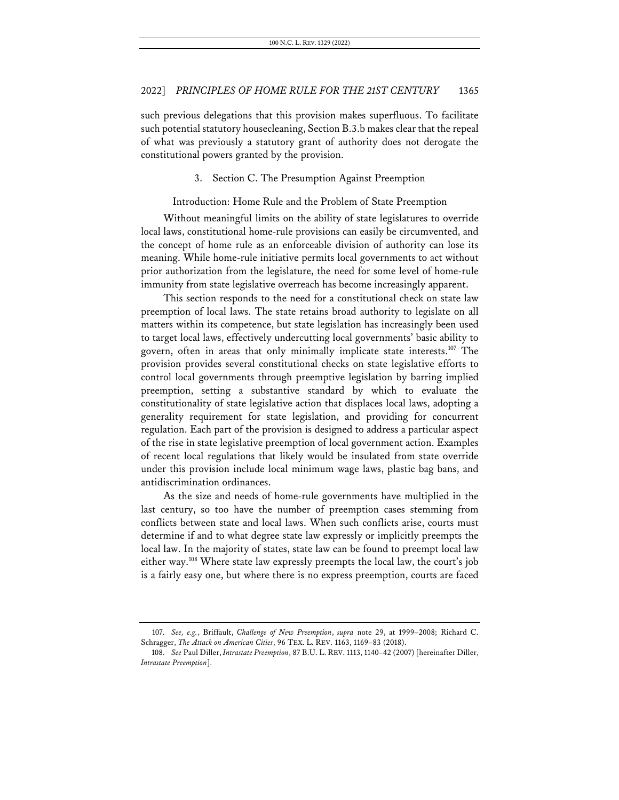such previous delegations that this provision makes superfluous. To facilitate such potential statutory housecleaning, Section B.3.b makes clear that the repeal of what was previously a statutory grant of authority does not derogate the constitutional powers granted by the provision.

3. Section C. The Presumption Against Preemption

Introduction: Home Rule and the Problem of State Preemption

Without meaningful limits on the ability of state legislatures to override local laws, constitutional home-rule provisions can easily be circumvented, and the concept of home rule as an enforceable division of authority can lose its meaning. While home-rule initiative permits local governments to act without prior authorization from the legislature, the need for some level of home-rule immunity from state legislative overreach has become increasingly apparent.

This section responds to the need for a constitutional check on state law preemption of local laws. The state retains broad authority to legislate on all matters within its competence, but state legislation has increasingly been used to target local laws, effectively undercutting local governments' basic ability to govern, often in areas that only minimally implicate state interests.107 The provision provides several constitutional checks on state legislative efforts to control local governments through preemptive legislation by barring implied preemption, setting a substantive standard by which to evaluate the constitutionality of state legislative action that displaces local laws, adopting a generality requirement for state legislation, and providing for concurrent regulation. Each part of the provision is designed to address a particular aspect of the rise in state legislative preemption of local government action. Examples of recent local regulations that likely would be insulated from state override under this provision include local minimum wage laws, plastic bag bans, and antidiscrimination ordinances.

As the size and needs of home-rule governments have multiplied in the last century, so too have the number of preemption cases stemming from conflicts between state and local laws. When such conflicts arise, courts must determine if and to what degree state law expressly or implicitly preempts the local law. In the majority of states, state law can be found to preempt local law either way.108 Where state law expressly preempts the local law, the court's job is a fairly easy one, but where there is no express preemption, courts are faced

<sup>107.</sup> *See, e.g.*, Briffault, *Challenge of New Preemption*, *supra* note 29, at 1999–2008; Richard C. Schragger, *The Attack on American Cities*, 96 TEX. L. REV. 1163, 1169–83 (2018).

<sup>108.</sup> *See* Paul Diller, *Intrastate Preemption*, 87 B.U. L. REV. 1113, 1140–42 (2007) [hereinafter Diller, *Intrastate Preemption*].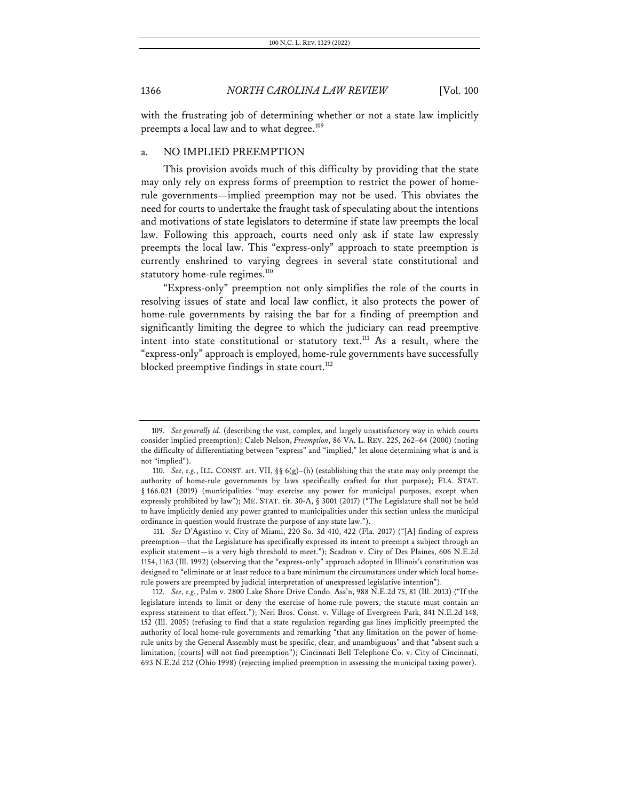with the frustrating job of determining whether or not a state law implicitly preempts a local law and to what degree.<sup>109</sup>

### a. NO IMPLIED PREEMPTION

This provision avoids much of this difficulty by providing that the state may only rely on express forms of preemption to restrict the power of homerule governments—implied preemption may not be used. This obviates the need for courts to undertake the fraught task of speculating about the intentions and motivations of state legislators to determine if state law preempts the local law. Following this approach, courts need only ask if state law expressly preempts the local law. This "express-only" approach to state preemption is currently enshrined to varying degrees in several state constitutional and statutory home-rule regimes.<sup>110</sup>

"Express-only" preemption not only simplifies the role of the courts in resolving issues of state and local law conflict, it also protects the power of home-rule governments by raising the bar for a finding of preemption and significantly limiting the degree to which the judiciary can read preemptive intent into state constitutional or statutory text.<sup>111</sup> As a result, where the "express-only" approach is employed, home-rule governments have successfully blocked preemptive findings in state court.<sup>112</sup>

111. *See* D'Agastino v. City of Miami, 220 So. 3d 410, 422 (Fla. 2017) ("[A] finding of express preemption—that the Legislature has specifically expressed its intent to preempt a subject through an explicit statement—is a very high threshold to meet."); Scadron v. City of Des Plaines, 606 N.E.2d 1154, 1163 (Ill. 1992) (observing that the "express-only" approach adopted in Illinois's constitution was designed to "eliminate or at least reduce to a bare minimum the circumstances under which local homerule powers are preempted by judicial interpretation of unexpressed legislative intention").

112. *See, e.g.*, Palm v. 2800 Lake Shore Drive Condo. Ass'n, 988 N.E.2d 75, 81 (Ill. 2013) ("If the legislature intends to limit or deny the exercise of home-rule powers, the statute must contain an express statement to that effect."); Neri Bros. Const. v. Village of Evergreen Park, 841 N.E.2d 148, 152 (Ill. 2005) (refusing to find that a state regulation regarding gas lines implicitly preempted the authority of local home-rule governments and remarking "that any limitation on the power of homerule units by the General Assembly must be specific, clear, and unambiguous" and that "absent such a limitation, [courts] will not find preemption"); Cincinnati Bell Telephone Co. v. City of Cincinnati, 693 N.E.2d 212 (Ohio 1998) (rejecting implied preemption in assessing the municipal taxing power).

<sup>109.</sup> *See generally id.* (describing the vast, complex, and largely unsatisfactory way in which courts consider implied preemption); Caleb Nelson, *Preemption*, 86 VA. L. REV. 225, 262–64 (2000) (noting the difficulty of differentiating between "express" and "implied," let alone determining what is and is not "implied").

<sup>110.</sup> *See, e.g.*, ILL. CONST. art. VII, §§ 6(g)–(h) (establishing that the state may only preempt the authority of home-rule governments by laws specifically crafted for that purpose); FLA. STAT. § 166.021 (2019) (municipalities "may exercise any power for municipal purposes, except when expressly prohibited by law"); ME. STAT. tit. 30-A, § 3001 (2017) ("The Legislature shall not be held to have implicitly denied any power granted to municipalities under this section unless the municipal ordinance in question would frustrate the purpose of any state law.").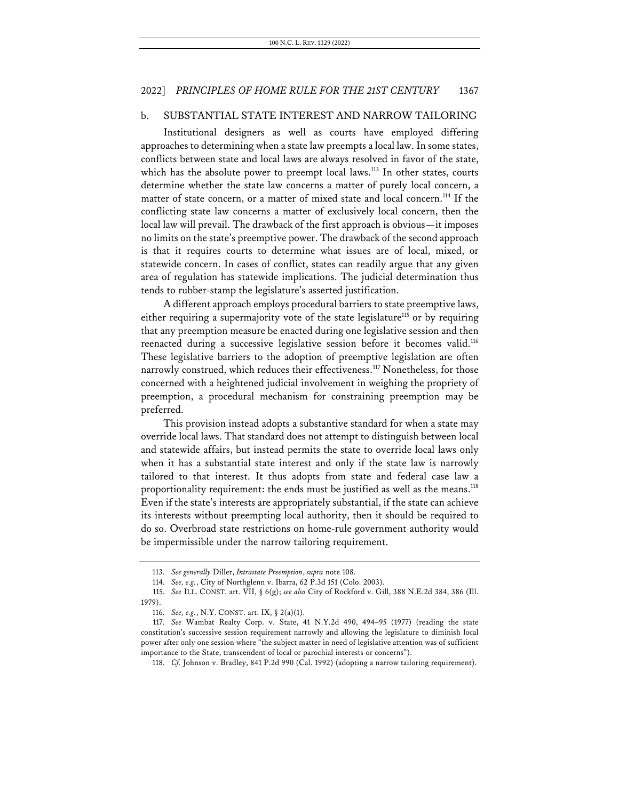### b. SUBSTANTIAL STATE INTEREST AND NARROW TAILORING

Institutional designers as well as courts have employed differing approaches to determining when a state law preempts a local law. In some states, conflicts between state and local laws are always resolved in favor of the state, which has the absolute power to preempt local laws.<sup>113</sup> In other states, courts determine whether the state law concerns a matter of purely local concern, a matter of state concern, or a matter of mixed state and local concern.<sup>114</sup> If the conflicting state law concerns a matter of exclusively local concern, then the local law will prevail. The drawback of the first approach is obvious—it imposes no limits on the state's preemptive power. The drawback of the second approach is that it requires courts to determine what issues are of local, mixed, or statewide concern. In cases of conflict, states can readily argue that any given area of regulation has statewide implications. The judicial determination thus tends to rubber-stamp the legislature's asserted justification.

A different approach employs procedural barriers to state preemptive laws, either requiring a supermajority vote of the state legislature<sup>115</sup> or by requiring that any preemption measure be enacted during one legislative session and then reenacted during a successive legislative session before it becomes valid.<sup>116</sup> These legislative barriers to the adoption of preemptive legislation are often narrowly construed, which reduces their effectiveness.<sup>117</sup> Nonetheless, for those concerned with a heightened judicial involvement in weighing the propriety of preemption, a procedural mechanism for constraining preemption may be preferred.

This provision instead adopts a substantive standard for when a state may override local laws. That standard does not attempt to distinguish between local and statewide affairs, but instead permits the state to override local laws only when it has a substantial state interest and only if the state law is narrowly tailored to that interest. It thus adopts from state and federal case law a proportionality requirement: the ends must be justified as well as the means.<sup>118</sup> Even if the state's interests are appropriately substantial, if the state can achieve its interests without preempting local authority, then it should be required to do so. Overbroad state restrictions on home-rule government authority would be impermissible under the narrow tailoring requirement.

<sup>113.</sup> *See generally* Diller, *Intrastate Preemption*, *supra* note 108.

<sup>114.</sup> *See, e.g.*, City of Northglenn v. Ibarra, 62 P.3d 151 (Colo. 2003).

<sup>115.</sup> *See* ILL. CONST. art. VII, § 6(g); *see also* City of Rockford v. Gill, 388 N.E.2d 384, 386 (Ill. 1979).

<sup>116.</sup> *See, e.g.*, N.Y. CONST. art. IX, § 2(a)(1).

<sup>117.</sup> *See* Wambat Realty Corp. v. State, 41 N.Y.2d 490, 494–95 (1977) (reading the state constitution's successive session requirement narrowly and allowing the legislature to diminish local power after only one session where "the subject matter in need of legislative attention was of sufficient importance to the State, transcendent of local or parochial interests or concerns").

<sup>118.</sup> *Cf.* Johnson v. Bradley, 841 P.2d 990 (Cal. 1992) (adopting a narrow tailoring requirement).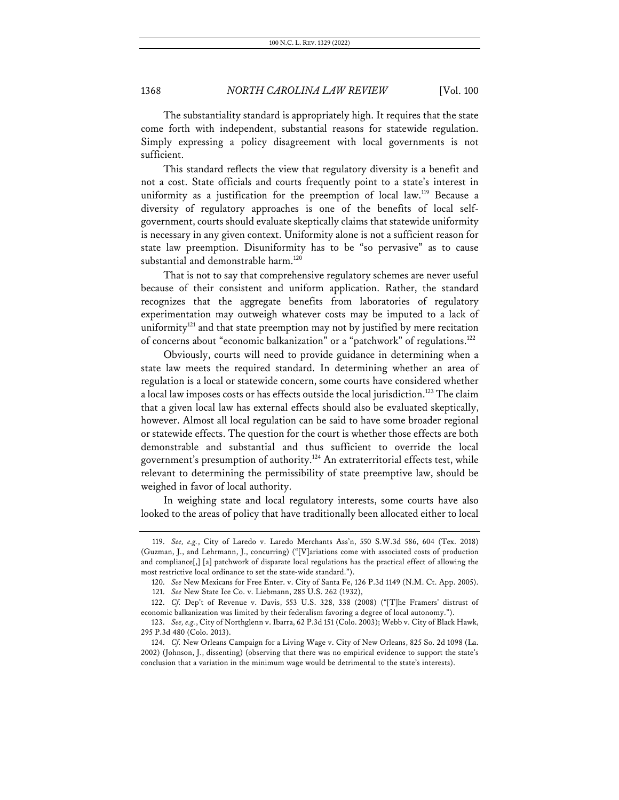The substantiality standard is appropriately high. It requires that the state come forth with independent, substantial reasons for statewide regulation. Simply expressing a policy disagreement with local governments is not sufficient.

This standard reflects the view that regulatory diversity is a benefit and not a cost. State officials and courts frequently point to a state's interest in uniformity as a justification for the preemption of local law.<sup>119</sup> Because a diversity of regulatory approaches is one of the benefits of local selfgovernment, courts should evaluate skeptically claims that statewide uniformity is necessary in any given context. Uniformity alone is not a sufficient reason for state law preemption. Disuniformity has to be "so pervasive" as to cause substantial and demonstrable harm.<sup>120</sup>

That is not to say that comprehensive regulatory schemes are never useful because of their consistent and uniform application. Rather, the standard recognizes that the aggregate benefits from laboratories of regulatory experimentation may outweigh whatever costs may be imputed to a lack of uniformity $121$  and that state preemption may not by justified by mere recitation of concerns about "economic balkanization" or a "patchwork" of regulations.<sup>122</sup>

Obviously, courts will need to provide guidance in determining when a state law meets the required standard. In determining whether an area of regulation is a local or statewide concern, some courts have considered whether a local law imposes costs or has effects outside the local jurisdiction.<sup>123</sup> The claim that a given local law has external effects should also be evaluated skeptically, however. Almost all local regulation can be said to have some broader regional or statewide effects. The question for the court is whether those effects are both demonstrable and substantial and thus sufficient to override the local government's presumption of authority.124 An extraterritorial effects test, while relevant to determining the permissibility of state preemptive law, should be weighed in favor of local authority.

In weighing state and local regulatory interests, some courts have also looked to the areas of policy that have traditionally been allocated either to local

<sup>119.</sup> *See, e.g.*, City of Laredo v. Laredo Merchants Ass'n, 550 S.W.3d 586, 604 (Tex. 2018) (Guzman, J., and Lehrmann, J., concurring) ("[V]ariations come with associated costs of production and compliance[,] [a] patchwork of disparate local regulations has the practical effect of allowing the most restrictive local ordinance to set the state-wide standard.").

<sup>120.</sup> *See* New Mexicans for Free Enter. v. City of Santa Fe, 126 P.3d 1149 (N.M. Ct. App. 2005).

<sup>121.</sup> *See* New State Ice Co. v. Liebmann, 285 U.S. 262 (1932),

<sup>122.</sup> *Cf.* Dep't of Revenue v. Davis, 553 U.S. 328, 338 (2008) ("[T]he Framers' distrust of economic balkanization was limited by their federalism favoring a degree of local autonomy.").

<sup>123.</sup> *See, e.g.*, City of Northglenn v. Ibarra, 62 P.3d 151 (Colo. 2003); Webb v. City of Black Hawk, 295 P.3d 480 (Colo. 2013).

<sup>124.</sup> *Cf.* New Orleans Campaign for a Living Wage v. City of New Orleans, 825 So. 2d 1098 (La. 2002) (Johnson, J., dissenting) (observing that there was no empirical evidence to support the state's conclusion that a variation in the minimum wage would be detrimental to the state's interests).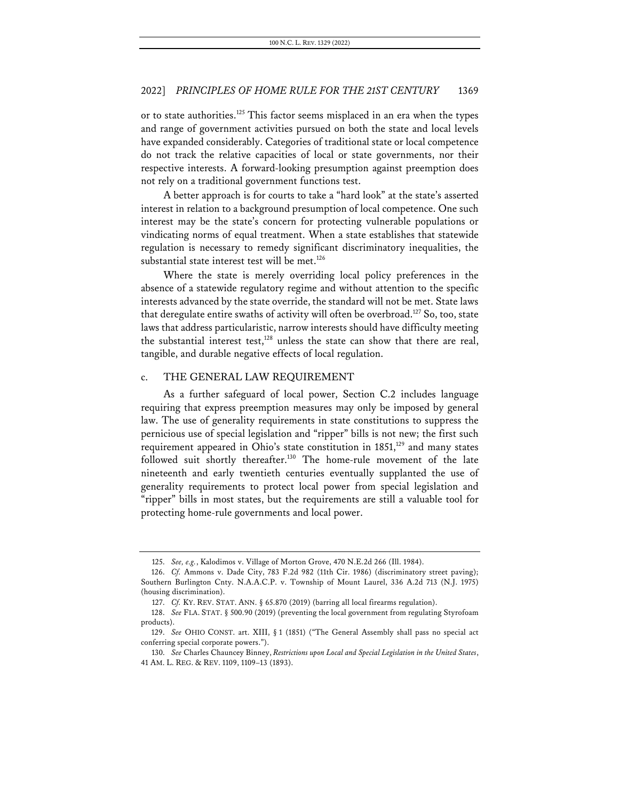or to state authorities.<sup>125</sup> This factor seems misplaced in an era when the types and range of government activities pursued on both the state and local levels have expanded considerably. Categories of traditional state or local competence do not track the relative capacities of local or state governments, nor their respective interests. A forward-looking presumption against preemption does not rely on a traditional government functions test.

A better approach is for courts to take a "hard look" at the state's asserted interest in relation to a background presumption of local competence. One such interest may be the state's concern for protecting vulnerable populations or vindicating norms of equal treatment. When a state establishes that statewide regulation is necessary to remedy significant discriminatory inequalities, the substantial state interest test will be met.<sup>126</sup>

Where the state is merely overriding local policy preferences in the absence of a statewide regulatory regime and without attention to the specific interests advanced by the state override, the standard will not be met. State laws that deregulate entire swaths of activity will often be overbroad.<sup>127</sup> So, too, state laws that address particularistic, narrow interests should have difficulty meeting the substantial interest test, $128$  unless the state can show that there are real, tangible, and durable negative effects of local regulation.

### c. THE GENERAL LAW REQUIREMENT

As a further safeguard of local power, Section C.2 includes language requiring that express preemption measures may only be imposed by general law. The use of generality requirements in state constitutions to suppress the pernicious use of special legislation and "ripper" bills is not new; the first such requirement appeared in Ohio's state constitution in  $1851$ ,<sup>129</sup> and many states followed suit shortly thereafter.<sup>130</sup> The home-rule movement of the late nineteenth and early twentieth centuries eventually supplanted the use of generality requirements to protect local power from special legislation and "ripper" bills in most states, but the requirements are still a valuable tool for protecting home-rule governments and local power.

<sup>125.</sup> *See, e.g.*, Kalodimos v. Village of Morton Grove, 470 N.E.2d 266 (Ill. 1984).

<sup>126.</sup> *Cf.* Ammons v. Dade City, 783 F.2d 982 (11th Cir. 1986) (discriminatory street paving); Southern Burlington Cnty. N.A.A.C.P. v. Township of Mount Laurel, 336 A.2d 713 (N.J. 1975) (housing discrimination).

<sup>127.</sup> *Cf.* KY. REV. STAT. ANN. § 65.870 (2019) (barring all local firearms regulation).

<sup>128.</sup> *See* FLA. STAT. § 500.90 (2019) (preventing the local government from regulating Styrofoam products).

<sup>129.</sup> *See* OHIO CONST. art. XIII, § 1 (1851) ("The General Assembly shall pass no special act conferring special corporate powers.").

<sup>130.</sup> *See* Charles Chauncey Binney, *Restrictions upon Local and Special Legislation in the United States*, 41 AM. L. REG. & REV. 1109, 1109–13 (1893).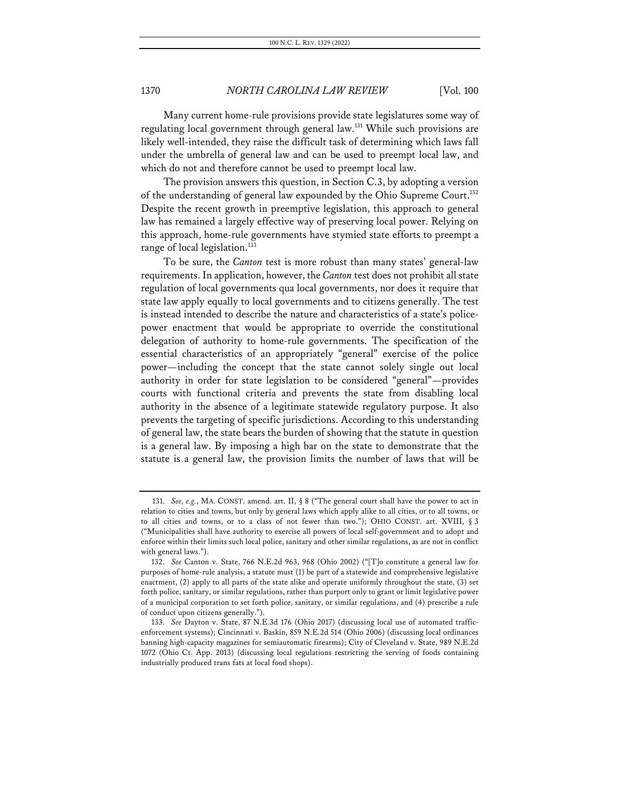Many current home-rule provisions provide state legislatures some way of regulating local government through general law.131 While such provisions are likely well-intended, they raise the difficult task of determining which laws fall under the umbrella of general law and can be used to preempt local law, and which do not and therefore cannot be used to preempt local law.

The provision answers this question, in Section C.3, by adopting a version of the understanding of general law expounded by the Ohio Supreme Court.<sup>132</sup> Despite the recent growth in preemptive legislation, this approach to general law has remained a largely effective way of preserving local power. Relying on this approach, home-rule governments have stymied state efforts to preempt a range of local legislation. $133$ 

To be sure, the *Canton* test is more robust than many states' general-law requirements. In application, however, the *Canton* test does not prohibit all state regulation of local governments qua local governments, nor does it require that state law apply equally to local governments and to citizens generally. The test is instead intended to describe the nature and characteristics of a state's policepower enactment that would be appropriate to override the constitutional delegation of authority to home-rule governments. The specification of the essential characteristics of an appropriately "general" exercise of the police power—including the concept that the state cannot solely single out local authority in order for state legislation to be considered "general"—provides courts with functional criteria and prevents the state from disabling local authority in the absence of a legitimate statewide regulatory purpose. It also prevents the targeting of specific jurisdictions. According to this understanding of general law, the state bears the burden of showing that the statute in question is a general law. By imposing a high bar on the state to demonstrate that the statute is a general law, the provision limits the number of laws that will be

<sup>131.</sup> *See, e.g.*, MA. CONST. amend. art. II, § 8 ("The general court shall have the power to act in relation to cities and towns, but only by general laws which apply alike to all cities, or to all towns, or to all cities and towns, or to a class of not fewer than two."); OHIO CONST. art. XVIII, § 3 ("Municipalities shall have authority to exercise all powers of local self-government and to adopt and enforce within their limits such local police, sanitary and other similar regulations, as are not in conflict with general laws.").

<sup>132.</sup> *See* Canton v. State, 766 N.E.2d 963, 968 (Ohio 2002) ("[T]o constitute a general law for purposes of home-rule analysis, a statute must (1) be part of a statewide and comprehensive legislative enactment, (2) apply to all parts of the state alike and operate uniformly throughout the state, (3) set forth police, sanitary, or similar regulations, rather than purport only to grant or limit legislative power of a municipal corporation to set forth police, sanitary, or similar regulations, and (4) prescribe a rule of conduct upon citizens generally.").

<sup>133.</sup> *See* Dayton v. State, 87 N.E.3d 176 (Ohio 2017) (discussing local use of automated trafficenforcement systems); Cincinnati v. Baskin, 859 N.E.2d 514 (Ohio 2006) (discussing local ordinances banning high-capacity magazines for semiautomatic firearms); City of Cleveland v. State, 989 N.E.2d 1072 (Ohio Ct. App. 2013) (discussing local regulations restricting the serving of foods containing industrially produced trans fats at local food shops).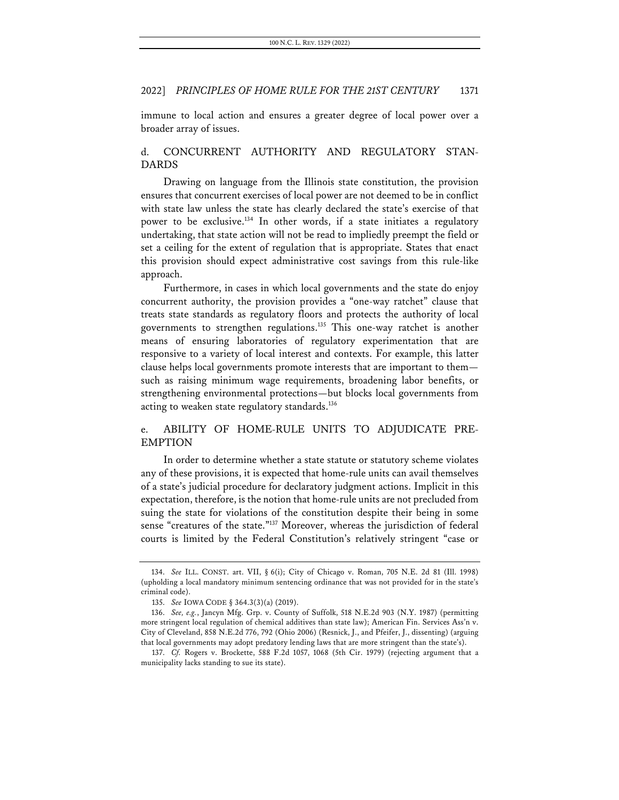immune to local action and ensures a greater degree of local power over a broader array of issues.

## d. CONCURRENT AUTHORITY AND REGULATORY STAN-DARDS

Drawing on language from the Illinois state constitution, the provision ensures that concurrent exercises of local power are not deemed to be in conflict with state law unless the state has clearly declared the state's exercise of that power to be exclusive.<sup>134</sup> In other words, if a state initiates a regulatory undertaking, that state action will not be read to impliedly preempt the field or set a ceiling for the extent of regulation that is appropriate. States that enact this provision should expect administrative cost savings from this rule-like approach.

Furthermore, in cases in which local governments and the state do enjoy concurrent authority, the provision provides a "one-way ratchet" clause that treats state standards as regulatory floors and protects the authority of local governments to strengthen regulations.135 This one-way ratchet is another means of ensuring laboratories of regulatory experimentation that are responsive to a variety of local interest and contexts. For example, this latter clause helps local governments promote interests that are important to them such as raising minimum wage requirements, broadening labor benefits, or strengthening environmental protections—but blocks local governments from acting to weaken state regulatory standards.<sup>136</sup>

## e. ABILITY OF HOME-RULE UNITS TO ADJUDICATE PRE-EMPTION

In order to determine whether a state statute or statutory scheme violates any of these provisions, it is expected that home-rule units can avail themselves of a state's judicial procedure for declaratory judgment actions. Implicit in this expectation, therefore, is the notion that home-rule units are not precluded from suing the state for violations of the constitution despite their being in some sense "creatures of the state."137 Moreover, whereas the jurisdiction of federal courts is limited by the Federal Constitution's relatively stringent "case or

<sup>134.</sup> *See* ILL. CONST. art. VII, § 6(i); City of Chicago v. Roman, 705 N.E. 2d 81 (Ill. 1998) (upholding a local mandatory minimum sentencing ordinance that was not provided for in the state's criminal code).

<sup>135.</sup> *See* IOWA CODE § 364.3(3)(a) (2019).

<sup>136.</sup> *See, e.g.*, Jancyn Mfg. Grp. v. County of Suffolk, 518 N.E.2d 903 (N.Y. 1987) (permitting more stringent local regulation of chemical additives than state law); American Fin. Services Ass'n v. City of Cleveland, 858 N.E.2d 776, 792 (Ohio 2006) (Resnick, J., and Pfeifer, J., dissenting) (arguing that local governments may adopt predatory lending laws that are more stringent than the state's).

<sup>137.</sup> *Cf.* Rogers v. Brockette, 588 F.2d 1057, 1068 (5th Cir. 1979) (rejecting argument that a municipality lacks standing to sue its state).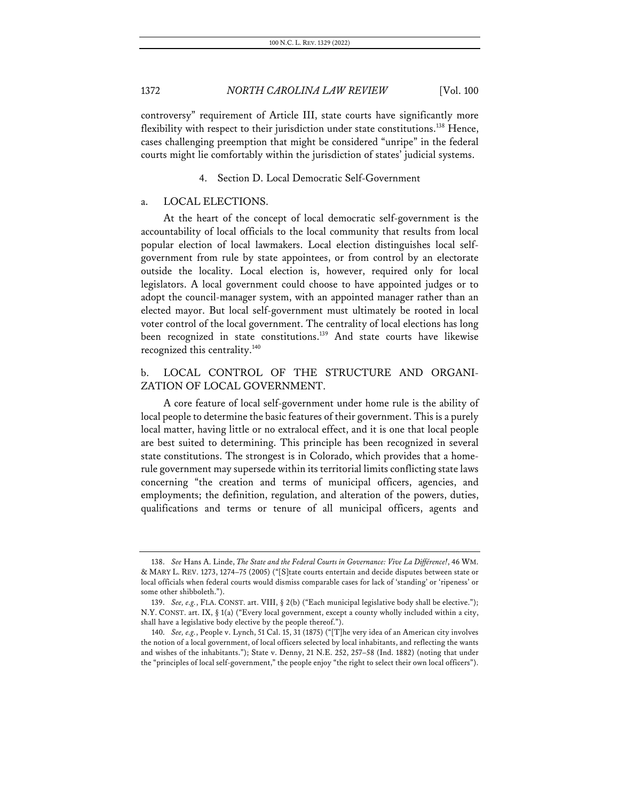controversy" requirement of Article III, state courts have significantly more flexibility with respect to their jurisdiction under state constitutions.<sup>138</sup> Hence, cases challenging preemption that might be considered "unripe" in the federal courts might lie comfortably within the jurisdiction of states' judicial systems.

### Section D. Local Democratic Self-Government

### a. LOCAL ELECTIONS.

At the heart of the concept of local democratic self-government is the accountability of local officials to the local community that results from local popular election of local lawmakers. Local election distinguishes local selfgovernment from rule by state appointees, or from control by an electorate outside the locality. Local election is, however, required only for local legislators. A local government could choose to have appointed judges or to adopt the council-manager system, with an appointed manager rather than an elected mayor. But local self-government must ultimately be rooted in local voter control of the local government. The centrality of local elections has long been recognized in state constitutions.<sup>139</sup> And state courts have likewise recognized this centrality.140

## b. LOCAL CONTROL OF THE STRUCTURE AND ORGANI-ZATION OF LOCAL GOVERNMENT.

A core feature of local self-government under home rule is the ability of local people to determine the basic features of their government. This is a purely local matter, having little or no extralocal effect, and it is one that local people are best suited to determining. This principle has been recognized in several state constitutions. The strongest is in Colorado, which provides that a homerule government may supersede within its territorial limits conflicting state laws concerning "the creation and terms of municipal officers, agencies, and employments; the definition, regulation, and alteration of the powers, duties, qualifications and terms or tenure of all municipal officers, agents and

<sup>138.</sup> *See* Hans A. Linde, *The State and the Federal Courts in Governance: Vive La Différence!*, 46 WM. & MARY L. REV. 1273, 1274–75 (2005) ("[S]tate courts entertain and decide disputes between state or local officials when federal courts would dismiss comparable cases for lack of 'standing' or 'ripeness' or some other shibboleth.").

<sup>139.</sup> *See, e.g.*, FLA. CONST. art. VIII, § 2(b) ("Each municipal legislative body shall be elective."); N.Y. CONST. art. IX, § 1(a) ("Every local government, except a county wholly included within a city, shall have a legislative body elective by the people thereof.").

<sup>140.</sup> *See, e.g.*, People v. Lynch, 51 Cal. 15, 31 (1875) ("[T]he very idea of an American city involves the notion of a local government, of local officers selected by local inhabitants, and reflecting the wants and wishes of the inhabitants."); State v. Denny, 21 N.E. 252, 257–58 (Ind. 1882) (noting that under the "principles of local self-government," the people enjoy "the right to select their own local officers").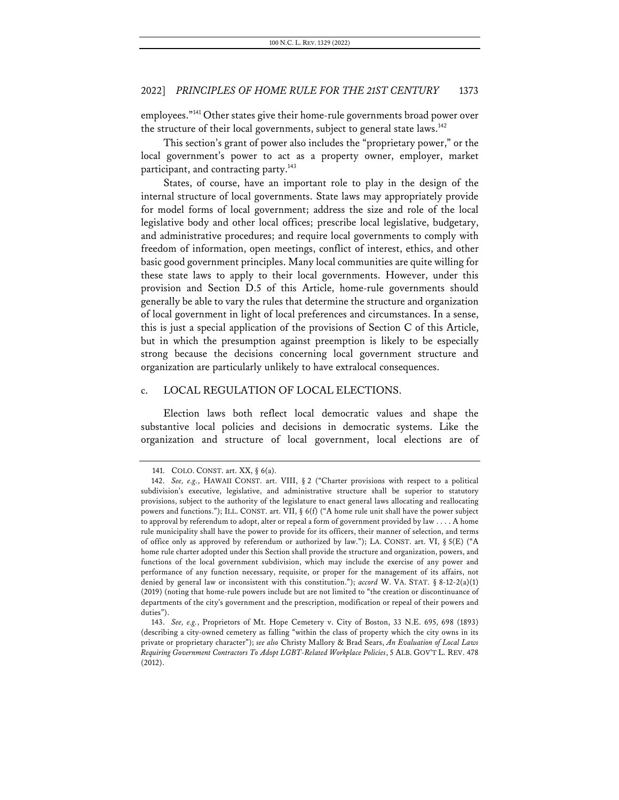employees."141 Other states give their home-rule governments broad power over the structure of their local governments, subject to general state laws. $^{142}$ 

This section's grant of power also includes the "proprietary power," or the local government's power to act as a property owner, employer, market participant, and contracting party.<sup>143</sup>

States, of course, have an important role to play in the design of the internal structure of local governments. State laws may appropriately provide for model forms of local government; address the size and role of the local legislative body and other local offices; prescribe local legislative, budgetary, and administrative procedures; and require local governments to comply with freedom of information, open meetings, conflict of interest, ethics, and other basic good government principles. Many local communities are quite willing for these state laws to apply to their local governments. However, under this provision and Section D.5 of this Article, home-rule governments should generally be able to vary the rules that determine the structure and organization of local government in light of local preferences and circumstances. In a sense, this is just a special application of the provisions of Section C of this Article, but in which the presumption against preemption is likely to be especially strong because the decisions concerning local government structure and organization are particularly unlikely to have extralocal consequences.

### c. LOCAL REGULATION OF LOCAL ELECTIONS.

Election laws both reflect local democratic values and shape the substantive local policies and decisions in democratic systems. Like the organization and structure of local government, local elections are of

<sup>141.</sup> COLO. CONST. art. XX, § 6(a).

<sup>142.</sup> *See, e.g.*, HAWAII CONST. art. VIII, § 2 ("Charter provisions with respect to a political subdivision's executive, legislative, and administrative structure shall be superior to statutory provisions, subject to the authority of the legislature to enact general laws allocating and reallocating powers and functions."); ILL. CONST. art. VII, § 6(f) ("A home rule unit shall have the power subject to approval by referendum to adopt, alter or repeal a form of government provided by law . . . . A home rule municipality shall have the power to provide for its officers, their manner of selection, and terms of office only as approved by referendum or authorized by law."); LA. CONST. art. VI, § 5(E) ("A home rule charter adopted under this Section shall provide the structure and organization, powers, and functions of the local government subdivision, which may include the exercise of any power and performance of any function necessary, requisite, or proper for the management of its affairs, not denied by general law or inconsistent with this constitution."); *accord* W. VA. STAT. § 8-12-2(a)(1) (2019) (noting that home-rule powers include but are not limited to "the creation or discontinuance of departments of the city's government and the prescription, modification or repeal of their powers and duties").

<sup>143.</sup> *See, e.g.*, Proprietors of Mt. Hope Cemetery v. City of Boston, 33 N.E. 695, 698 (1893) (describing a city-owned cemetery as falling "within the class of property which the city owns in its private or proprietary character"); *see also* Christy Mallory & Brad Sears, *An Evaluation of Local Laws Requiring Government Contractors To Adopt LGBT-Related Workplace Policies*, 5 ALB. GOV'T L. REV. 478 (2012).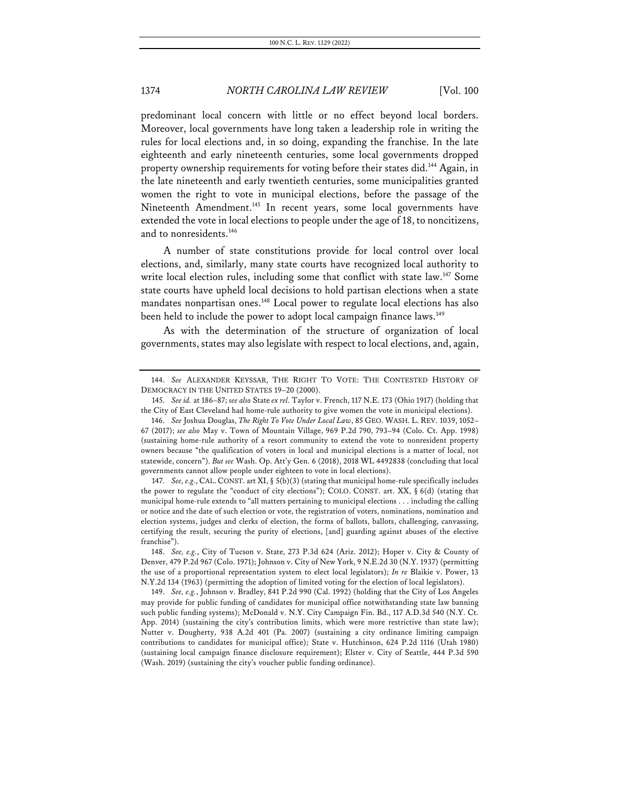predominant local concern with little or no effect beyond local borders. Moreover, local governments have long taken a leadership role in writing the rules for local elections and, in so doing, expanding the franchise. In the late eighteenth and early nineteenth centuries, some local governments dropped property ownership requirements for voting before their states did.<sup>144</sup> Again, in the late nineteenth and early twentieth centuries, some municipalities granted women the right to vote in municipal elections, before the passage of the Nineteenth Amendment.<sup>145</sup> In recent years, some local governments have extended the vote in local elections to people under the age of 18, to noncitizens, and to nonresidents.<sup>146</sup>

A number of state constitutions provide for local control over local elections, and, similarly, many state courts have recognized local authority to write local election rules, including some that conflict with state law.<sup>147</sup> Some state courts have upheld local decisions to hold partisan elections when a state mandates nonpartisan ones.<sup>148</sup> Local power to regulate local elections has also been held to include the power to adopt local campaign finance laws.<sup>149</sup>

As with the determination of the structure of organization of local governments, states may also legislate with respect to local elections, and, again,

147. *See, e.g.*, CAL.CONST. art XI, § 5(b)(3) (stating that municipal home-rule specifically includes the power to regulate the "conduct of city elections"); COLO. CONST. art. XX, § 6(d) (stating that municipal home-rule extends to "all matters pertaining to municipal elections . . . including the calling or notice and the date of such election or vote, the registration of voters, nominations, nomination and election systems, judges and clerks of election, the forms of ballots, ballots, challenging, canvassing, certifying the result, securing the purity of elections, [and] guarding against abuses of the elective franchise").

<sup>144.</sup> *See* ALEXANDER KEYSSAR, THE RIGHT TO VOTE: THE CONTESTED HISTORY OF DEMOCRACY IN THE UNITED STATES 19–20 (2000).

<sup>145.</sup> *See id.* at 186–87; *see also* State *ex rel.* Taylor v. French, 117 N.E. 173 (Ohio 1917) (holding that the City of East Cleveland had home-rule authority to give women the vote in municipal elections).

<sup>146.</sup> *See* Joshua Douglas, *The Right To Vote Under Local Law*, 85 GEO. WASH. L. REV. 1039, 1052– 67 (2017); *see also* May v. Town of Mountain Village, 969 P.2d 790, 793–94 (Colo. Ct. App. 1998) (sustaining home-rule authority of a resort community to extend the vote to nonresident property owners because "the qualification of voters in local and municipal elections is a matter of local, not statewide, concern"). *But see* Wash. Op. Att'y Gen. 6 (2018), 2018 WL 4492838 (concluding that local governments cannot allow people under eighteen to vote in local elections).

<sup>148.</sup> *See, e.g.*, City of Tucson v. State, 273 P.3d 624 (Ariz. 2012); Hoper v. City & County of Denver, 479 P.2d 967 (Colo. 1971); Johnson v. City of New York, 9 N.E.2d 30 (N.Y. 1937) (permitting the use of a proportional representation system to elect local legislators); *In re* Blaikie v. Power, 13 N.Y.2d 134 (1963) (permitting the adoption of limited voting for the election of local legislators).

<sup>149.</sup> *See, e.g.*, Johnson v. Bradley, 841 P.2d 990 (Cal. 1992) (holding that the City of Los Angeles may provide for public funding of candidates for municipal office notwithstanding state law banning such public funding systems); McDonald v. N.Y. City Campaign Fin. Bd., 117 A.D.3d 540 (N.Y. Ct. App. 2014) (sustaining the city's contribution limits, which were more restrictive than state law); Nutter v. Dougherty, 938 A.2d 401 (Pa. 2007) (sustaining a city ordinance limiting campaign contributions to candidates for municipal office); State v. Hutchinson, 624 P.2d 1116 (Utah 1980) (sustaining local campaign finance disclosure requirement); Elster v. City of Seattle, 444 P.3d 590 (Wash. 2019) (sustaining the city's voucher public funding ordinance).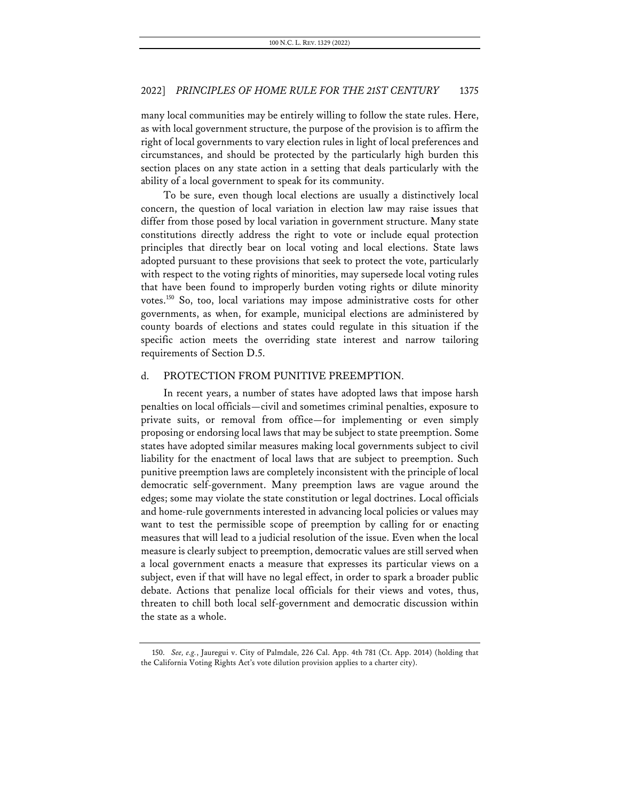many local communities may be entirely willing to follow the state rules. Here, as with local government structure, the purpose of the provision is to affirm the right of local governments to vary election rules in light of local preferences and circumstances, and should be protected by the particularly high burden this section places on any state action in a setting that deals particularly with the ability of a local government to speak for its community.

To be sure, even though local elections are usually a distinctively local concern, the question of local variation in election law may raise issues that differ from those posed by local variation in government structure. Many state constitutions directly address the right to vote or include equal protection principles that directly bear on local voting and local elections. State laws adopted pursuant to these provisions that seek to protect the vote, particularly with respect to the voting rights of minorities, may supersede local voting rules that have been found to improperly burden voting rights or dilute minority votes.150 So, too, local variations may impose administrative costs for other governments, as when, for example, municipal elections are administered by county boards of elections and states could regulate in this situation if the specific action meets the overriding state interest and narrow tailoring requirements of Section D.5.

#### d. PROTECTION FROM PUNITIVE PREEMPTION.

In recent years, a number of states have adopted laws that impose harsh penalties on local officials—civil and sometimes criminal penalties, exposure to private suits, or removal from office—for implementing or even simply proposing or endorsing local laws that may be subject to state preemption. Some states have adopted similar measures making local governments subject to civil liability for the enactment of local laws that are subject to preemption. Such punitive preemption laws are completely inconsistent with the principle of local democratic self-government. Many preemption laws are vague around the edges; some may violate the state constitution or legal doctrines. Local officials and home-rule governments interested in advancing local policies or values may want to test the permissible scope of preemption by calling for or enacting measures that will lead to a judicial resolution of the issue. Even when the local measure is clearly subject to preemption, democratic values are still served when a local government enacts a measure that expresses its particular views on a subject, even if that will have no legal effect, in order to spark a broader public debate. Actions that penalize local officials for their views and votes, thus, threaten to chill both local self-government and democratic discussion within the state as a whole.

<sup>150.</sup> *See, e.g.*, Jauregui v. City of Palmdale, 226 Cal. App. 4th 781 (Ct. App. 2014) (holding that the California Voting Rights Act's vote dilution provision applies to a charter city).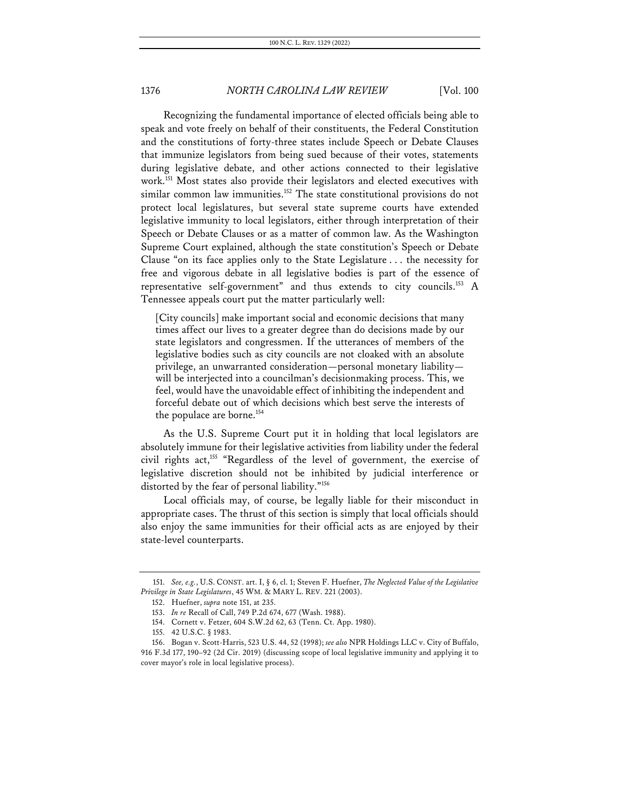Recognizing the fundamental importance of elected officials being able to speak and vote freely on behalf of their constituents, the Federal Constitution and the constitutions of forty-three states include Speech or Debate Clauses that immunize legislators from being sued because of their votes, statements during legislative debate, and other actions connected to their legislative work.151 Most states also provide their legislators and elected executives with similar common law immunities.<sup>152</sup> The state constitutional provisions do not protect local legislatures, but several state supreme courts have extended legislative immunity to local legislators, either through interpretation of their Speech or Debate Clauses or as a matter of common law. As the Washington Supreme Court explained, although the state constitution's Speech or Debate Clause "on its face applies only to the State Legislature . . . the necessity for free and vigorous debate in all legislative bodies is part of the essence of representative self-government" and thus extends to city councils.<sup>153</sup> A Tennessee appeals court put the matter particularly well:

[City councils] make important social and economic decisions that many times affect our lives to a greater degree than do decisions made by our state legislators and congressmen. If the utterances of members of the legislative bodies such as city councils are not cloaked with an absolute privilege, an unwarranted consideration—personal monetary liability will be interjected into a councilman's decisionmaking process. This, we feel, would have the unavoidable effect of inhibiting the independent and forceful debate out of which decisions which best serve the interests of the populace are borne.<sup>154</sup>

As the U.S. Supreme Court put it in holding that local legislators are absolutely immune for their legislative activities from liability under the federal civil rights act,<sup>155</sup> "Regardless of the level of government, the exercise of legislative discretion should not be inhibited by judicial interference or distorted by the fear of personal liability."156

Local officials may, of course, be legally liable for their misconduct in appropriate cases. The thrust of this section is simply that local officials should also enjoy the same immunities for their official acts as are enjoyed by their state-level counterparts.

<sup>151.</sup> *See, e.g.*, U.S. CONST. art. I, § 6, cl. 1; Steven F. Huefner, *The Neglected Value of the Legislative Privilege in State Legislatures*, 45 WM. & MARY L. REV. 221 (2003).

<sup>152.</sup> Huefner, *supra* note 151, at 235.

<sup>153.</sup> *In re* Recall of Call, 749 P.2d 674, 677 (Wash. 1988).

<sup>154.</sup> Cornett v. Fetzer, 604 S.W.2d 62, 63 (Tenn. Ct. App. 1980).

<sup>155.</sup> 42 U.S.C. § 1983.

<sup>156.</sup> Bogan v. Scott-Harris, 523 U.S. 44, 52 (1998); *see also* NPR Holdings LLC v. City of Buffalo, 916 F.3d 177, 190–92 (2d Cir. 2019) (discussing scope of local legislative immunity and applying it to cover mayor's role in local legislative process).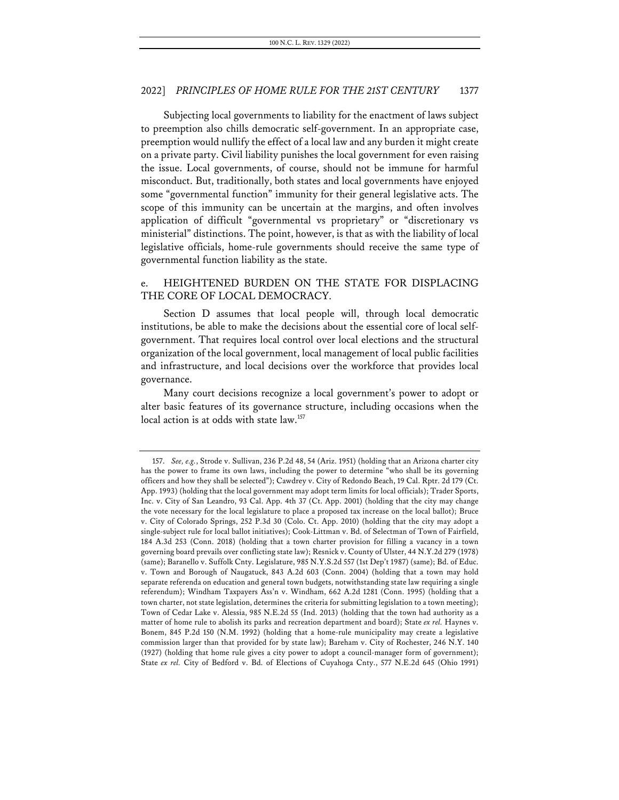Subjecting local governments to liability for the enactment of laws subject to preemption also chills democratic self-government. In an appropriate case, preemption would nullify the effect of a local law and any burden it might create on a private party. Civil liability punishes the local government for even raising the issue. Local governments, of course, should not be immune for harmful misconduct. But, traditionally, both states and local governments have enjoyed some "governmental function" immunity for their general legislative acts. The scope of this immunity can be uncertain at the margins, and often involves application of difficult "governmental vs proprietary" or "discretionary vs ministerial" distinctions. The point, however, is that as with the liability of local legislative officials, home-rule governments should receive the same type of governmental function liability as the state.

## e. HEIGHTENED BURDEN ON THE STATE FOR DISPLACING THE CORE OF LOCAL DEMOCRACY.

Section D assumes that local people will, through local democratic institutions, be able to make the decisions about the essential core of local selfgovernment. That requires local control over local elections and the structural organization of the local government, local management of local public facilities and infrastructure, and local decisions over the workforce that provides local governance.

Many court decisions recognize a local government's power to adopt or alter basic features of its governance structure, including occasions when the local action is at odds with state law.<sup>157</sup>

<sup>157.</sup> *See, e.g.*, Strode v. Sullivan, 236 P.2d 48, 54 (Ariz. 1951) (holding that an Arizona charter city has the power to frame its own laws, including the power to determine "who shall be its governing officers and how they shall be selected"); Cawdrey v. City of Redondo Beach, 19 Cal. Rptr. 2d 179 (Ct. App. 1993) (holding that the local government may adopt term limits for local officials); Trader Sports, Inc. v. City of San Leandro, 93 Cal. App. 4th 37 (Ct. App. 2001) (holding that the city may change the vote necessary for the local legislature to place a proposed tax increase on the local ballot); Bruce v. City of Colorado Springs, 252 P.3d 30 (Colo. Ct. App. 2010) (holding that the city may adopt a single-subject rule for local ballot initiatives); Cook-Littman v. Bd. of Selectman of Town of Fairfield, 184 A.3d 253 (Conn. 2018) (holding that a town charter provision for filling a vacancy in a town governing board prevails over conflicting state law); Resnick v. County of Ulster, 44 N.Y.2d 279 (1978) (same); Baranello v. Suffolk Cnty. Legislature, 985 N.Y.S.2d 557 (1st Dep't 1987) (same); Bd. of Educ. v. Town and Borough of Naugatuck, 843 A.2d 603 (Conn. 2004) (holding that a town may hold separate referenda on education and general town budgets, notwithstanding state law requiring a single referendum); Windham Taxpayers Ass'n v. Windham, 662 A.2d 1281 (Conn. 1995) (holding that a town charter, not state legislation, determines the criteria for submitting legislation to a town meeting); Town of Cedar Lake v. Alessia, 985 N.E.2d 55 (Ind. 2013) (holding that the town had authority as a matter of home rule to abolish its parks and recreation department and board); State *ex rel.* Haynes v. Bonem, 845 P.2d 150 (N.M. 1992) (holding that a home-rule municipality may create a legislative commission larger than that provided for by state law); Bareham v. City of Rochester, 246 N.Y. 140 (1927) (holding that home rule gives a city power to adopt a council-manager form of government); State *ex rel.* City of Bedford v. Bd. of Elections of Cuyahoga Cnty., 577 N.E.2d 645 (Ohio 1991)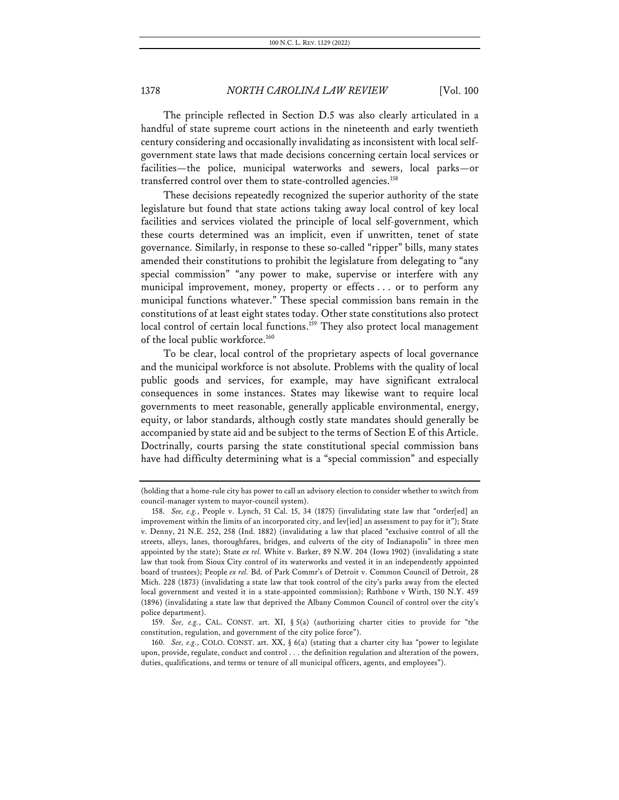The principle reflected in Section D.5 was also clearly articulated in a handful of state supreme court actions in the nineteenth and early twentieth century considering and occasionally invalidating as inconsistent with local selfgovernment state laws that made decisions concerning certain local services or facilities—the police, municipal waterworks and sewers, local parks—or transferred control over them to state-controlled agencies.<sup>158</sup>

These decisions repeatedly recognized the superior authority of the state legislature but found that state actions taking away local control of key local facilities and services violated the principle of local self-government, which these courts determined was an implicit, even if unwritten, tenet of state governance. Similarly, in response to these so-called "ripper" bills, many states amended their constitutions to prohibit the legislature from delegating to "any special commission" "any power to make, supervise or interfere with any municipal improvement, money, property or effects . . . or to perform any municipal functions whatever." These special commission bans remain in the constitutions of at least eight states today. Other state constitutions also protect local control of certain local functions.<sup>159</sup> They also protect local management of the local public workforce.<sup>160</sup>

To be clear, local control of the proprietary aspects of local governance and the municipal workforce is not absolute. Problems with the quality of local public goods and services, for example, may have significant extralocal consequences in some instances. States may likewise want to require local governments to meet reasonable, generally applicable environmental, energy, equity, or labor standards, although costly state mandates should generally be accompanied by state aid and be subject to the terms of Section E of this Article. Doctrinally, courts parsing the state constitutional special commission bans have had difficulty determining what is a "special commission" and especially

<sup>(</sup>holding that a home-rule city has power to call an advisory election to consider whether to switch from council-manager system to mayor-council system).

<sup>158.</sup> *See, e.g.*, People v. Lynch, 51 Cal. 15, 34 (1875) (invalidating state law that "order[ed] an improvement within the limits of an incorporated city, and lev[ied] an assessment to pay for it"); State v. Denny, 21 N.E. 252, 258 (Ind. 1882) (invalidating a law that placed "exclusive control of all the streets, alleys, lanes, thoroughfares, bridges, and culverts of the city of Indianapolis" in three men appointed by the state); State *ex rel.* White v. Barker, 89 N.W. 204 (Iowa 1902) (invalidating a state law that took from Sioux City control of its waterworks and vested it in an independently appointed board of trustees); People *ex rel.* Bd. of Park Commr's of Detroit v. Common Council of Detroit, 28 Mich. 228 (1873) (invalidating a state law that took control of the city's parks away from the elected local government and vested it in a state-appointed commission); Rathbone v Wirth, 150 N.Y. 459 (1896) (invalidating a state law that deprived the Albany Common Council of control over the city's police department).

<sup>159.</sup> *See, e.g.*, CAL. CONST. art. XI, § 5(a) (authorizing charter cities to provide for "the constitution, regulation, and government of the city police force").

<sup>160.</sup> *See, e.g.*, COLO. CONST. art. XX, § 6(a) (stating that a charter city has "power to legislate upon, provide, regulate, conduct and control . . . the definition regulation and alteration of the powers, duties, qualifications, and terms or tenure of all municipal officers, agents, and employees").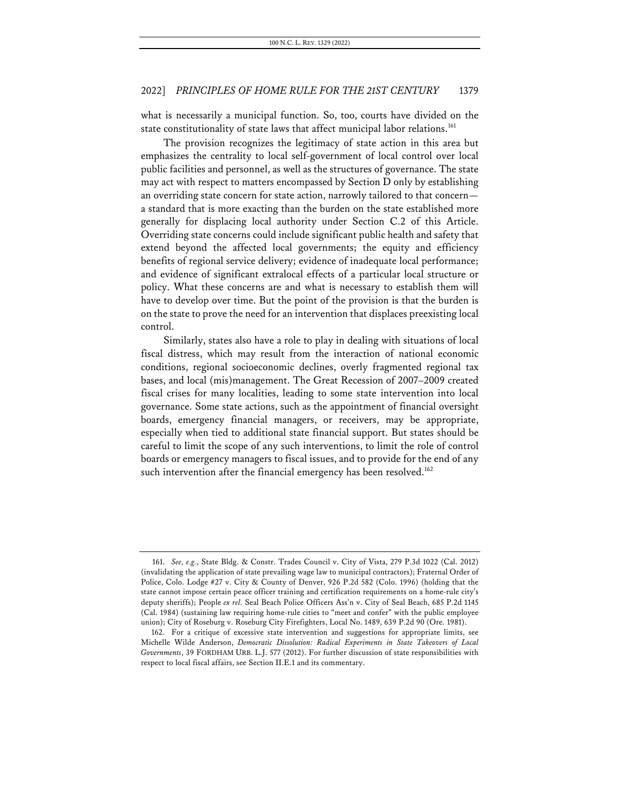what is necessarily a municipal function. So, too, courts have divided on the state constitutionality of state laws that affect municipal labor relations.<sup>161</sup>

The provision recognizes the legitimacy of state action in this area but emphasizes the centrality to local self-government of local control over local public facilities and personnel, as well as the structures of governance. The state may act with respect to matters encompassed by Section D only by establishing an overriding state concern for state action, narrowly tailored to that concern a standard that is more exacting than the burden on the state established more generally for displacing local authority under Section C.2 of this Article. Overriding state concerns could include significant public health and safety that extend beyond the affected local governments; the equity and efficiency benefits of regional service delivery; evidence of inadequate local performance; and evidence of significant extralocal effects of a particular local structure or policy. What these concerns are and what is necessary to establish them will have to develop over time. But the point of the provision is that the burden is on the state to prove the need for an intervention that displaces preexisting local control.

Similarly, states also have a role to play in dealing with situations of local fiscal distress, which may result from the interaction of national economic conditions, regional socioeconomic declines, overly fragmented regional tax bases, and local (mis)management. The Great Recession of 2007–2009 created fiscal crises for many localities, leading to some state intervention into local governance. Some state actions, such as the appointment of financial oversight boards, emergency financial managers, or receivers, may be appropriate, especially when tied to additional state financial support. But states should be careful to limit the scope of any such interventions, to limit the role of control boards or emergency managers to fiscal issues, and to provide for the end of any such intervention after the financial emergency has been resolved.<sup>162</sup>

<sup>161.</sup> *See, e.g.*, State Bldg. & Constr. Trades Council v. City of Vista, 279 P.3d 1022 (Cal. 2012) (invalidating the application of state prevailing wage law to municipal contractors); Fraternal Order of Police, Colo. Lodge #27 v. City & County of Denver, 926 P.2d 582 (Colo. 1996) (holding that the state cannot impose certain peace officer training and certification requirements on a home-rule city's deputy sheriffs); People *ex rel.* Seal Beach Police Officers Ass'n v. City of Seal Beach, 685 P.2d 1145 (Cal. 1984) (sustaining law requiring home-rule cities to "meet and confer" with the public employee union); City of Roseburg v. Roseburg City Firefighters, Local No. 1489, 639 P.2d 90 (Ore. 1981).

<sup>162.</sup> For a critique of excessive state intervention and suggestions for appropriate limits, see Michelle Wilde Anderson, *Democratic Dissolution: Radical Experiments in State Takeovers of Local Governments*, 39 FORDHAM URB. L.J. 577 (2012). For further discussion of state responsibilities with respect to local fiscal affairs, see Section II.E.1 and its commentary.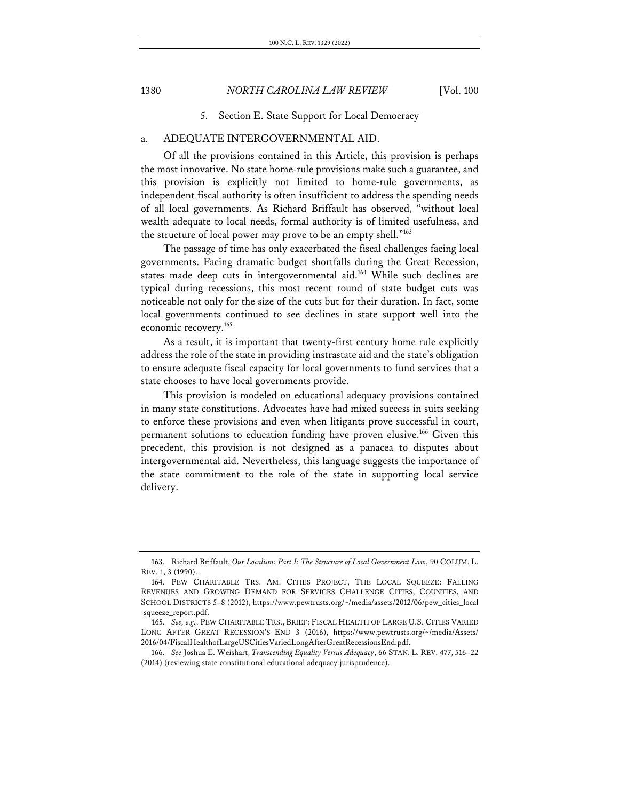5. Section E. State Support for Local Democracy

## a. ADEQUATE INTERGOVERNMENTAL AID.

Of all the provisions contained in this Article, this provision is perhaps the most innovative. No state home-rule provisions make such a guarantee, and this provision is explicitly not limited to home-rule governments, as independent fiscal authority is often insufficient to address the spending needs of all local governments. As Richard Briffault has observed, "without local wealth adequate to local needs, formal authority is of limited usefulness, and the structure of local power may prove to be an empty shell."163

The passage of time has only exacerbated the fiscal challenges facing local governments. Facing dramatic budget shortfalls during the Great Recession, states made deep cuts in intergovernmental aid.164 While such declines are typical during recessions, this most recent round of state budget cuts was noticeable not only for the size of the cuts but for their duration. In fact, some local governments continued to see declines in state support well into the economic recovery.<sup>165</sup>

As a result, it is important that twenty-first century home rule explicitly address the role of the state in providing instrastate aid and the state's obligation to ensure adequate fiscal capacity for local governments to fund services that a state chooses to have local governments provide.

This provision is modeled on educational adequacy provisions contained in many state constitutions. Advocates have had mixed success in suits seeking to enforce these provisions and even when litigants prove successful in court, permanent solutions to education funding have proven elusive.166 Given this precedent, this provision is not designed as a panacea to disputes about intergovernmental aid. Nevertheless, this language suggests the importance of the state commitment to the role of the state in supporting local service delivery.

<sup>163.</sup> Richard Briffault, *Our Localism: Part I: The Structure of Local Government Law*, 90 COLUM. L. REV. 1, 3 (1990).

<sup>164.</sup> PEW CHARITABLE TRS. AM. CITIES PROJECT, THE LOCAL SQUEEZE: FALLING REVENUES AND GROWING DEMAND FOR SERVICES CHALLENGE CITIES, COUNTIES, AND SCHOOL DISTRICTS 5–8 (2012), https://www.pewtrusts.org/~/media/assets/2012/06/pew\_cities\_local -squeeze\_report.pdf.

<sup>165.</sup> *See, e.g.*, PEW CHARITABLE TRS., BRIEF: FISCAL HEALTH OF LARGE U.S. CITIES VARIED LONG AFTER GREAT RECESSION'S END 3 (2016), https://www.pewtrusts.org/~/media/Assets/ 2016/04/FiscalHealthofLargeUSCitiesVariedLongAfterGreatRecessionsEnd.pdf.

<sup>166.</sup> *See* Joshua E. Weishart, *Transcending Equality Versus Adequacy*, 66 STAN. L. REV. 477, 516–22 (2014) (reviewing state constitutional educational adequacy jurisprudence).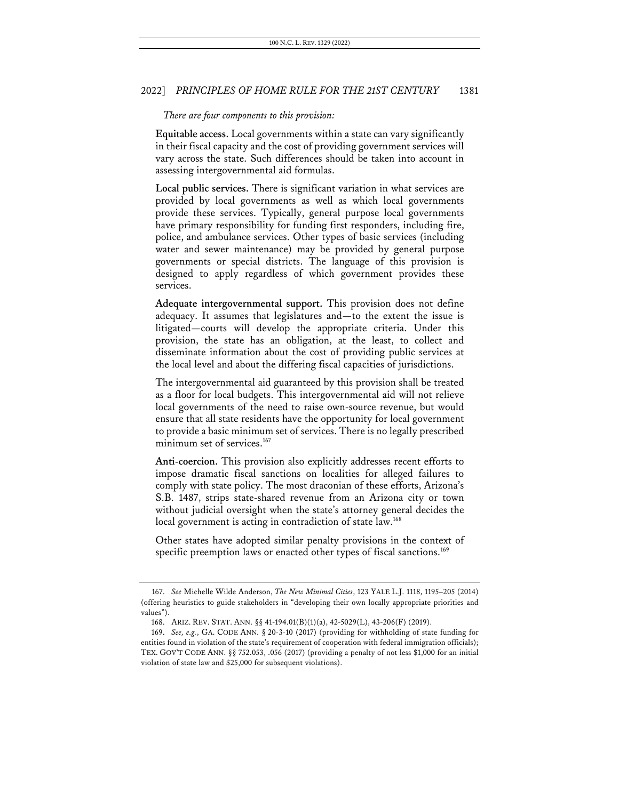#### *There are four components to this provision:*

**Equitable access.** Local governments within a state can vary significantly in their fiscal capacity and the cost of providing government services will vary across the state. Such differences should be taken into account in assessing intergovernmental aid formulas.

**Local public services.** There is significant variation in what services are provided by local governments as well as which local governments provide these services. Typically, general purpose local governments have primary responsibility for funding first responders, including fire, police, and ambulance services. Other types of basic services (including water and sewer maintenance) may be provided by general purpose governments or special districts. The language of this provision is designed to apply regardless of which government provides these services.

**Adequate intergovernmental support.** This provision does not define adequacy. It assumes that legislatures and—to the extent the issue is litigated—courts will develop the appropriate criteria. Under this provision, the state has an obligation, at the least, to collect and disseminate information about the cost of providing public services at the local level and about the differing fiscal capacities of jurisdictions.

The intergovernmental aid guaranteed by this provision shall be treated as a floor for local budgets. This intergovernmental aid will not relieve local governments of the need to raise own-source revenue, but would ensure that all state residents have the opportunity for local government to provide a basic minimum set of services. There is no legally prescribed minimum set of services.<sup>167</sup>

**Anti-coercion.** This provision also explicitly addresses recent efforts to impose dramatic fiscal sanctions on localities for alleged failures to comply with state policy. The most draconian of these efforts, Arizona's S.B. 1487, strips state-shared revenue from an Arizona city or town without judicial oversight when the state's attorney general decides the local government is acting in contradiction of state law.<sup>168</sup>

Other states have adopted similar penalty provisions in the context of specific preemption laws or enacted other types of fiscal sanctions.<sup>169</sup>

<sup>167.</sup> *See* Michelle Wilde Anderson, *The New Minimal Cities*, 123 YALE L.J. 1118, 1195–205 (2014) (offering heuristics to guide stakeholders in "developing their own locally appropriate priorities and values").

<sup>168.</sup> ARIZ. REV. STAT. ANN. §§ 41-194.01(B)(1)(a), 42-5029(L), 43-206(F) (2019).

<sup>169.</sup> *See, e.g.*, GA. CODE ANN. § 20-3-10 (2017) (providing for withholding of state funding for entities found in violation of the state's requirement of cooperation with federal immigration officials); TEX. GOV'T CODE ANN. §§ 752.053, .056 (2017) (providing a penalty of not less \$1,000 for an initial violation of state law and \$25,000 for subsequent violations).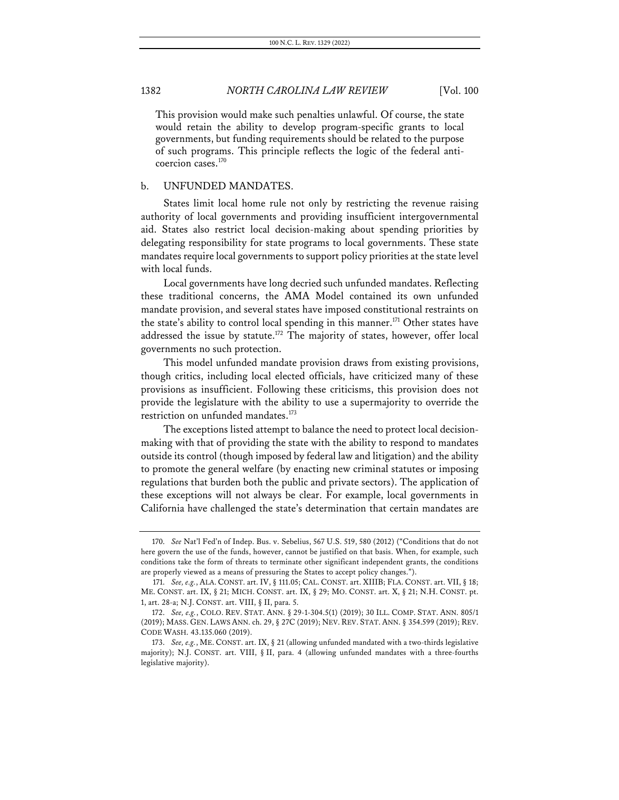This provision would make such penalties unlawful. Of course, the state would retain the ability to develop program-specific grants to local governments, but funding requirements should be related to the purpose of such programs. This principle reflects the logic of the federal anticoercion cases.170

### b. UNFUNDED MANDATES.

States limit local home rule not only by restricting the revenue raising authority of local governments and providing insufficient intergovernmental aid. States also restrict local decision-making about spending priorities by delegating responsibility for state programs to local governments. These state mandates require local governments to support policy priorities at the state level with local funds.

Local governments have long decried such unfunded mandates. Reflecting these traditional concerns, the AMA Model contained its own unfunded mandate provision, and several states have imposed constitutional restraints on the state's ability to control local spending in this manner.<sup>171</sup> Other states have addressed the issue by statute.<sup>172</sup> The majority of states, however, offer local governments no such protection.

This model unfunded mandate provision draws from existing provisions, though critics, including local elected officials, have criticized many of these provisions as insufficient. Following these criticisms, this provision does not provide the legislature with the ability to use a supermajority to override the restriction on unfunded mandates.<sup>173</sup>

The exceptions listed attempt to balance the need to protect local decisionmaking with that of providing the state with the ability to respond to mandates outside its control (though imposed by federal law and litigation) and the ability to promote the general welfare (by enacting new criminal statutes or imposing regulations that burden both the public and private sectors). The application of these exceptions will not always be clear. For example, local governments in California have challenged the state's determination that certain mandates are

<sup>170.</sup> *See* Nat'l Fed'n of Indep. Bus. v. Sebelius, 567 U.S. 519, 580 (2012) ("Conditions that do not here govern the use of the funds, however, cannot be justified on that basis. When, for example, such conditions take the form of threats to terminate other significant independent grants, the conditions are properly viewed as a means of pressuring the States to accept policy changes.").

<sup>171.</sup> *See, e.g.*, ALA. CONST. art. IV, § 111.05; CAL. CONST. art. XIIIB; FLA. CONST. art. VII, § 18; ME. CONST. art. IX, § 21; MICH. CONST. art. IX, § 29; MO. CONST. art. X, § 21; N.H. CONST. pt. 1, art. 28-a; N.J. CONST. art. VIII, § II, para. 5.

<sup>172.</sup> *See, e.g.*, COLO. REV. STAT. ANN. § 29-1-304.5(1) (2019); 30 ILL. COMP. STAT. ANN. 805/1 (2019); MASS. GEN. LAWS ANN. ch. 29, § 27C (2019); NEV. REV. STAT. ANN. § 354.599 (2019); REV. CODE WASH. 43.135.060 (2019).

<sup>173.</sup> *See, e.g.*, ME. CONST. art. IX, § 21 (allowing unfunded mandated with a two-thirds legislative majority); N.J. CONST. art. VIII, § II, para. 4 (allowing unfunded mandates with a three-fourths legislative majority).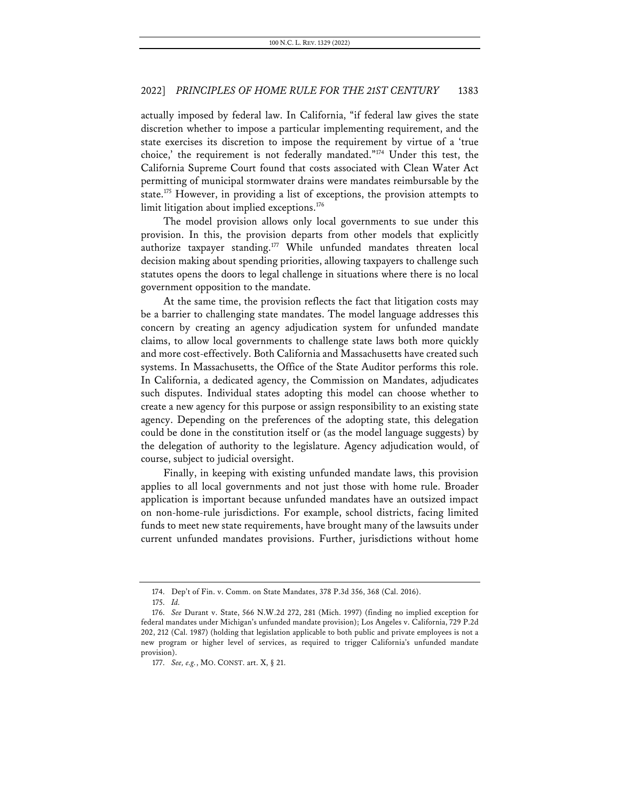actually imposed by federal law. In California, "if federal law gives the state discretion whether to impose a particular implementing requirement, and the state exercises its discretion to impose the requirement by virtue of a 'true choice,' the requirement is not federally mandated."174 Under this test, the California Supreme Court found that costs associated with Clean Water Act permitting of municipal stormwater drains were mandates reimbursable by the state.<sup>175</sup> However, in providing a list of exceptions, the provision attempts to limit litigation about implied exceptions.<sup>176</sup>

The model provision allows only local governments to sue under this provision. In this, the provision departs from other models that explicitly authorize taxpayer standing.<sup>177</sup> While unfunded mandates threaten local decision making about spending priorities, allowing taxpayers to challenge such statutes opens the doors to legal challenge in situations where there is no local government opposition to the mandate.

At the same time, the provision reflects the fact that litigation costs may be a barrier to challenging state mandates. The model language addresses this concern by creating an agency adjudication system for unfunded mandate claims, to allow local governments to challenge state laws both more quickly and more cost-effectively. Both California and Massachusetts have created such systems. In Massachusetts, the Office of the State Auditor performs this role. In California, a dedicated agency, the Commission on Mandates, adjudicates such disputes. Individual states adopting this model can choose whether to create a new agency for this purpose or assign responsibility to an existing state agency. Depending on the preferences of the adopting state, this delegation could be done in the constitution itself or (as the model language suggests) by the delegation of authority to the legislature. Agency adjudication would, of course, subject to judicial oversight.

Finally, in keeping with existing unfunded mandate laws, this provision applies to all local governments and not just those with home rule. Broader application is important because unfunded mandates have an outsized impact on non-home-rule jurisdictions. For example, school districts, facing limited funds to meet new state requirements, have brought many of the lawsuits under current unfunded mandates provisions. Further, jurisdictions without home

<sup>174.</sup> Dep't of Fin. v. Comm. on State Mandates, 378 P.3d 356, 368 (Cal. 2016).

<sup>175.</sup> *Id.*

<sup>176.</sup> *See* Durant v. State, 566 N.W.2d 272, 281 (Mich. 1997) (finding no implied exception for federal mandates under Michigan's unfunded mandate provision); Los Angeles v. California, 729 P.2d 202, 212 (Cal. 1987) (holding that legislation applicable to both public and private employees is not a new program or higher level of services, as required to trigger California's unfunded mandate provision).

<sup>177.</sup> *See, e.g.*, MO. CONST. art. X, § 21.